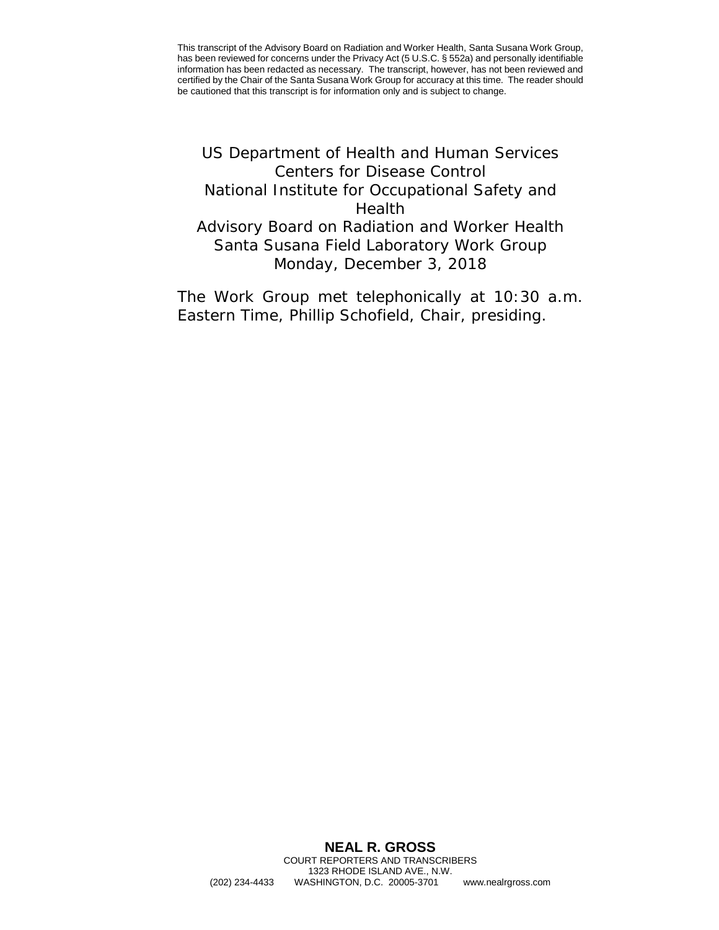<span id="page-0-0"></span>US Department of Health and Human Services Centers for Disease Control National Institute for Occupational Safety and Health Advisory Board on Radiation and Worker Health Santa Susana Field Laboratory Work Group Monday, December 3, 2018

The Work Group met telephonically at 10:30 a.m. Eastern Time, Phillip Schofield, Chair, presiding.

## **NEAL R. GROSS** COURT REPORTERS AND TRANSCRIBERS 1323 RHODE ISLAND AVE., N.W. (202) 234-4433 WASHINGTON, D.C. 20005-3701 <www.nealrgross.com>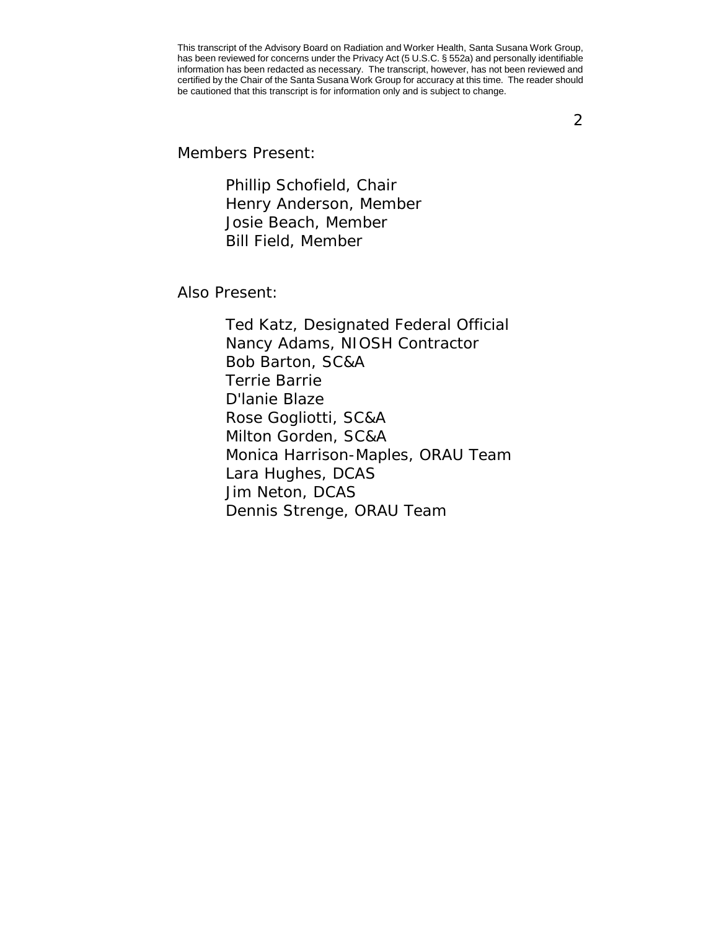2

Members Present:

Phillip Schofield, Chair Henry Anderson, Member Josie Beach, Member Bill Field, Member

Also Present:

Ted Katz, Designated Federal Official Nancy Adams, NIOSH Contractor Bob Barton, SC&A Terrie Barrie D'lanie Blaze Rose Gogliotti, SC&A Milton Gorden, SC&A Monica Harrison-Maples, ORAU Team Lara Hughes, DCAS Jim Neton, DCAS Dennis Strenge, ORAU Team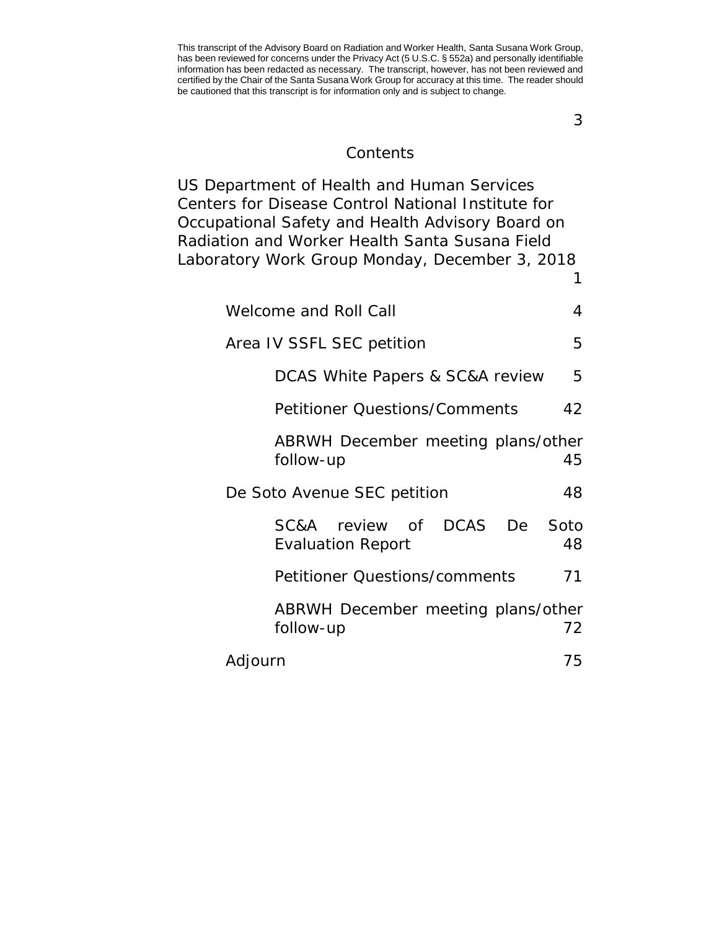**Contents** 

[US Department of Health and Human Services](#page-0-0)  [Centers for Disease Control National Institute for](#page-0-0)  [Occupational Safety and Health Advisory Board on](#page-0-0)  [Radiation and Worker Health Santa Susana Field](#page-0-0)  [Laboratory Work Group Monday, December 3, 2018](#page-0-0)

| <b>Welcome and Roll Call</b>                          | 4          |
|-------------------------------------------------------|------------|
| Area IV SSFL SEC petition                             | 5          |
| DCAS White Papers & SC&A review                       | 5          |
| <b>Petitioner Questions/Comments</b>                  | 42         |
| ABRWH December meeting plans/other<br>follow-up       | 45         |
| De Soto Avenue SEC petition                           | 48         |
| DCAS De<br>SC&A review of<br><b>Evaluation Report</b> | Soto<br>48 |
| <b>Petitioner Questions/comments</b>                  | 71         |
| ABRWH December meeting plans/other<br>follow-up       | 72         |
| Adjourn                                               | 75         |

3

[1](#page-0-0)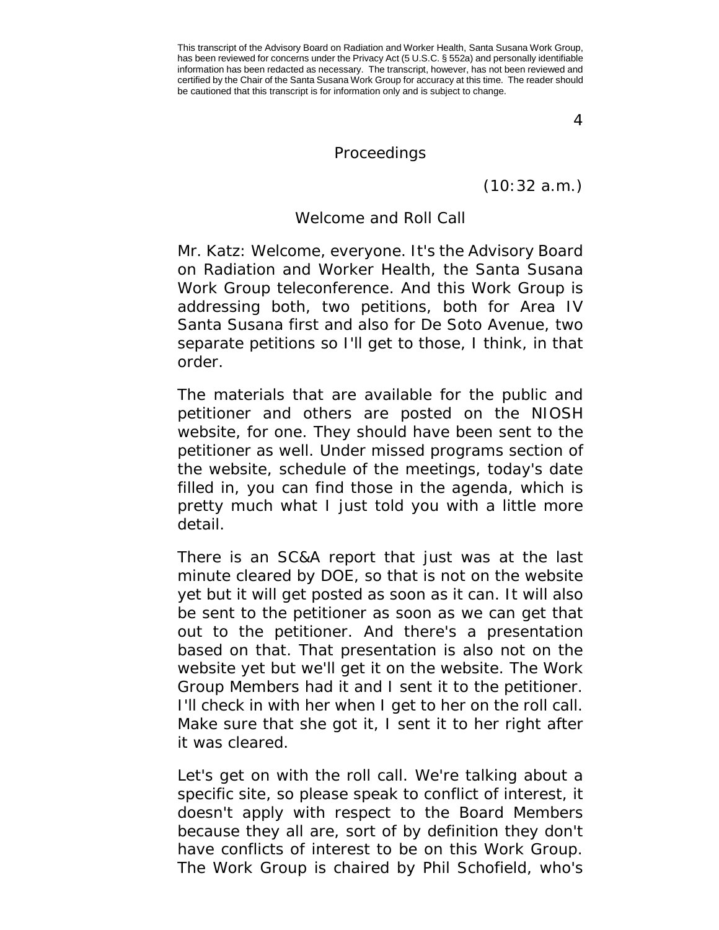4

## Proceedings

(10:32 a.m.)

## Welcome and Roll Call

<span id="page-3-0"></span>Mr. Katz: Welcome, everyone. It's the Advisory Board on Radiation and Worker Health, the Santa Susana Work Group teleconference. And this Work Group is addressing both, two petitions, both for Area IV Santa Susana first and also for De Soto Avenue, two separate petitions so I'll get to those, I think, in that order.

The materials that are available for the public and petitioner and others are posted on the NIOSH website, for one. They should have been sent to the petitioner as well. Under missed programs section of the website, schedule of the meetings, today's date filled in, you can find those in the agenda, which is pretty much what I just told you with a little more detail.

There is an SC&A report that just was at the last minute cleared by DOE, so that is not on the website yet but it will get posted as soon as it can. It will also be sent to the petitioner as soon as we can get that out to the petitioner. And there's a presentation based on that. That presentation is also not on the website yet but we'll get it on the website. The Work Group Members had it and I sent it to the petitioner. I'll check in with her when I get to her on the roll call. Make sure that she got it, I sent it to her right after it was cleared.

Let's get on with the roll call. We're talking about a specific site, so please speak to conflict of interest, it doesn't apply with respect to the Board Members because they all are, sort of by definition they don't have conflicts of interest to be on this Work Group. The Work Group is chaired by Phil Schofield, who's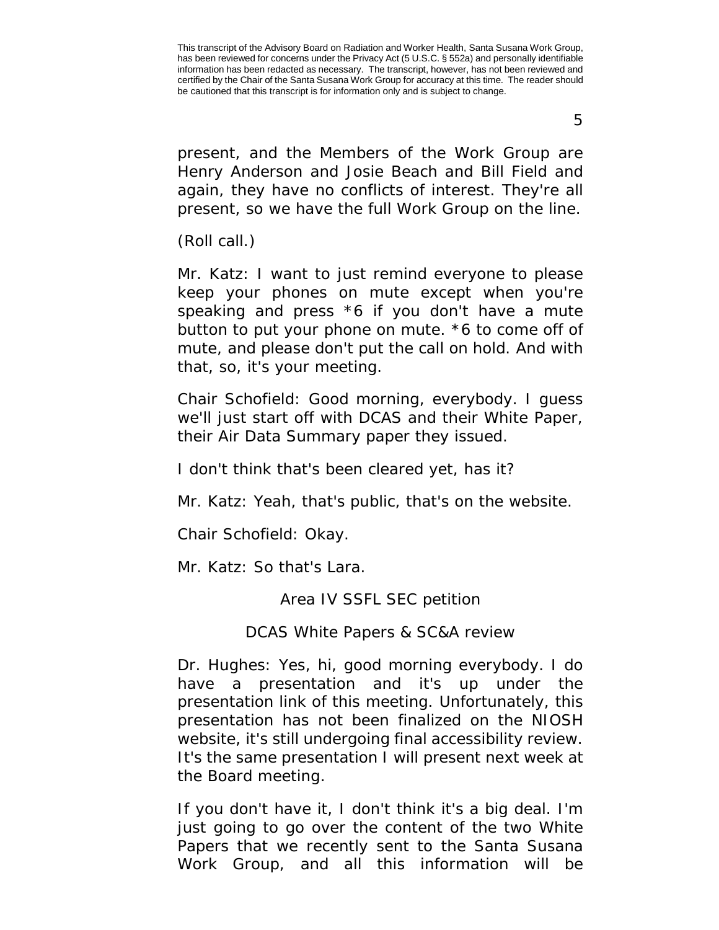5

present, and the Members of the Work Group are Henry Anderson and Josie Beach and Bill Field and again, they have no conflicts of interest. They're all present, so we have the full Work Group on the line.

(Roll call.)

Mr. Katz: I want to just remind everyone to please keep your phones on mute except when you're speaking and press  $*6$  if you don't have a mute button to put your phone on mute. \*6 to come off of mute, and please don't put the call on hold. And with that, so, it's your meeting.

Chair Schofield: Good morning, everybody. I guess we'll just start off with DCAS and their White Paper, their Air Data Summary paper they issued.

I don't think that's been cleared yet, has it?

Mr. Katz: Yeah, that's public, that's on the website.

Chair Schofield: Okay.

<span id="page-4-0"></span>Mr. Katz: So that's Lara.

Area IV SSFL SEC petition

DCAS White Papers & SC&A review

<span id="page-4-1"></span>Dr. Hughes: Yes, hi, good morning everybody. I do have a presentation and it's up under the presentation link of this meeting. Unfortunately, this presentation has not been finalized on the NIOSH website, it's still undergoing final accessibility review. It's the same presentation I will present next week at the Board meeting.

If you don't have it, I don't think it's a big deal. I'm just going to go over the content of the two White Papers that we recently sent to the Santa Susana Work Group, and all this information will be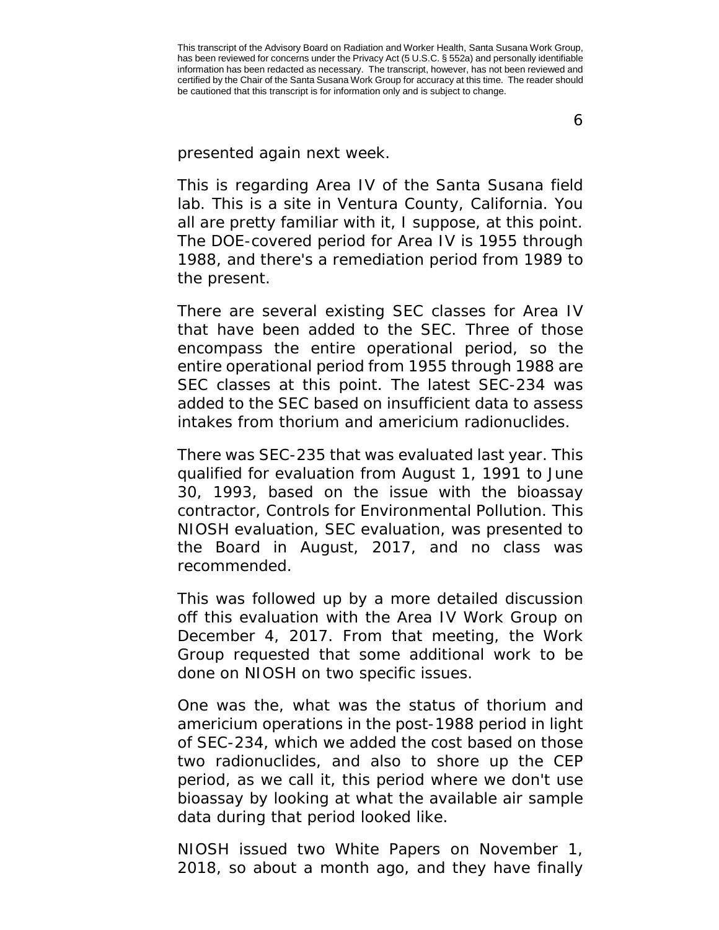6

presented again next week.

This is regarding Area IV of the Santa Susana field lab. This is a site in Ventura County, California. You all are pretty familiar with it, I suppose, at this point. The DOE-covered period for Area IV is 1955 through 1988, and there's a remediation period from 1989 to the present.

There are several existing SEC classes for Area IV that have been added to the SEC. Three of those encompass the entire operational period, so the entire operational period from 1955 through 1988 are SEC classes at this point. The latest SEC-234 was added to the SEC based on insufficient data to assess intakes from thorium and americium radionuclides.

There was SEC-235 that was evaluated last year. This qualified for evaluation from August 1, 1991 to June 30, 1993, based on the issue with the bioassay contractor, Controls for Environmental Pollution. This NIOSH evaluation, SEC evaluation, was presented to the Board in August, 2017, and no class was recommended.

This was followed up by a more detailed discussion off this evaluation with the Area IV Work Group on December 4, 2017. From that meeting, the Work Group requested that some additional work to be done on NIOSH on two specific issues.

One was the, what was the status of thorium and americium operations in the post-1988 period in light of SEC-234, which we added the cost based on those two radionuclides, and also to shore up the CEP period, as we call it, this period where we don't use bioassay by looking at what the available air sample data during that period looked like.

NIOSH issued two White Papers on November 1, 2018, so about a month ago, and they have finally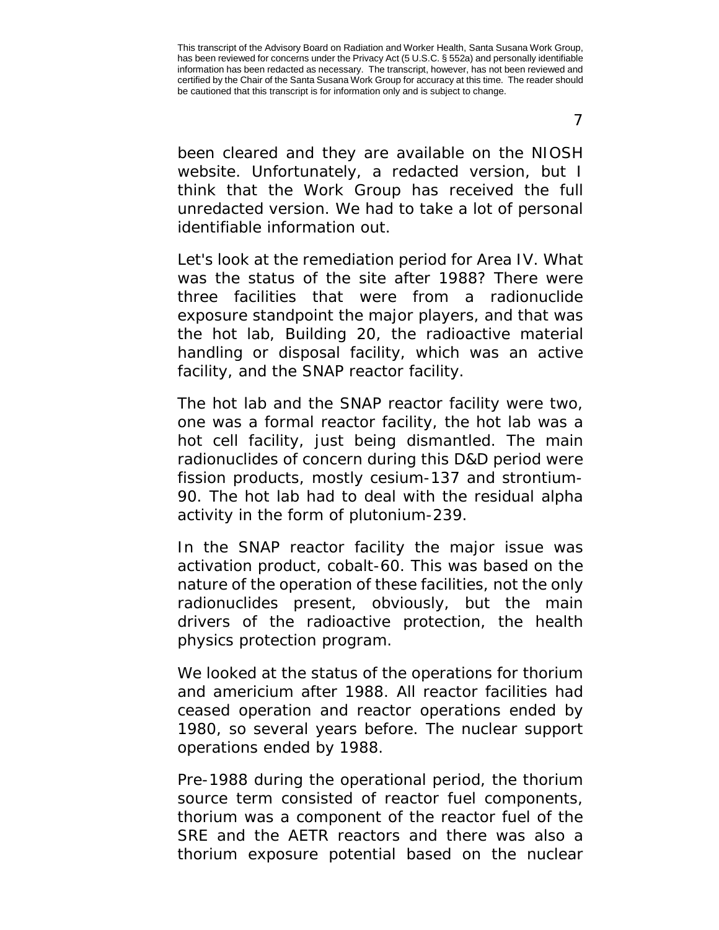been cleared and they are available on the NIOSH website. Unfortunately, a redacted version, but I think that the Work Group has received the full unredacted version. We had to take a lot of personal identifiable information out.

Let's look at the remediation period for Area IV. What was the status of the site after 1988? There were three facilities that were from a radionuclide exposure standpoint the major players, and that was the hot lab, Building 20, the radioactive material handling or disposal facility, which was an active facility, and the SNAP reactor facility.

The hot lab and the SNAP reactor facility were two, one was a formal reactor facility, the hot lab was a hot cell facility, just being dismantled. The main radionuclides of concern during this D&D period were fission products, mostly cesium-137 and strontium-90. The hot lab had to deal with the residual alpha activity in the form of plutonium-239.

In the SNAP reactor facility the major issue was activation product, cobalt-60. This was based on the nature of the operation of these facilities, not the only radionuclides present, obviously, but the main drivers of the radioactive protection, the health physics protection program.

We looked at the status of the operations for thorium and americium after 1988. All reactor facilities had ceased operation and reactor operations ended by 1980, so several years before. The nuclear support operations ended by 1988.

Pre-1988 during the operational period, the thorium source term consisted of reactor fuel components, thorium was a component of the reactor fuel of the SRE and the AETR reactors and there was also a thorium exposure potential based on the nuclear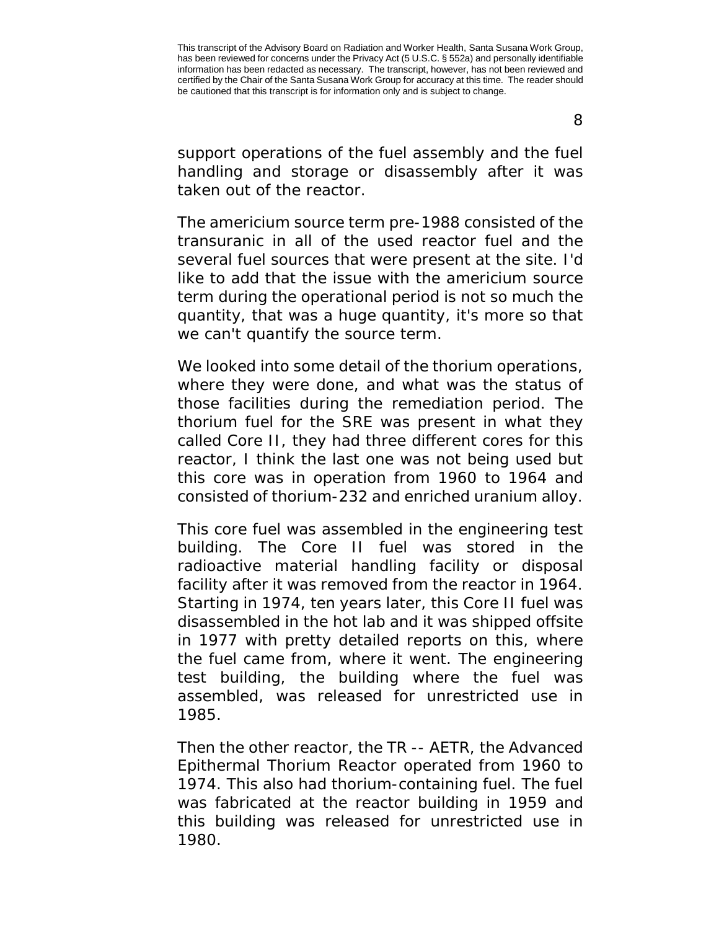support operations of the fuel assembly and the fuel handling and storage or disassembly after it was taken out of the reactor.

The americium source term pre-1988 consisted of the transuranic in all of the used reactor fuel and the several fuel sources that were present at the site. I'd like to add that the issue with the americium source term during the operational period is not so much the quantity, that was a huge quantity, it's more so that we can't quantify the source term.

We looked into some detail of the thorium operations, where they were done, and what was the status of those facilities during the remediation period. The thorium fuel for the SRE was present in what they called Core II, they had three different cores for this reactor, I think the last one was not being used but this core was in operation from 1960 to 1964 and consisted of thorium-232 and enriched uranium alloy.

This core fuel was assembled in the engineering test building. The Core II fuel was stored in the radioactive material handling facility or disposal facility after it was removed from the reactor in 1964. Starting in 1974, ten years later, this Core II fuel was disassembled in the hot lab and it was shipped offsite in 1977 with pretty detailed reports on this, where the fuel came from, where it went. The engineering test building, the building where the fuel was assembled, was released for unrestricted use in 1985.

Then the other reactor, the TR -- AETR, the Advanced Epithermal Thorium Reactor operated from 1960 to 1974. This also had thorium-containing fuel. The fuel was fabricated at the reactor building in 1959 and this building was released for unrestricted use in 1980.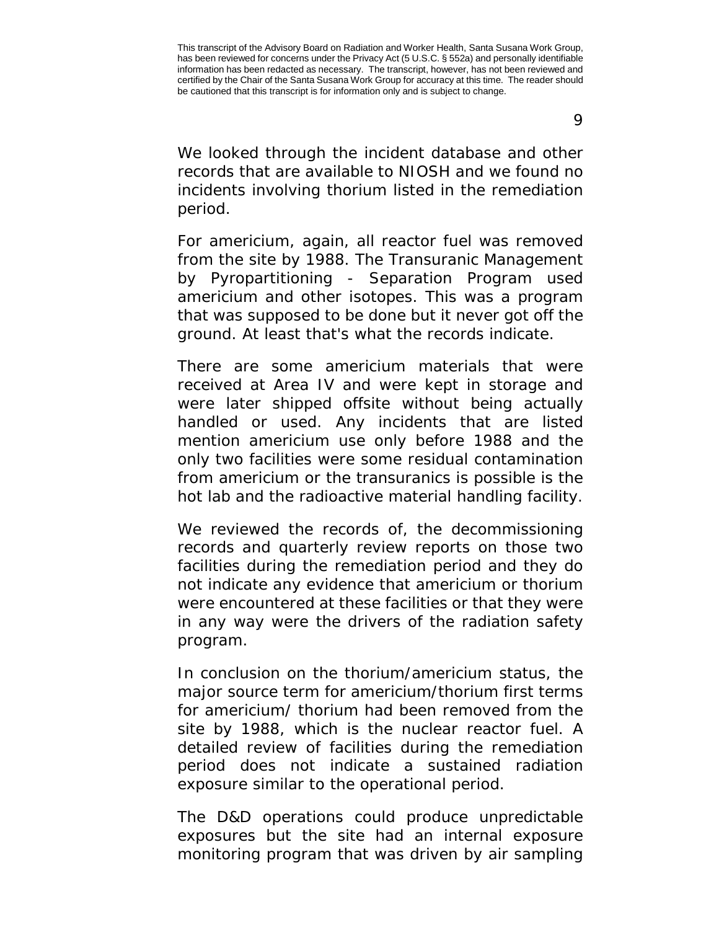We looked through the incident database and other records that are available to NIOSH and we found no incidents involving thorium listed in the remediation period.

For americium, again, all reactor fuel was removed from the site by 1988. The Transuranic Management by Pyropartitioning - Separation Program used americium and other isotopes. This was a program that was supposed to be done but it never got off the ground. At least that's what the records indicate.

There are some americium materials that were received at Area IV and were kept in storage and were later shipped offsite without being actually handled or used. Any incidents that are listed mention americium use only before 1988 and the only two facilities were some residual contamination from americium or the transuranics is possible is the hot lab and the radioactive material handling facility.

We reviewed the records of, the decommissioning records and quarterly review reports on those two facilities during the remediation period and they do not indicate any evidence that americium or thorium were encountered at these facilities or that they were in any way were the drivers of the radiation safety program.

In conclusion on the thorium/americium status, the major source term for americium/thorium first terms for americium/ thorium had been removed from the site by 1988, which is the nuclear reactor fuel. A detailed review of facilities during the remediation period does not indicate a sustained radiation exposure similar to the operational period.

The D&D operations could produce unpredictable exposures but the site had an internal exposure monitoring program that was driven by air sampling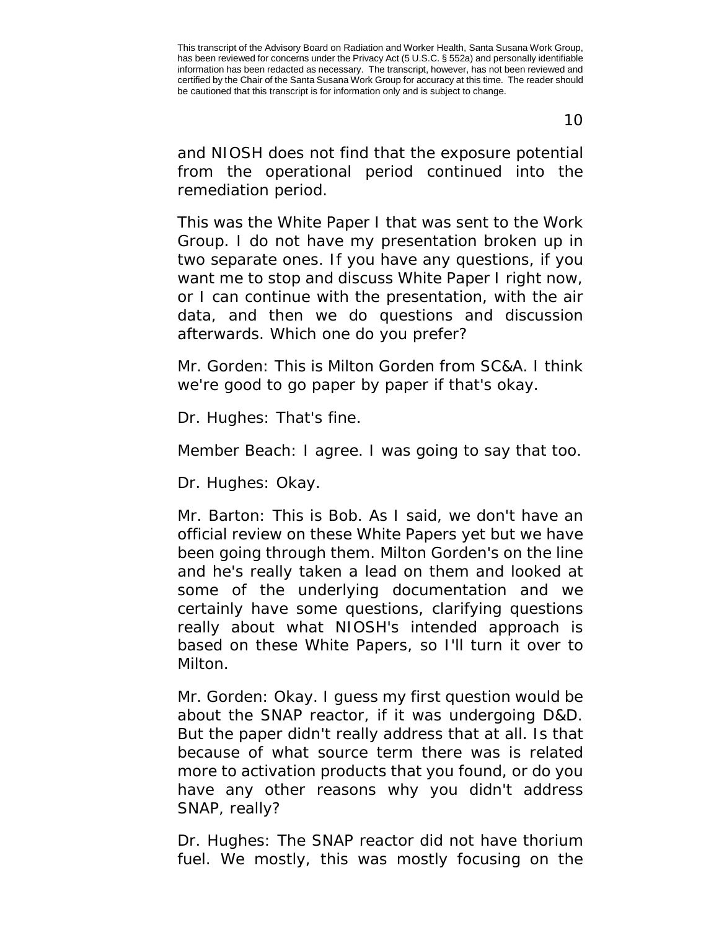10

and NIOSH does not find that the exposure potential from the operational period continued into the remediation period.

This was the White Paper I that was sent to the Work Group. I do not have my presentation broken up in two separate ones. If you have any questions, if you want me to stop and discuss White Paper I right now, or I can continue with the presentation, with the air data, and then we do questions and discussion afterwards. Which one do you prefer?

Mr. Gorden: This is Milton Gorden from SC&A. I think we're good to go paper by paper if that's okay.

Dr. Hughes: That's fine.

Member Beach: I agree. I was going to say that too.

Dr. Hughes: Okay.

Mr. Barton: This is Bob. As I said, we don't have an official review on these White Papers yet but we have been going through them. Milton Gorden's on the line and he's really taken a lead on them and looked at some of the underlying documentation and we certainly have some questions, clarifying questions really about what NIOSH's intended approach is based on these White Papers, so I'll turn it over to Milton.

Mr. Gorden: Okay. I guess my first question would be about the SNAP reactor, if it was undergoing D&D. But the paper didn't really address that at all. Is that because of what source term there was is related more to activation products that you found, or do you have any other reasons why you didn't address SNAP, really?

Dr. Hughes: The SNAP reactor did not have thorium fuel. We mostly, this was mostly focusing on the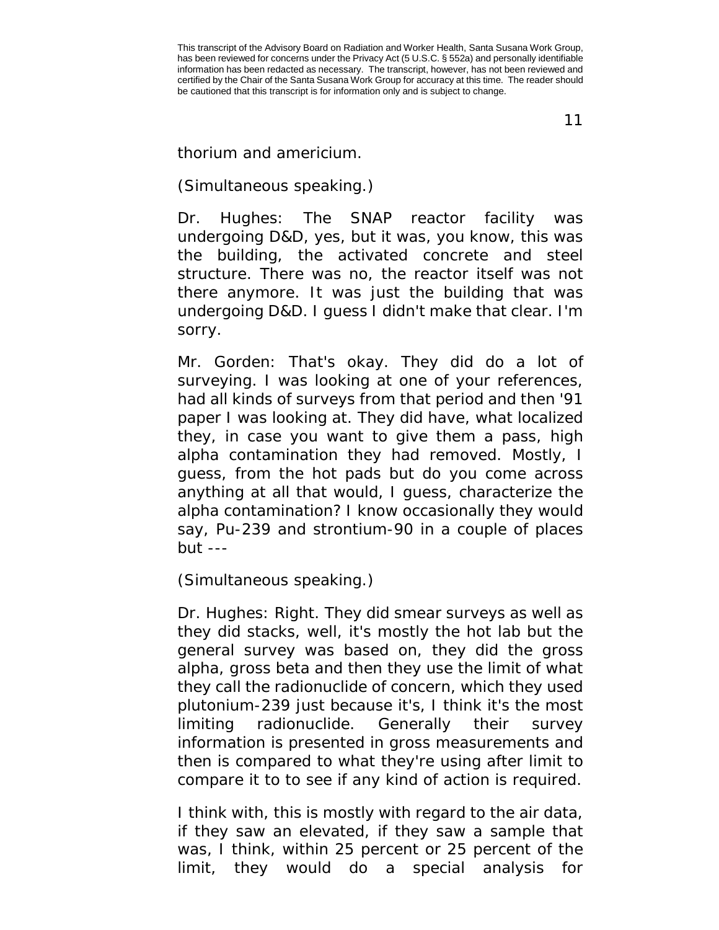11

thorium and americium.

## (Simultaneous speaking.)

Dr. Hughes: The SNAP reactor facility was undergoing D&D, yes, but it was, you know, this was the building, the activated concrete and steel structure. There was no, the reactor itself was not there anymore. It was just the building that was undergoing D&D. I guess I didn't make that clear. I'm sorry.

Mr. Gorden: That's okay. They did do a lot of surveying. I was looking at one of your references, had all kinds of surveys from that period and then '91 paper I was looking at. They did have, what localized they, in case you want to give them a pass, high alpha contamination they had removed. Mostly, I guess, from the hot pads but do you come across anything at all that would, I guess, characterize the alpha contamination? I know occasionally they would say, Pu-239 and strontium-90 in a couple of places  $but --$ 

(Simultaneous speaking.)

Dr. Hughes: Right. They did smear surveys as well as they did stacks, well, it's mostly the hot lab but the general survey was based on, they did the gross alpha, gross beta and then they use the limit of what they call the radionuclide of concern, which they used plutonium-239 just because it's, I think it's the most limiting radionuclide. Generally their survey information is presented in gross measurements and then is compared to what they're using after limit to compare it to to see if any kind of action is required.

I think with, this is mostly with regard to the air data, if they saw an elevated, if they saw a sample that was, I think, within 25 percent or 25 percent of the limit, they would do a special analysis for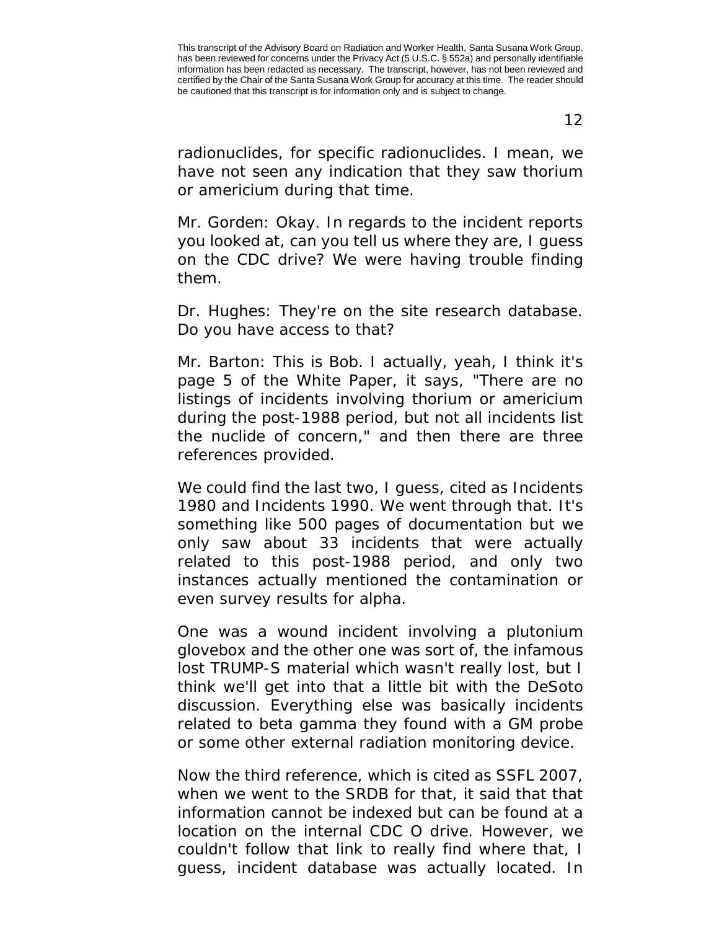12

radionuclides, for specific radionuclides. I mean, we have not seen any indication that they saw thorium or americium during that time.

Mr. Gorden: Okay. In regards to the incident reports you looked at, can you tell us where they are, I guess on the CDC drive? We were having trouble finding them.

Dr. Hughes: They're on the site research database. Do you have access to that?

Mr. Barton: This is Bob. I actually, yeah, I think it's page 5 of the White Paper, it says, "There are no listings of incidents involving thorium or americium during the post-1988 period, but not all incidents list the nuclide of concern," and then there are three references provided.

We could find the last two, I guess, cited as Incidents 1980 and Incidents 1990. We went through that. It's something like 500 pages of documentation but we only saw about 33 incidents that were actually related to this post-1988 period, and only two instances actually mentioned the contamination or even survey results for alpha.

One was a wound incident involving a plutonium glovebox and the other one was sort of, the infamous lost TRUMP-S material which wasn't really lost, but I think we'll get into that a little bit with the DeSoto discussion. Everything else was basically incidents related to beta gamma they found with a GM probe or some other external radiation monitoring device.

Now the third reference, which is cited as SSFL 2007, when we went to the SRDB for that, it said that that information cannot be indexed but can be found at a location on the internal CDC O drive. However, we couldn't follow that link to really find where that, I guess, incident database was actually located. In

This transcript of the Advisory Board on Radiation and Worker Health, Santa Susana Work Group, has been reviewed for concerns under the Privacy Act (5 U.S.C. § 552a) and personally identifiable information has been redacted as necessary. The transcript, however, has not been reviewed and certified by the Chair of the Santa Susana Work Group for accuracy at this time. The reader should be cautioned that this transcript is for information only and is subject to change.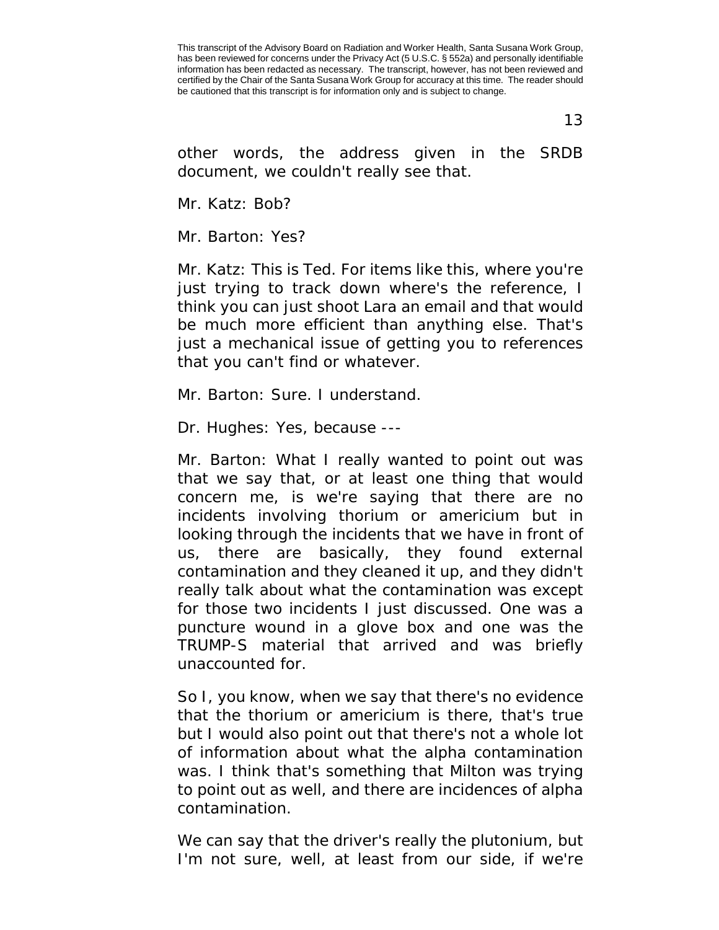13

other words, the address given in the SRDB document, we couldn't really see that.

Mr. Katz: Bob?

Mr. Barton: Yes?

Mr. Katz: This is Ted. For items like this, where you're just trying to track down where's the reference, I think you can just shoot Lara an email and that would be much more efficient than anything else. That's just a mechanical issue of getting you to references that you can't find or whatever.

Mr. Barton: Sure. I understand.

Dr. Hughes: Yes, because ---

Mr. Barton: What I really wanted to point out was that we say that, or at least one thing that would concern me, is we're saying that there are no incidents involving thorium or americium but in looking through the incidents that we have in front of us, there are basically, they found external contamination and they cleaned it up, and they didn't really talk about what the contamination was except for those two incidents I just discussed. One was a puncture wound in a glove box and one was the TRUMP-S material that arrived and was briefly unaccounted for.

So I, you know, when we say that there's no evidence that the thorium or americium is there, that's true but I would also point out that there's not a whole lot of information about what the alpha contamination was. I think that's something that Milton was trying to point out as well, and there are incidences of alpha contamination.

We can say that the driver's really the plutonium, but I'm not sure, well, at least from our side, if we're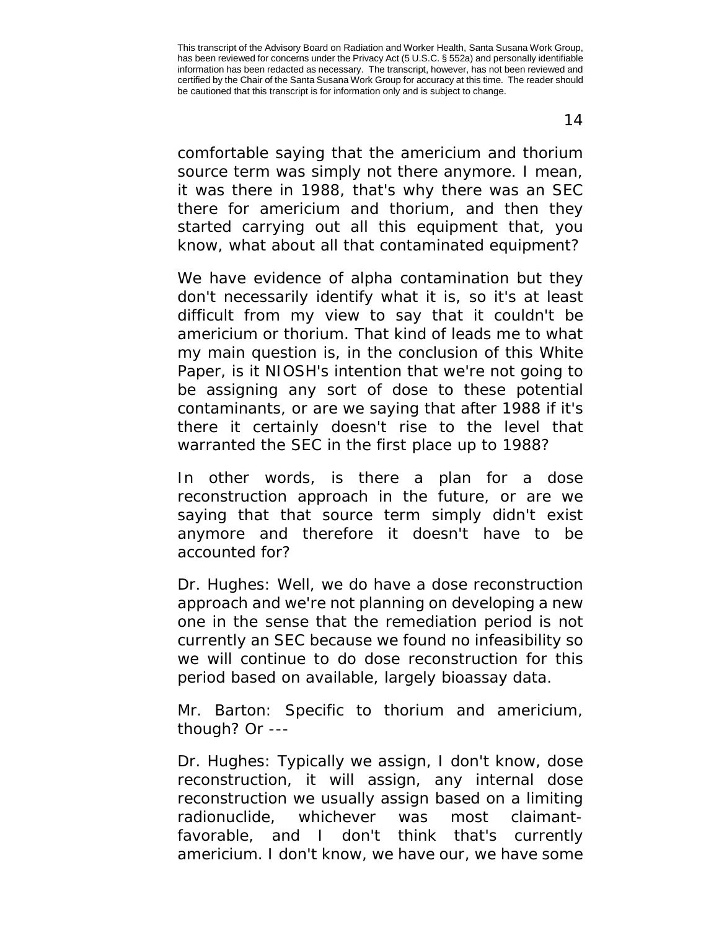comfortable saying that the americium and thorium source term was simply not there anymore. I mean, it was there in 1988, that's why there was an SEC there for americium and thorium, and then they started carrying out all this equipment that, you know, what about all that contaminated equipment?

We have evidence of alpha contamination but they don't necessarily identify what it is, so it's at least difficult from my view to say that it couldn't be americium or thorium. That kind of leads me to what my main question is, in the conclusion of this White Paper, is it NIOSH's intention that we're not going to be assigning any sort of dose to these potential contaminants, or are we saying that after 1988 if it's there it certainly doesn't rise to the level that warranted the SEC in the first place up to 1988?

In other words, is there a plan for a dose reconstruction approach in the future, or are we saying that that source term simply didn't exist anymore and therefore it doesn't have to be accounted for?

Dr. Hughes: Well, we do have a dose reconstruction approach and we're not planning on developing a new one in the sense that the remediation period is not currently an SEC because we found no infeasibility so we will continue to do dose reconstruction for this period based on available, largely bioassay data.

Mr. Barton: Specific to thorium and americium, though? Or ---

Dr. Hughes: Typically we assign, I don't know, dose reconstruction, it will assign, any internal dose reconstruction we usually assign based on a limiting radionuclide, whichever was most claimantfavorable, and I don't think that's currently americium. I don't know, we have our, we have some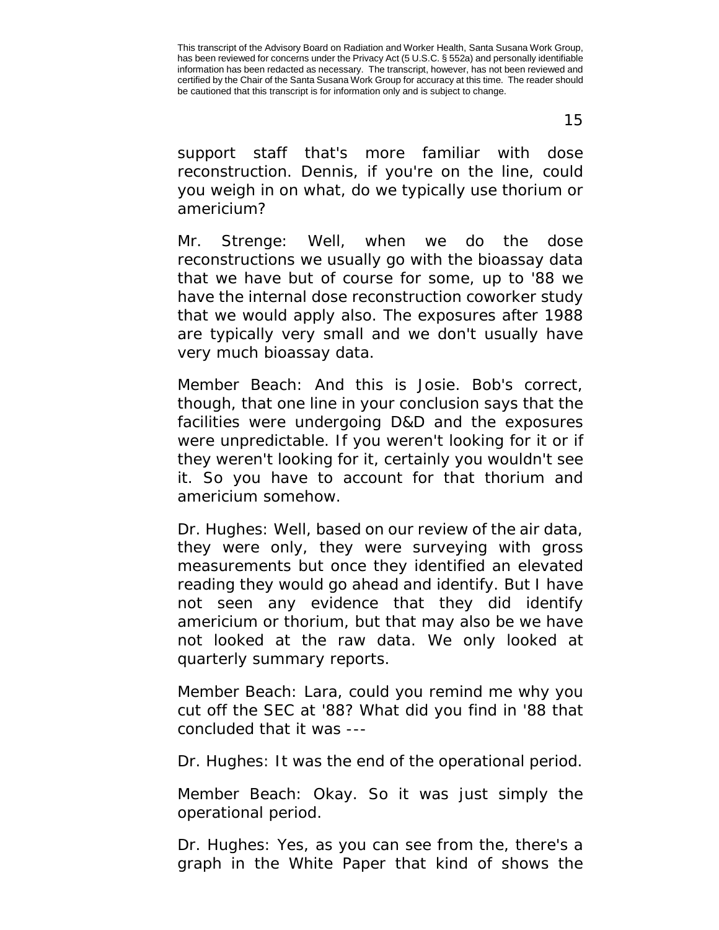15

support staff that's more familiar with dose reconstruction. Dennis, if you're on the line, could you weigh in on what, do we typically use thorium or americium?

Mr. Strenge: Well, when we do the dose reconstructions we usually go with the bioassay data that we have but of course for some, up to '88 we have the internal dose reconstruction coworker study that we would apply also. The exposures after 1988 are typically very small and we don't usually have very much bioassay data.

Member Beach: And this is Josie. Bob's correct, though, that one line in your conclusion says that the facilities were undergoing D&D and the exposures were unpredictable. If you weren't looking for it or if they weren't looking for it, certainly you wouldn't see it. So you have to account for that thorium and americium somehow.

Dr. Hughes: Well, based on our review of the air data, they were only, they were surveying with gross measurements but once they identified an elevated reading they would go ahead and identify. But I have not seen any evidence that they did identify americium or thorium, but that may also be we have not looked at the raw data. We only looked at quarterly summary reports.

Member Beach: Lara, could you remind me why you cut off the SEC at '88? What did you find in '88 that concluded that it was ---

Dr. Hughes: It was the end of the operational period.

Member Beach: Okay. So it was just simply the operational period.

Dr. Hughes: Yes, as you can see from the, there's a graph in the White Paper that kind of shows the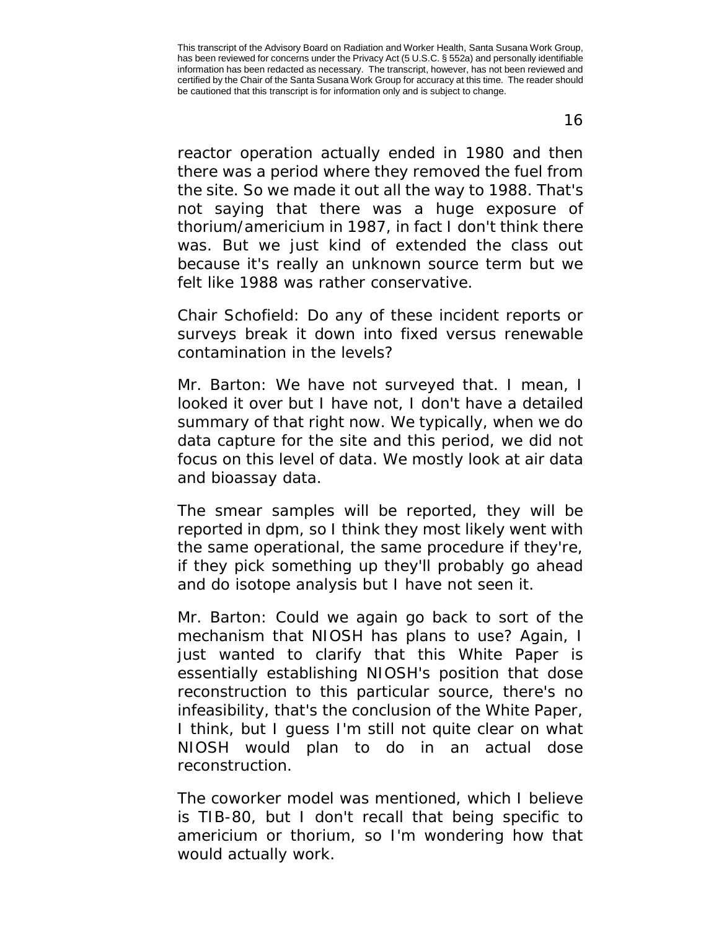reactor operation actually ended in 1980 and then there was a period where they removed the fuel from the site. So we made it out all the way to 1988. That's not saying that there was a huge exposure of thorium/americium in 1987, in fact I don't think there was. But we just kind of extended the class out because it's really an unknown source term but we felt like 1988 was rather conservative.

Chair Schofield: Do any of these incident reports or surveys break it down into fixed versus renewable contamination in the levels?

Mr. Barton: We have not surveyed that. I mean, I looked it over but I have not, I don't have a detailed summary of that right now. We typically, when we do data capture for the site and this period, we did not focus on this level of data. We mostly look at air data and bioassay data.

The smear samples will be reported, they will be reported in dpm, so I think they most likely went with the same operational, the same procedure if they're, if they pick something up they'll probably go ahead and do isotope analysis but I have not seen it.

Mr. Barton: Could we again go back to sort of the mechanism that NIOSH has plans to use? Again, I just wanted to clarify that this White Paper is essentially establishing NIOSH's position that dose reconstruction to this particular source, there's no infeasibility, that's the conclusion of the White Paper, I think, but I guess I'm still not quite clear on what NIOSH would plan to do in an actual dose reconstruction.

The coworker model was mentioned, which I believe is TIB-80, but I don't recall that being specific to americium or thorium, so I'm wondering how that would actually work.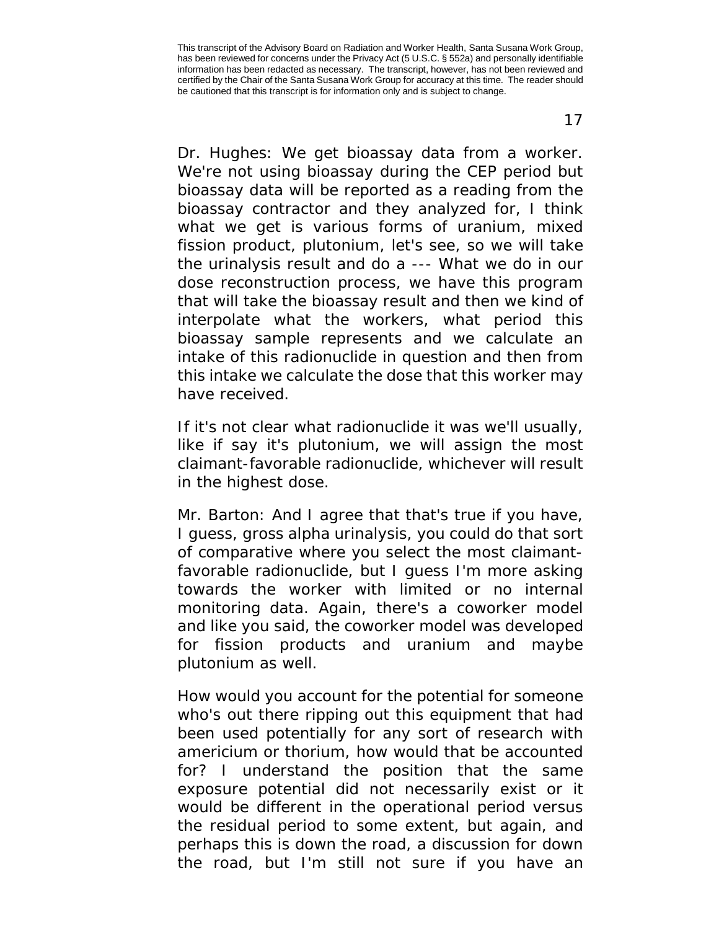17

Dr. Hughes: We get bioassay data from a worker. We're not using bioassay during the CEP period but bioassay data will be reported as a reading from the bioassay contractor and they analyzed for, I think what we get is various forms of uranium, mixed fission product, plutonium, let's see, so we will take the urinalysis result and do a --- What we do in our dose reconstruction process, we have this program that will take the bioassay result and then we kind of interpolate what the workers, what period this bioassay sample represents and we calculate an intake of this radionuclide in question and then from this intake we calculate the dose that this worker may have received.

If it's not clear what radionuclide it was we'll usually, like if say it's plutonium, we will assign the most claimant-favorable radionuclide, whichever will result in the highest dose.

Mr. Barton: And I agree that that's true if you have, I guess, gross alpha urinalysis, you could do that sort of comparative where you select the most claimantfavorable radionuclide, but I guess I'm more asking towards the worker with limited or no internal monitoring data. Again, there's a coworker model and like you said, the coworker model was developed for fission products and uranium and maybe plutonium as well.

How would you account for the potential for someone who's out there ripping out this equipment that had been used potentially for any sort of research with americium or thorium, how would that be accounted for? I understand the position that the same exposure potential did not necessarily exist or it would be different in the operational period versus the residual period to some extent, but again, and perhaps this is down the road, a discussion for down the road, but I'm still not sure if you have an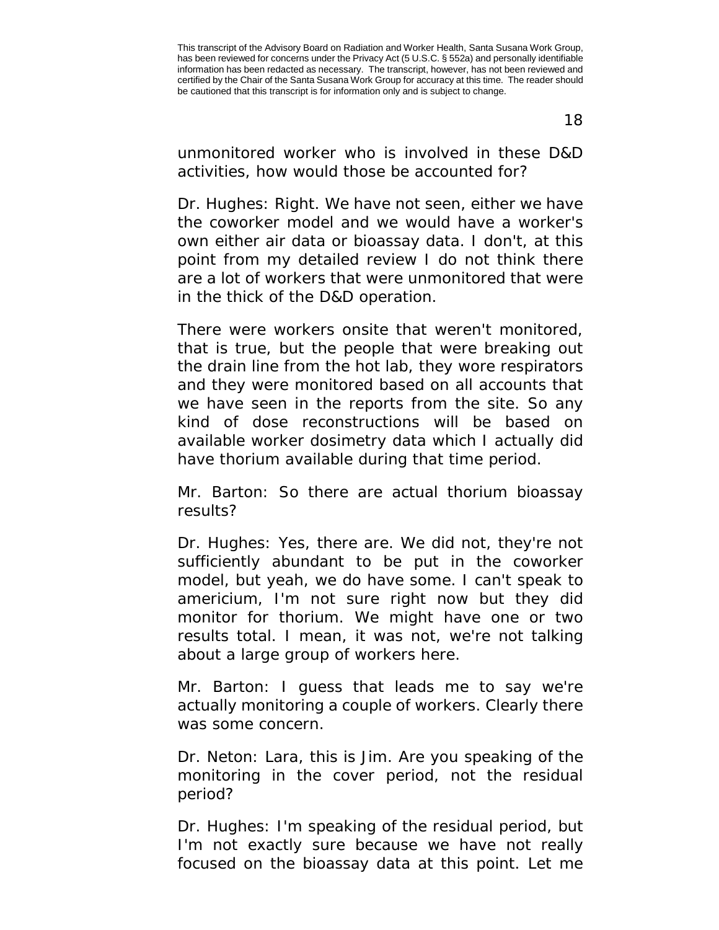18

unmonitored worker who is involved in these D&D activities, how would those be accounted for?

Dr. Hughes: Right. We have not seen, either we have the coworker model and we would have a worker's own either air data or bioassay data. I don't, at this point from my detailed review I do not think there are a lot of workers that were unmonitored that were in the thick of the D&D operation.

There were workers onsite that weren't monitored, that is true, but the people that were breaking out the drain line from the hot lab, they wore respirators and they were monitored based on all accounts that we have seen in the reports from the site. So any kind of dose reconstructions will be based on available worker dosimetry data which I actually did have thorium available during that time period.

Mr. Barton: So there are actual thorium bioassay results?

Dr. Hughes: Yes, there are. We did not, they're not sufficiently abundant to be put in the coworker model, but yeah, we do have some. I can't speak to americium, I'm not sure right now but they did monitor for thorium. We might have one or two results total. I mean, it was not, we're not talking about a large group of workers here.

Mr. Barton: I guess that leads me to say we're actually monitoring a couple of workers. Clearly there was some concern.

Dr. Neton: Lara, this is Jim. Are you speaking of the monitoring in the cover period, not the residual period?

Dr. Hughes: I'm speaking of the residual period, but I'm not exactly sure because we have not really focused on the bioassay data at this point. Let me

This transcript of the Advisory Board on Radiation and Worker Health, Santa Susana Work Group, has been reviewed for concerns under the Privacy Act (5 U.S.C. § 552a) and personally identifiable information has been redacted as necessary. The transcript, however, has not been reviewed and certified by the Chair of the Santa Susana Work Group for accuracy at this time. The reader should be cautioned that this transcript is for information only and is subject to change.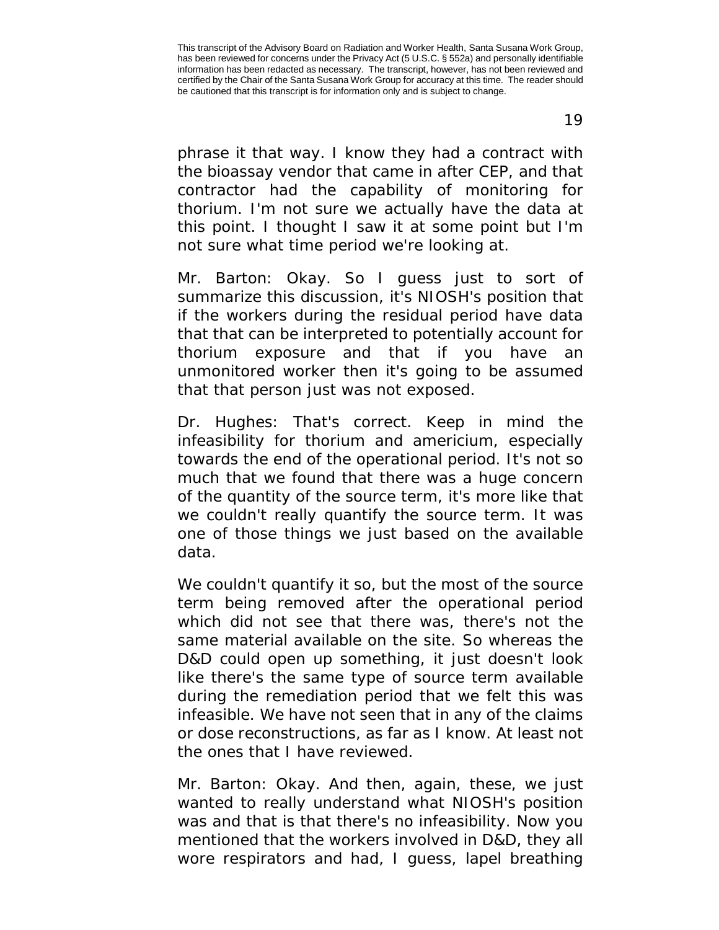19

phrase it that way. I know they had a contract with the bioassay vendor that came in after CEP, and that contractor had the capability of monitoring for thorium. I'm not sure we actually have the data at this point. I thought I saw it at some point but I'm not sure what time period we're looking at.

Mr. Barton: Okay. So I guess just to sort of summarize this discussion, it's NIOSH's position that if the workers during the residual period have data that that can be interpreted to potentially account for thorium exposure and that if you have an unmonitored worker then it's going to be assumed that that person just was not exposed.

Dr. Hughes: That's correct. Keep in mind the infeasibility for thorium and americium, especially towards the end of the operational period. It's not so much that we found that there was a huge concern of the quantity of the source term, it's more like that we couldn't really quantify the source term. It was one of those things we just based on the available data.

We couldn't quantify it so, but the most of the source term being removed after the operational period which did not see that there was, there's not the same material available on the site. So whereas the D&D could open up something, it just doesn't look like there's the same type of source term available during the remediation period that we felt this was infeasible. We have not seen that in any of the claims or dose reconstructions, as far as I know. At least not the ones that I have reviewed.

Mr. Barton: Okay. And then, again, these, we just wanted to really understand what NIOSH's position was and that is that there's no infeasibility. Now you mentioned that the workers involved in D&D, they all wore respirators and had, I guess, lapel breathing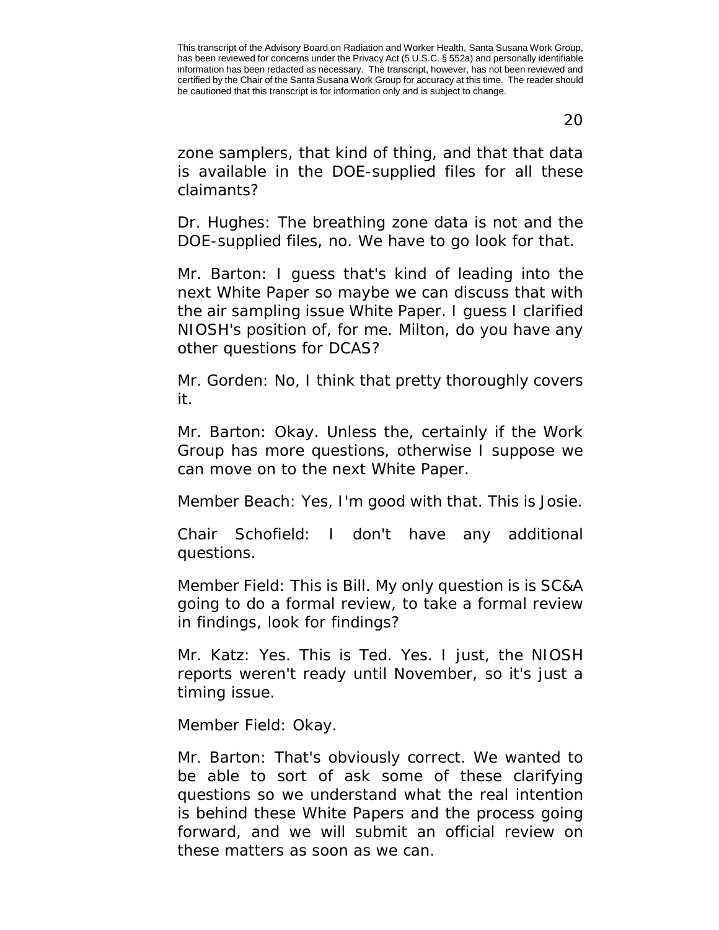20

zone samplers, that kind of thing, and that that data is available in the DOE-supplied files for all these claimants?

Dr. Hughes: The breathing zone data is not and the DOE-supplied files, no. We have to go look for that.

Mr. Barton: I guess that's kind of leading into the next White Paper so maybe we can discuss that with the air sampling issue White Paper. I guess I clarified NIOSH's position of, for me. Milton, do you have any other questions for DCAS?

Mr. Gorden: No, I think that pretty thoroughly covers it.

Mr. Barton: Okay. Unless the, certainly if the Work Group has more questions, otherwise I suppose we can move on to the next White Paper.

Member Beach: Yes, I'm good with that. This is Josie.

Chair Schofield: I don't have any additional questions.

Member Field: This is Bill. My only question is is SC&A going to do a formal review, to take a formal review in findings, look for findings?

Mr. Katz: Yes. This is Ted. Yes. I just, the NIOSH reports weren't ready until November, so it's just a timing issue.

Member Field: Okay.

Mr. Barton: That's obviously correct. We wanted to be able to sort of ask some of these clarifying questions so we understand what the real intention is behind these White Papers and the process going forward, and we will submit an official review on these matters as soon as we can.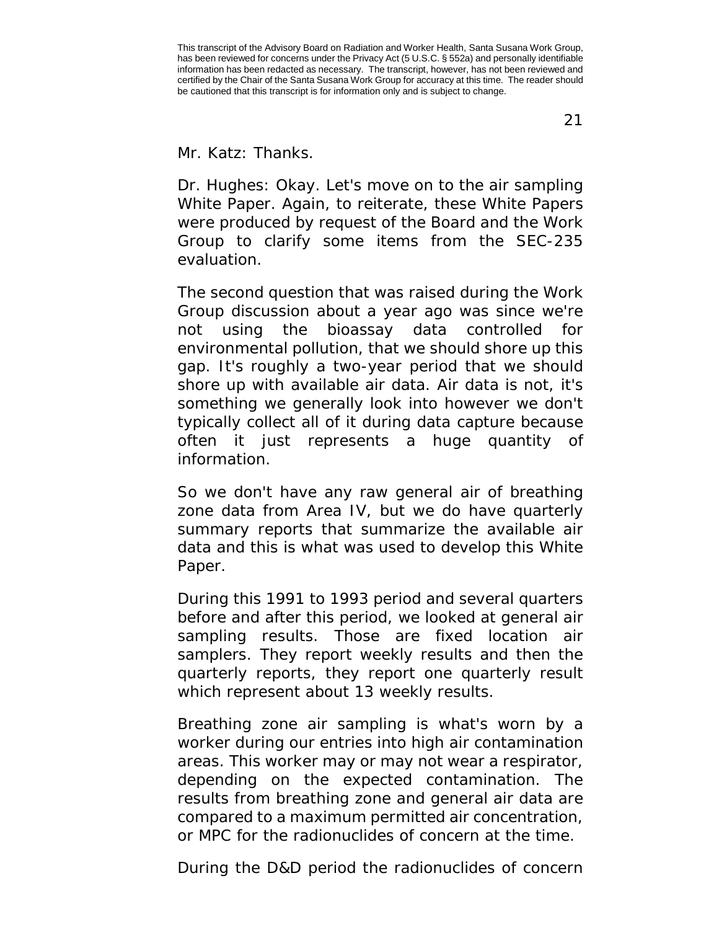21

Mr. Katz: Thanks.

Dr. Hughes: Okay. Let's move on to the air sampling White Paper. Again, to reiterate, these White Papers were produced by request of the Board and the Work Group to clarify some items from the SEC-235 evaluation.

The second question that was raised during the Work Group discussion about a year ago was since we're not using the bioassay data controlled for environmental pollution, that we should shore up this gap. It's roughly a two-year period that we should shore up with available air data. Air data is not, it's something we generally look into however we don't typically collect all of it during data capture because often it just represents a huge quantity of information.

So we don't have any raw general air of breathing zone data from Area IV, but we do have quarterly summary reports that summarize the available air data and this is what was used to develop this White Paper.

During this 1991 to 1993 period and several quarters before and after this period, we looked at general air sampling results. Those are fixed location air samplers. They report weekly results and then the quarterly reports, they report one quarterly result which represent about 13 weekly results.

Breathing zone air sampling is what's worn by a worker during our entries into high air contamination areas. This worker may or may not wear a respirator, depending on the expected contamination. The results from breathing zone and general air data are compared to a maximum permitted air concentration, or MPC for the radionuclides of concern at the time.

During the D&D period the radionuclides of concern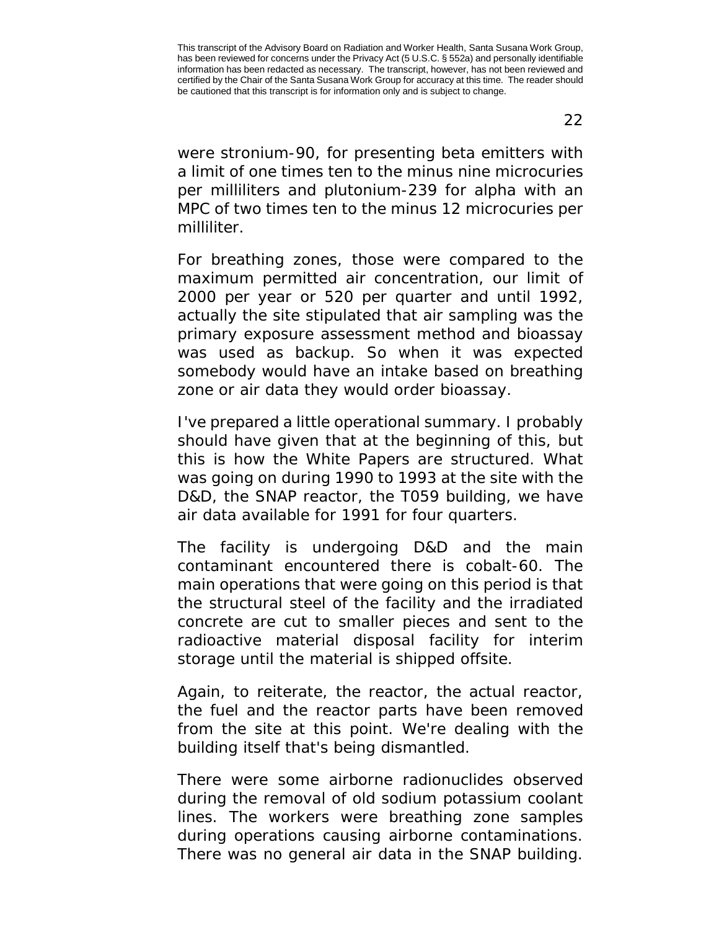22

were stronium-90, for presenting beta emitters with a limit of one times ten to the minus nine microcuries per milliliters and plutonium-239 for alpha with an MPC of two times ten to the minus 12 microcuries per milliliter.

For breathing zones, those were compared to the maximum permitted air concentration, our limit of 2000 per year or 520 per quarter and until 1992, actually the site stipulated that air sampling was the primary exposure assessment method and bioassay was used as backup. So when it was expected somebody would have an intake based on breathing zone or air data they would order bioassay.

I've prepared a little operational summary. I probably should have given that at the beginning of this, but this is how the White Papers are structured. What was going on during 1990 to 1993 at the site with the D&D, the SNAP reactor, the T059 building, we have air data available for 1991 for four quarters.

The facility is undergoing D&D and the main contaminant encountered there is cobalt-60. The main operations that were going on this period is that the structural steel of the facility and the irradiated concrete are cut to smaller pieces and sent to the radioactive material disposal facility for interim storage until the material is shipped offsite.

Again, to reiterate, the reactor, the actual reactor, the fuel and the reactor parts have been removed from the site at this point. We're dealing with the building itself that's being dismantled.

There were some airborne radionuclides observed during the removal of old sodium potassium coolant lines. The workers were breathing zone samples during operations causing airborne contaminations. There was no general air data in the SNAP building.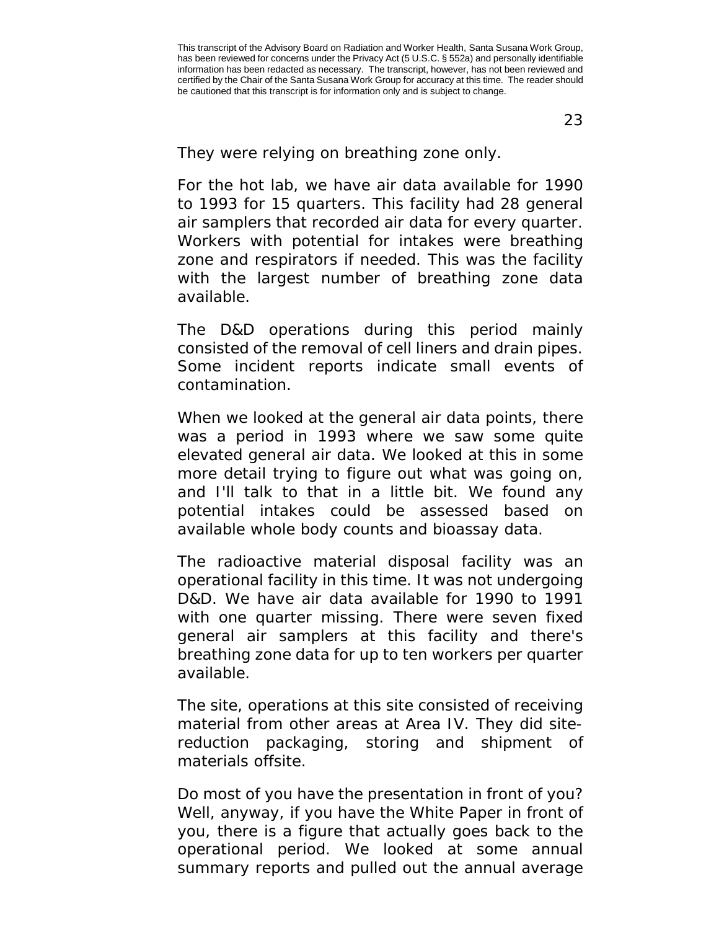23

They were relying on breathing zone only.

For the hot lab, we have air data available for 1990 to 1993 for 15 quarters. This facility had 28 general air samplers that recorded air data for every quarter. Workers with potential for intakes were breathing zone and respirators if needed. This was the facility with the largest number of breathing zone data available.

The D&D operations during this period mainly consisted of the removal of cell liners and drain pipes. Some incident reports indicate small events of contamination.

When we looked at the general air data points, there was a period in 1993 where we saw some quite elevated general air data. We looked at this in some more detail trying to figure out what was going on, and I'll talk to that in a little bit. We found any potential intakes could be assessed based on available whole body counts and bioassay data.

The radioactive material disposal facility was an operational facility in this time. It was not undergoing D&D. We have air data available for 1990 to 1991 with one quarter missing. There were seven fixed general air samplers at this facility and there's breathing zone data for up to ten workers per quarter available.

The site, operations at this site consisted of receiving material from other areas at Area IV. They did sitereduction packaging, storing and shipment of materials offsite.

Do most of you have the presentation in front of you? Well, anyway, if you have the White Paper in front of you, there is a figure that actually goes back to the operational period. We looked at some annual summary reports and pulled out the annual average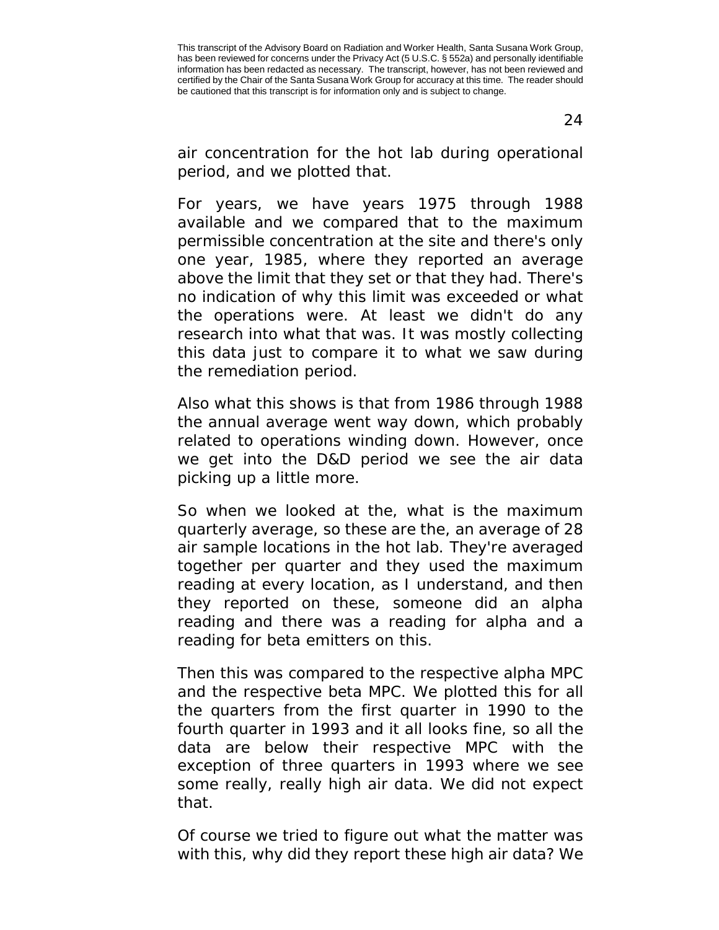air concentration for the hot lab during operational period, and we plotted that.

For years, we have years 1975 through 1988 available and we compared that to the maximum permissible concentration at the site and there's only one year, 1985, where they reported an average above the limit that they set or that they had. There's no indication of why this limit was exceeded or what the operations were. At least we didn't do any research into what that was. It was mostly collecting this data just to compare it to what we saw during the remediation period.

Also what this shows is that from 1986 through 1988 the annual average went way down, which probably related to operations winding down. However, once we get into the D&D period we see the air data picking up a little more.

So when we looked at the, what is the maximum quarterly average, so these are the, an average of 28 air sample locations in the hot lab. They're averaged together per quarter and they used the maximum reading at every location, as I understand, and then they reported on these, someone did an alpha reading and there was a reading for alpha and a reading for beta emitters on this.

Then this was compared to the respective alpha MPC and the respective beta MPC. We plotted this for all the quarters from the first quarter in 1990 to the fourth quarter in 1993 and it all looks fine, so all the data are below their respective MPC with the exception of three quarters in 1993 where we see some really, really high air data. We did not expect that.

Of course we tried to figure out what the matter was with this, why did they report these high air data? We

This transcript of the Advisory Board on Radiation and Worker Health, Santa Susana Work Group, has been reviewed for concerns under the Privacy Act (5 U.S.C. § 552a) and personally identifiable information has been redacted as necessary. The transcript, however, has not been reviewed and certified by the Chair of the Santa Susana Work Group for accuracy at this time. The reader should be cautioned that this transcript is for information only and is subject to change.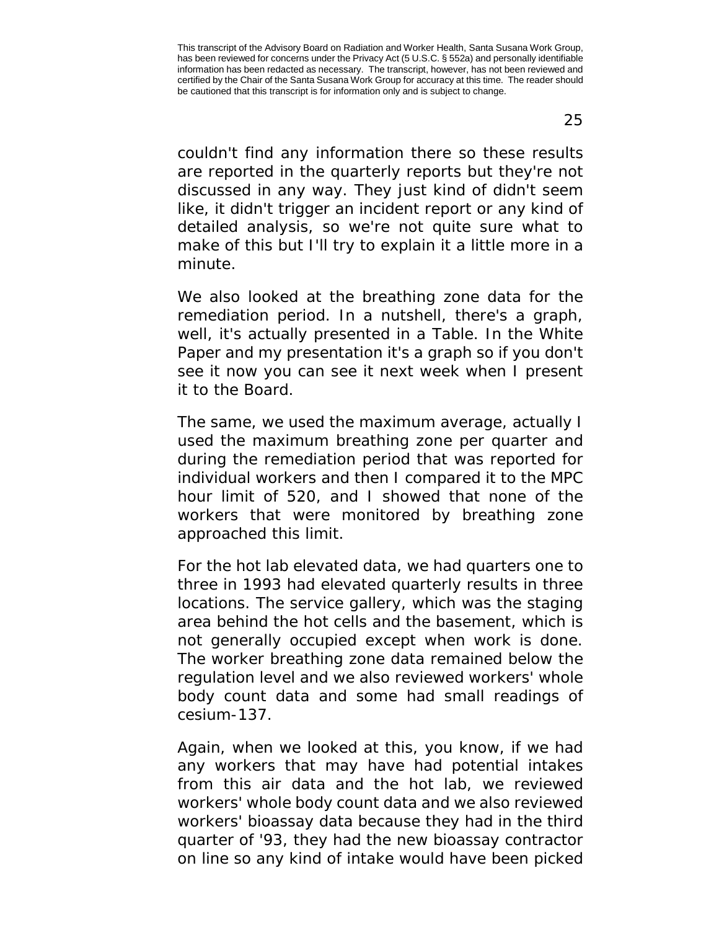25

couldn't find any information there so these results are reported in the quarterly reports but they're not discussed in any way. They just kind of didn't seem like, it didn't trigger an incident report or any kind of detailed analysis, so we're not quite sure what to make of this but I'll try to explain it a little more in a minute.

We also looked at the breathing zone data for the remediation period. In a nutshell, there's a graph, well, it's actually presented in a Table. In the White Paper and my presentation it's a graph so if you don't see it now you can see it next week when I present it to the Board.

The same, we used the maximum average, actually I used the maximum breathing zone per quarter and during the remediation period that was reported for individual workers and then I compared it to the MPC hour limit of 520, and I showed that none of the workers that were monitored by breathing zone approached this limit.

For the hot lab elevated data, we had quarters one to three in 1993 had elevated quarterly results in three locations. The service gallery, which was the staging area behind the hot cells and the basement, which is not generally occupied except when work is done. The worker breathing zone data remained below the regulation level and we also reviewed workers' whole body count data and some had small readings of cesium-137.

Again, when we looked at this, you know, if we had any workers that may have had potential intakes from this air data and the hot lab, we reviewed workers' whole body count data and we also reviewed workers' bioassay data because they had in the third quarter of '93, they had the new bioassay contractor on line so any kind of intake would have been picked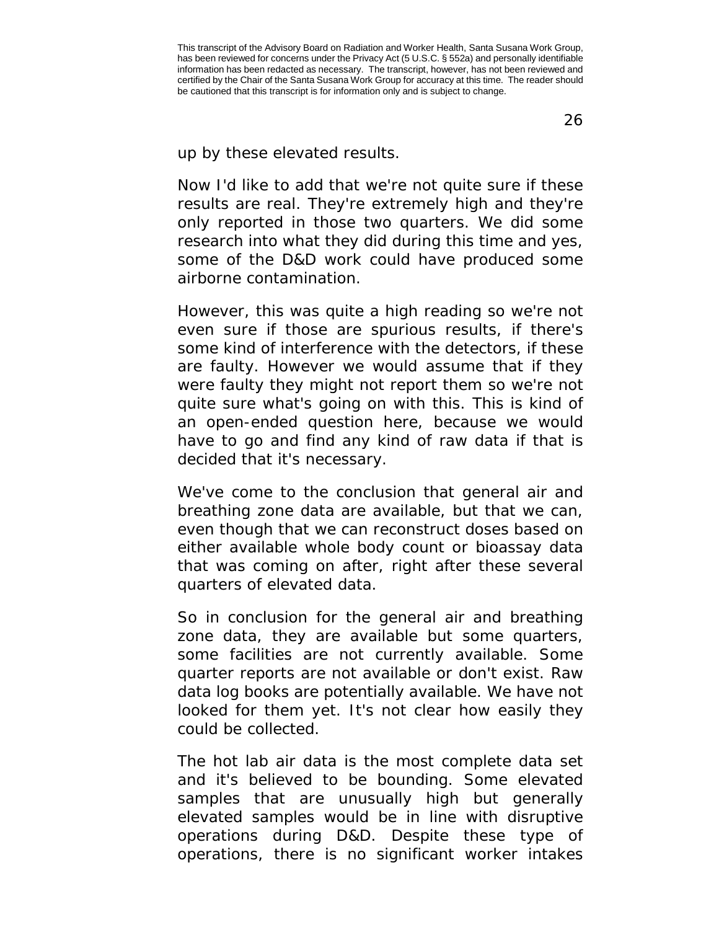up by these elevated results.

Now I'd like to add that we're not quite sure if these results are real. They're extremely high and they're only reported in those two quarters. We did some research into what they did during this time and yes, some of the D&D work could have produced some airborne contamination.

However, this was quite a high reading so we're not even sure if those are spurious results, if there's some kind of interference with the detectors, if these are faulty. However we would assume that if they were faulty they might not report them so we're not quite sure what's going on with this. This is kind of an open-ended question here, because we would have to go and find any kind of raw data if that is decided that it's necessary.

We've come to the conclusion that general air and breathing zone data are available, but that we can, even though that we can reconstruct doses based on either available whole body count or bioassay data that was coming on after, right after these several quarters of elevated data.

So in conclusion for the general air and breathing zone data, they are available but some quarters, some facilities are not currently available. Some quarter reports are not available or don't exist. Raw data log books are potentially available. We have not looked for them yet. It's not clear how easily they could be collected.

The hot lab air data is the most complete data set and it's believed to be bounding. Some elevated samples that are unusually high but generally elevated samples would be in line with disruptive operations during D&D. Despite these type of operations, there is no significant worker intakes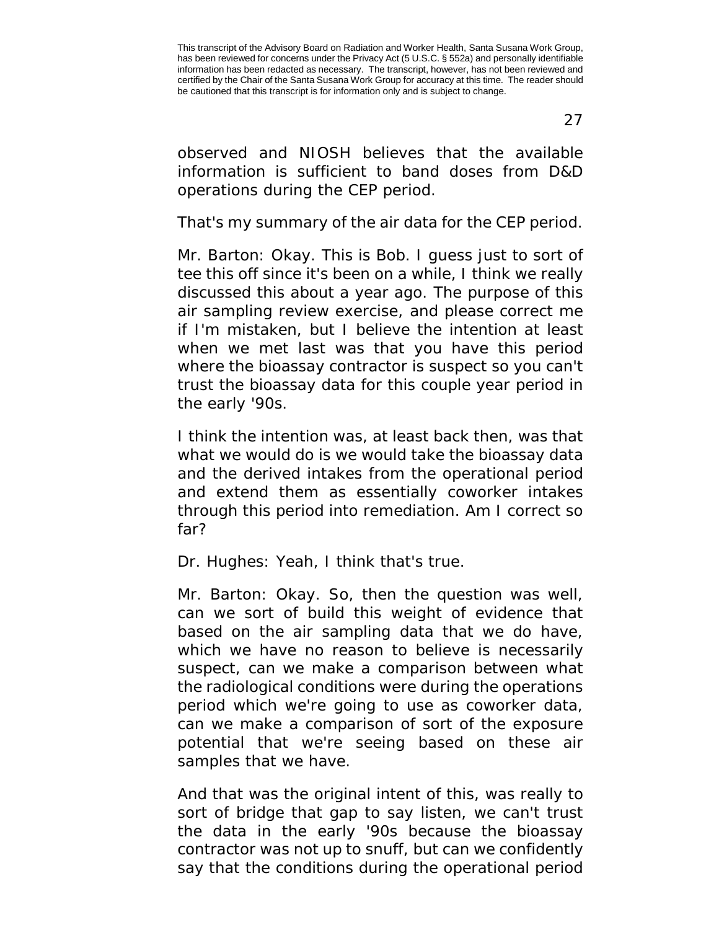27

observed and NIOSH believes that the available information is sufficient to band doses from D&D operations during the CEP period.

That's my summary of the air data for the CEP period.

Mr. Barton: Okay. This is Bob. I guess just to sort of tee this off since it's been on a while, I think we really discussed this about a year ago. The purpose of this air sampling review exercise, and please correct me if I'm mistaken, but I believe the intention at least when we met last was that you have this period where the bioassay contractor is suspect so you can't trust the bioassay data for this couple year period in the early '90s.

I think the intention was, at least back then, was that what we would do is we would take the bioassay data and the derived intakes from the operational period and extend them as essentially coworker intakes through this period into remediation. Am I correct so far?

Dr. Hughes: Yeah, I think that's true.

Mr. Barton: Okay. So, then the question was well, can we sort of build this weight of evidence that based on the air sampling data that we do have, which we have no reason to believe is necessarily suspect, can we make a comparison between what the radiological conditions were during the operations period which we're going to use as coworker data, can we make a comparison of sort of the exposure potential that we're seeing based on these air samples that we have.

And that was the original intent of this, was really to sort of bridge that gap to say listen, we can't trust the data in the early '90s because the bioassay contractor was not up to snuff, but can we confidently say that the conditions during the operational period

This transcript of the Advisory Board on Radiation and Worker Health, Santa Susana Work Group, has been reviewed for concerns under the Privacy Act (5 U.S.C. § 552a) and personally identifiable information has been redacted as necessary. The transcript, however, has not been reviewed and certified by the Chair of the Santa Susana Work Group for accuracy at this time. The reader should be cautioned that this transcript is for information only and is subject to change.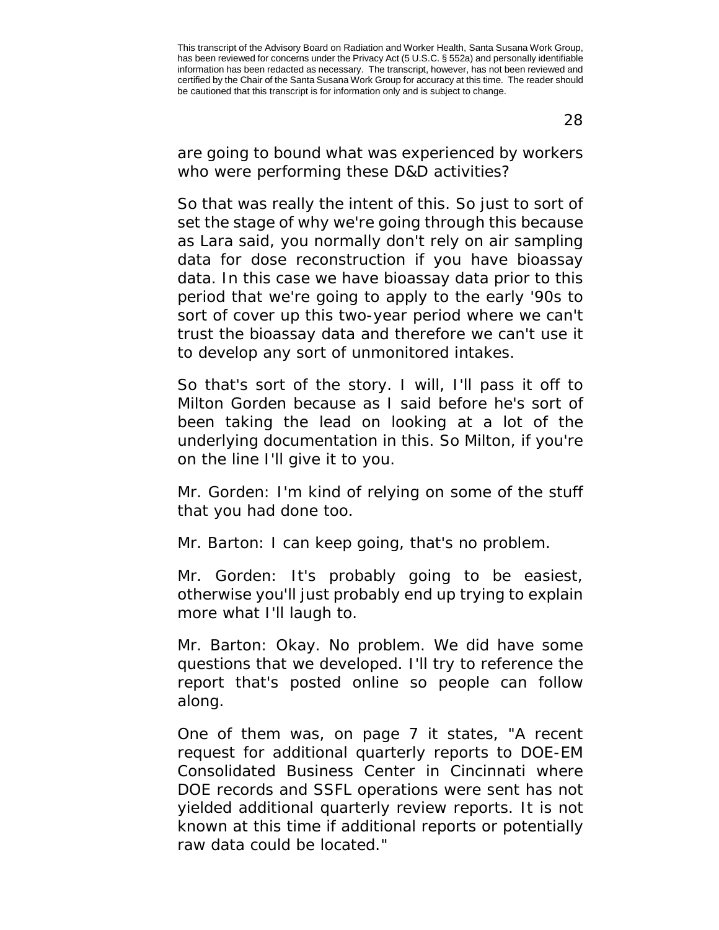are going to bound what was experienced by workers who were performing these D&D activities?

So that was really the intent of this. So just to sort of set the stage of why we're going through this because as Lara said, you normally don't rely on air sampling data for dose reconstruction if you have bioassay data. In this case we have bioassay data prior to this period that we're going to apply to the early '90s to sort of cover up this two-year period where we can't trust the bioassay data and therefore we can't use it to develop any sort of unmonitored intakes.

So that's sort of the story. I will, I'll pass it off to Milton Gorden because as I said before he's sort of been taking the lead on looking at a lot of the underlying documentation in this. So Milton, if you're on the line I'll give it to you.

Mr. Gorden: I'm kind of relying on some of the stuff that you had done too.

Mr. Barton: I can keep going, that's no problem.

Mr. Gorden: It's probably going to be easiest, otherwise you'll just probably end up trying to explain more what I'll laugh to.

Mr. Barton: Okay. No problem. We did have some questions that we developed. I'll try to reference the report that's posted online so people can follow along.

One of them was, on page 7 it states, "A recent request for additional quarterly reports to DOE-EM Consolidated Business Center in Cincinnati where DOE records and SSFL operations were sent has not yielded additional quarterly review reports. It is not known at this time if additional reports or potentially raw data could be located."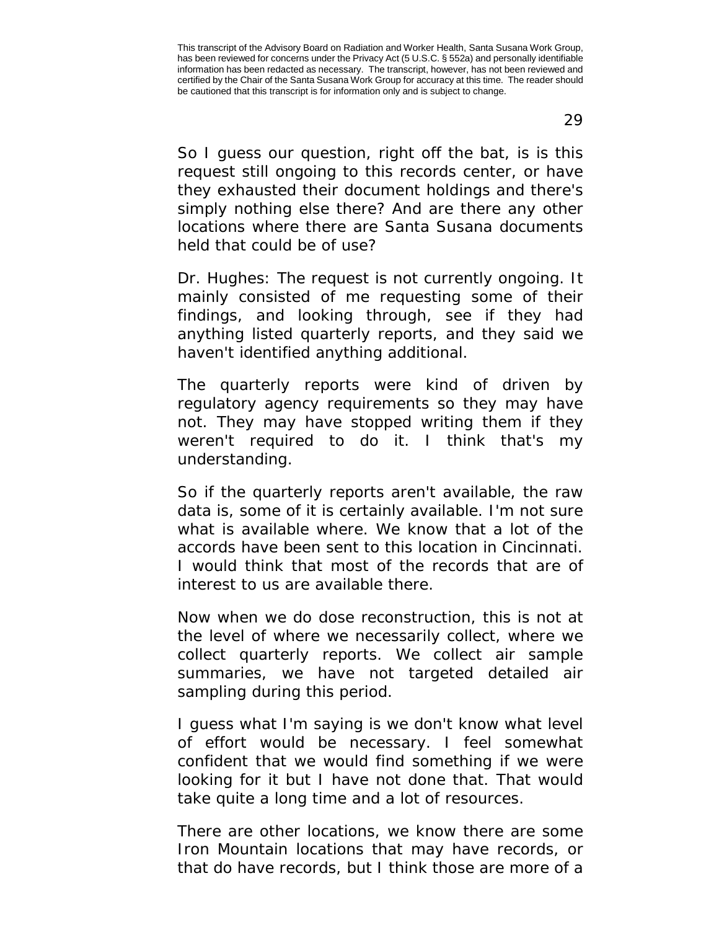29

So I guess our question, right off the bat, is is this request still ongoing to this records center, or have they exhausted their document holdings and there's simply nothing else there? And are there any other locations where there are Santa Susana documents held that could be of use?

Dr. Hughes: The request is not currently ongoing. It mainly consisted of me requesting some of their findings, and looking through, see if they had anything listed quarterly reports, and they said we haven't identified anything additional.

The quarterly reports were kind of driven by regulatory agency requirements so they may have not. They may have stopped writing them if they weren't required to do it. I think that's my understanding.

So if the quarterly reports aren't available, the raw data is, some of it is certainly available. I'm not sure what is available where. We know that a lot of the accords have been sent to this location in Cincinnati. I would think that most of the records that are of interest to us are available there.

Now when we do dose reconstruction, this is not at the level of where we necessarily collect, where we collect quarterly reports. We collect air sample summaries, we have not targeted detailed air sampling during this period.

I guess what I'm saying is we don't know what level of effort would be necessary. I feel somewhat confident that we would find something if we were looking for it but I have not done that. That would take quite a long time and a lot of resources.

There are other locations, we know there are some Iron Mountain locations that may have records, or that do have records, but I think those are more of a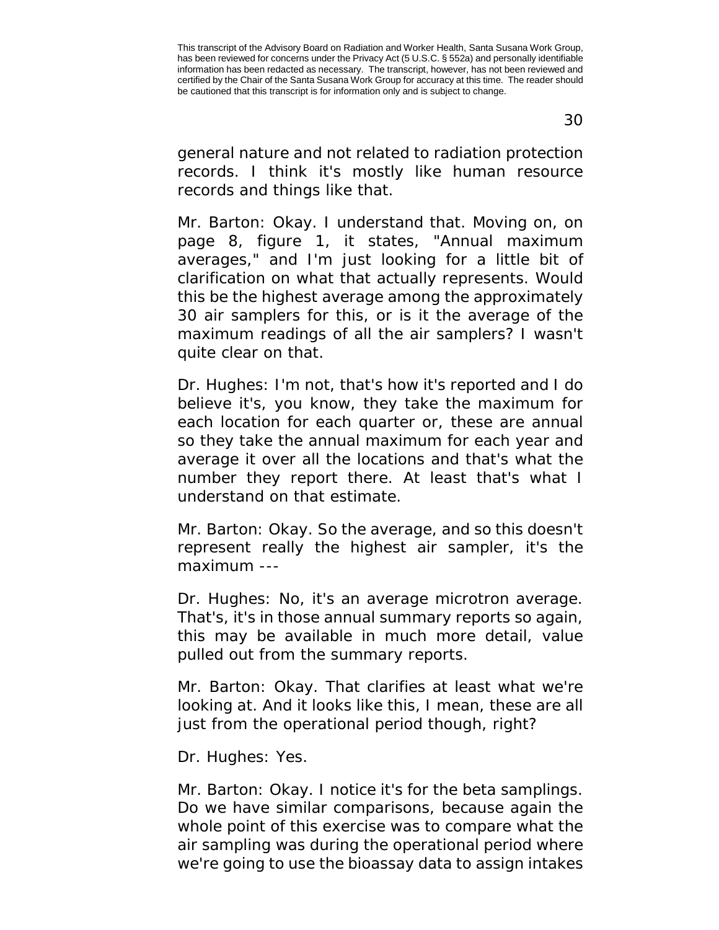general nature and not related to radiation protection records. I think it's mostly like human resource records and things like that.

Mr. Barton: Okay. I understand that. Moving on, on page 8, figure 1, it states, "Annual maximum averages," and I'm just looking for a little bit of clarification on what that actually represents. Would this be the highest average among the approximately 30 air samplers for this, or is it the average of the maximum readings of all the air samplers? I wasn't quite clear on that.

Dr. Hughes: I'm not, that's how it's reported and I do believe it's, you know, they take the maximum for each location for each quarter or, these are annual so they take the annual maximum for each year and average it over all the locations and that's what the number they report there. At least that's what I understand on that estimate.

Mr. Barton: Okay. So the average, and so this doesn't represent really the highest air sampler, it's the maximum ---

Dr. Hughes: No, it's an average microtron average. That's, it's in those annual summary reports so again, this may be available in much more detail, value pulled out from the summary reports.

Mr. Barton: Okay. That clarifies at least what we're looking at. And it looks like this, I mean, these are all just from the operational period though, right?

Dr. Hughes: Yes.

Mr. Barton: Okay. I notice it's for the beta samplings. Do we have similar comparisons, because again the whole point of this exercise was to compare what the air sampling was during the operational period where we're going to use the bioassay data to assign intakes

This transcript of the Advisory Board on Radiation and Worker Health, Santa Susana Work Group, has been reviewed for concerns under the Privacy Act (5 U.S.C. § 552a) and personally identifiable information has been redacted as necessary. The transcript, however, has not been reviewed and certified by the Chair of the Santa Susana Work Group for accuracy at this time. The reader should be cautioned that this transcript is for information only and is subject to change.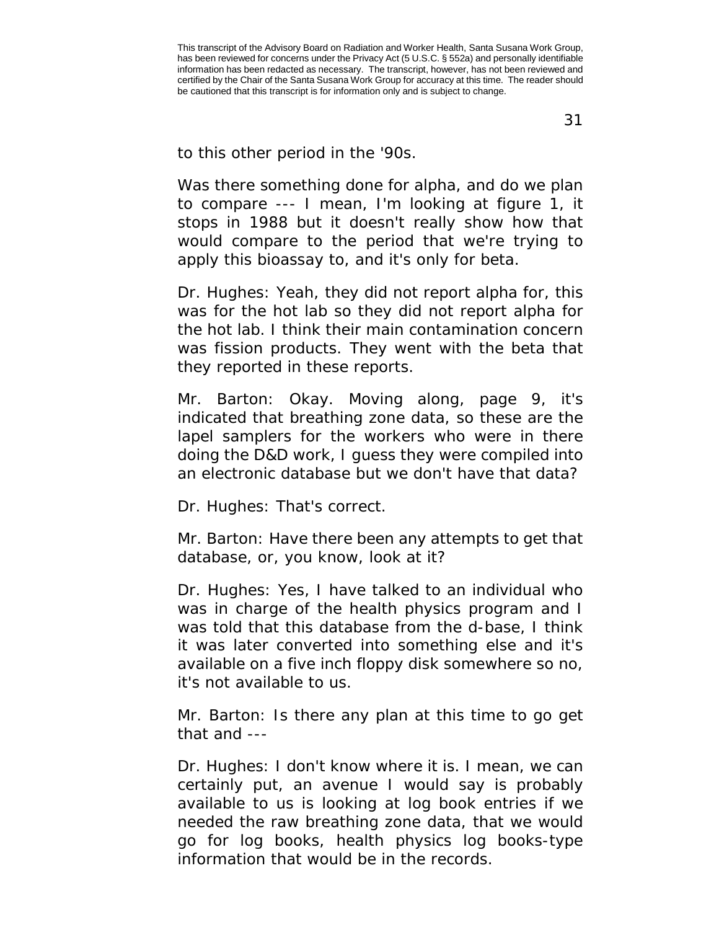31

to this other period in the '90s.

Was there something done for alpha, and do we plan to compare --- I mean, I'm looking at figure 1, it stops in 1988 but it doesn't really show how that would compare to the period that we're trying to apply this bioassay to, and it's only for beta.

Dr. Hughes: Yeah, they did not report alpha for, this was for the hot lab so they did not report alpha for the hot lab. I think their main contamination concern was fission products. They went with the beta that they reported in these reports.

Mr. Barton: Okay. Moving along, page 9, it's indicated that breathing zone data, so these are the lapel samplers for the workers who were in there doing the D&D work, I guess they were compiled into an electronic database but we don't have that data?

Dr. Hughes: That's correct.

Mr. Barton: Have there been any attempts to get that database, or, you know, look at it?

Dr. Hughes: Yes, I have talked to an individual who was in charge of the health physics program and I was told that this database from the d-base, I think it was later converted into something else and it's available on a five inch floppy disk somewhere so no, it's not available to us.

Mr. Barton: Is there any plan at this time to go get that and ---

Dr. Hughes: I don't know where it is. I mean, we can certainly put, an avenue I would say is probably available to us is looking at log book entries if we needed the raw breathing zone data, that we would go for log books, health physics log books-type information that would be in the records.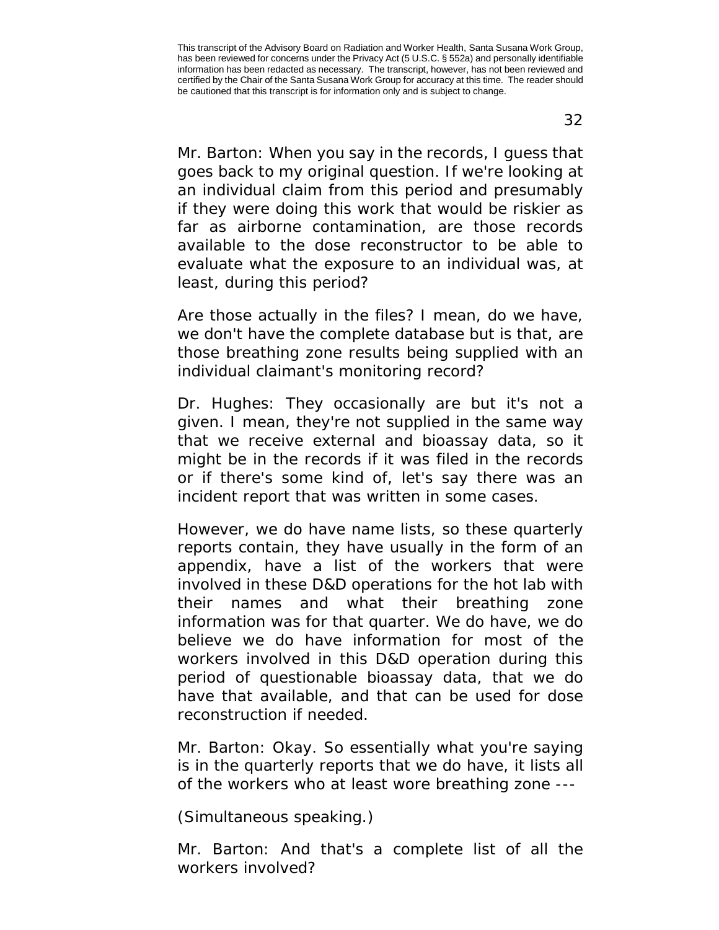32

Mr. Barton: When you say in the records, I guess that goes back to my original question. If we're looking at an individual claim from this period and presumably if they were doing this work that would be riskier as far as airborne contamination, are those records available to the dose reconstructor to be able to evaluate what the exposure to an individual was, at least, during this period?

Are those actually in the files? I mean, do we have, we don't have the complete database but is that, are those breathing zone results being supplied with an individual claimant's monitoring record?

Dr. Hughes: They occasionally are but it's not a given. I mean, they're not supplied in the same way that we receive external and bioassay data, so it might be in the records if it was filed in the records or if there's some kind of, let's say there was an incident report that was written in some cases.

However, we do have name lists, so these quarterly reports contain, they have usually in the form of an appendix, have a list of the workers that were involved in these D&D operations for the hot lab with their names and what their breathing zone information was for that quarter. We do have, we do believe we do have information for most of the workers involved in this D&D operation during this period of questionable bioassay data, that we do have that available, and that can be used for dose reconstruction if needed.

Mr. Barton: Okay. So essentially what you're saying is in the quarterly reports that we do have, it lists all of the workers who at least wore breathing zone ---

(Simultaneous speaking.)

Mr. Barton: And that's a complete list of all the workers involved?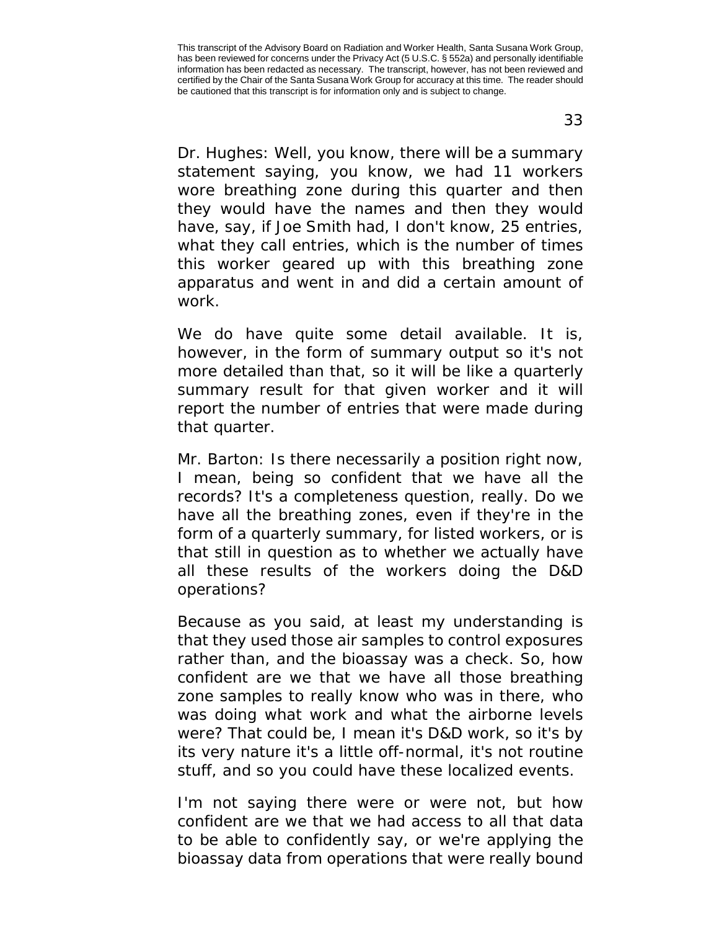33

Dr. Hughes: Well, you know, there will be a summary statement saying, you know, we had 11 workers wore breathing zone during this quarter and then they would have the names and then they would have, say, if Joe Smith had, I don't know, 25 entries, what they call entries, which is the number of times this worker geared up with this breathing zone apparatus and went in and did a certain amount of work.

We do have quite some detail available. It is, however, in the form of summary output so it's not more detailed than that, so it will be like a quarterly summary result for that given worker and it will report the number of entries that were made during that quarter.

Mr. Barton: Is there necessarily a position right now, I mean, being so confident that we have all the records? It's a completeness question, really. Do we have all the breathing zones, even if they're in the form of a quarterly summary, for listed workers, or is that still in question as to whether we actually have all these results of the workers doing the D&D operations?

Because as you said, at least my understanding is that they used those air samples to control exposures rather than, and the bioassay was a check. So, how confident are we that we have all those breathing zone samples to really know who was in there, who was doing what work and what the airborne levels were? That could be, I mean it's D&D work, so it's by its very nature it's a little off-normal, it's not routine stuff, and so you could have these localized events.

I'm not saying there were or were not, but how confident are we that we had access to all that data to be able to confidently say, or we're applying the bioassay data from operations that were really bound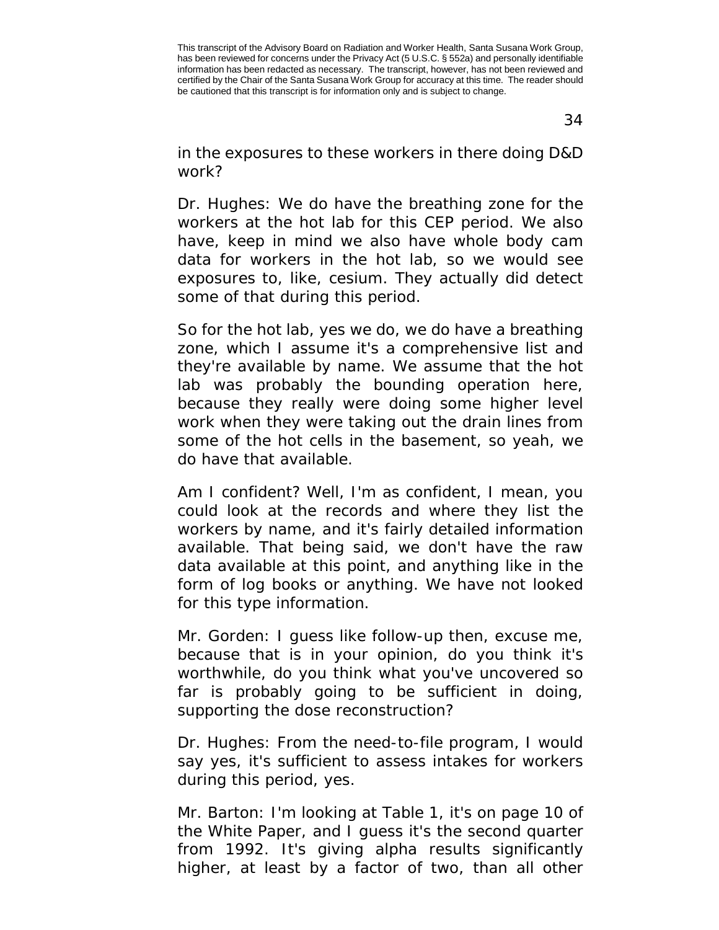34

in the exposures to these workers in there doing D&D work?

Dr. Hughes: We do have the breathing zone for the workers at the hot lab for this CEP period. We also have, keep in mind we also have whole body cam data for workers in the hot lab, so we would see exposures to, like, cesium. They actually did detect some of that during this period.

So for the hot lab, yes we do, we do have a breathing zone, which I assume it's a comprehensive list and they're available by name. We assume that the hot lab was probably the bounding operation here, because they really were doing some higher level work when they were taking out the drain lines from some of the hot cells in the basement, so yeah, we do have that available.

Am I confident? Well, I'm as confident, I mean, you could look at the records and where they list the workers by name, and it's fairly detailed information available. That being said, we don't have the raw data available at this point, and anything like in the form of log books or anything. We have not looked for this type information.

Mr. Gorden: I guess like follow-up then, excuse me, because that is in your opinion, do you think it's worthwhile, do you think what you've uncovered so far is probably going to be sufficient in doing, supporting the dose reconstruction?

Dr. Hughes: From the need-to-file program, I would say yes, it's sufficient to assess intakes for workers during this period, yes.

Mr. Barton: I'm looking at Table 1, it's on page 10 of the White Paper, and I guess it's the second quarter from 1992. It's giving alpha results significantly higher, at least by a factor of two, than all other

This transcript of the Advisory Board on Radiation and Worker Health, Santa Susana Work Group, has been reviewed for concerns under the Privacy Act (5 U.S.C. § 552a) and personally identifiable information has been redacted as necessary. The transcript, however, has not been reviewed and certified by the Chair of the Santa Susana Work Group for accuracy at this time. The reader should be cautioned that this transcript is for information only and is subject to change.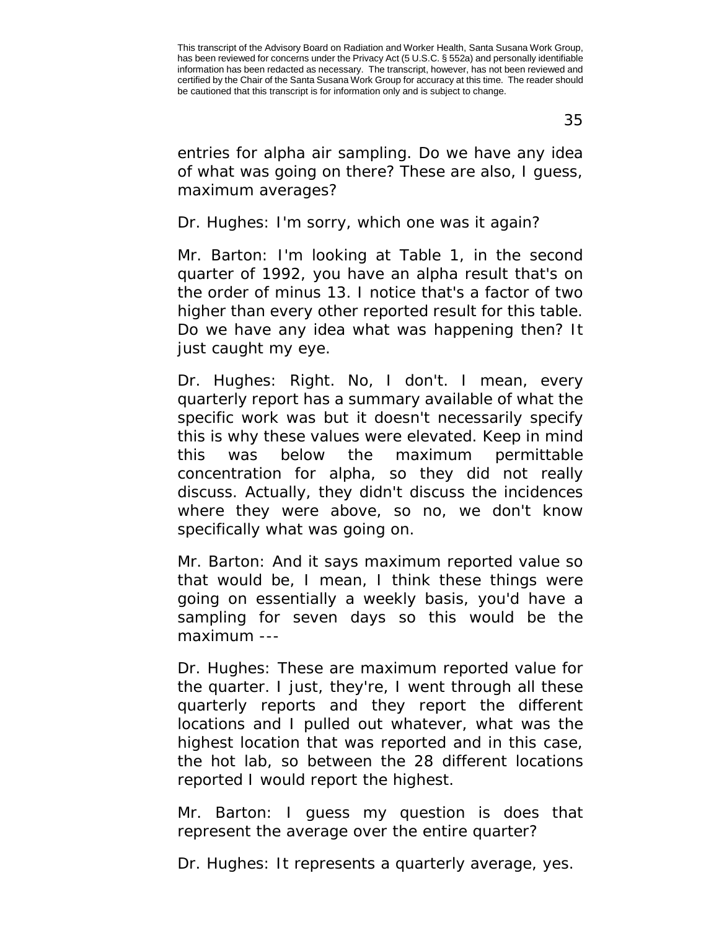entries for alpha air sampling. Do we have any idea of what was going on there? These are also, I guess, maximum averages?

Dr. Hughes: I'm sorry, which one was it again?

Mr. Barton: I'm looking at Table 1, in the second quarter of 1992, you have an alpha result that's on the order of minus 13. I notice that's a factor of two higher than every other reported result for this table. Do we have any idea what was happening then? It just caught my eye.

Dr. Hughes: Right. No, I don't. I mean, every quarterly report has a summary available of what the specific work was but it doesn't necessarily specify this is why these values were elevated. Keep in mind this was below the maximum permittable concentration for alpha, so they did not really discuss. Actually, they didn't discuss the incidences where they were above, so no, we don't know specifically what was going on.

Mr. Barton: And it says maximum reported value so that would be, I mean, I think these things were going on essentially a weekly basis, you'd have a sampling for seven days so this would be the maximum ---

Dr. Hughes: These are maximum reported value for the quarter. I just, they're, I went through all these quarterly reports and they report the different locations and I pulled out whatever, what was the highest location that was reported and in this case, the hot lab, so between the 28 different locations reported I would report the highest.

Mr. Barton: I guess my question is does that represent the average over the entire quarter?

Dr. Hughes: It represents a quarterly average, yes.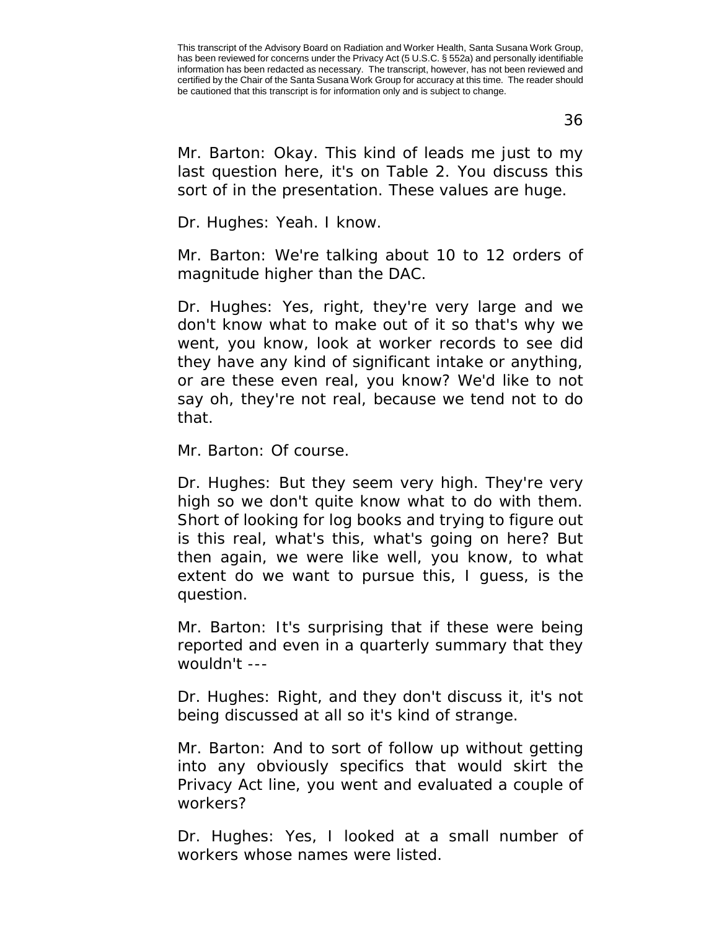36

Mr. Barton: Okay. This kind of leads me just to my last question here, it's on Table 2. You discuss this sort of in the presentation. These values are huge.

Dr. Hughes: Yeah. I know.

Mr. Barton: We're talking about 10 to 12 orders of magnitude higher than the DAC.

Dr. Hughes: Yes, right, they're very large and we don't know what to make out of it so that's why we went, you know, look at worker records to see did they have any kind of significant intake or anything, or are these even real, you know? We'd like to not say oh, they're not real, because we tend not to do that.

Mr. Barton: Of course.

Dr. Hughes: But they seem very high. They're very high so we don't quite know what to do with them. Short of looking for log books and trying to figure out is this real, what's this, what's going on here? But then again, we were like well, you know, to what extent do we want to pursue this, I guess, is the question.

Mr. Barton: It's surprising that if these were being reported and even in a quarterly summary that they wouldn't ---

Dr. Hughes: Right, and they don't discuss it, it's not being discussed at all so it's kind of strange.

Mr. Barton: And to sort of follow up without getting into any obviously specifics that would skirt the Privacy Act line, you went and evaluated a couple of workers?

Dr. Hughes: Yes, I looked at a small number of workers whose names were listed.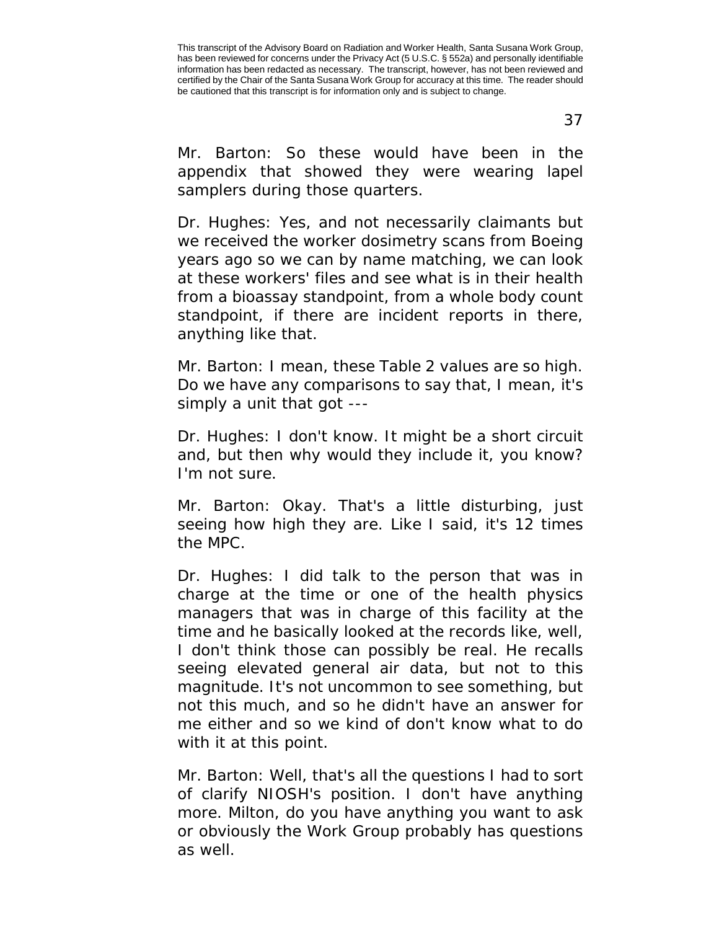37

Mr. Barton: So these would have been in the appendix that showed they were wearing lapel samplers during those quarters.

Dr. Hughes: Yes, and not necessarily claimants but we received the worker dosimetry scans from Boeing years ago so we can by name matching, we can look at these workers' files and see what is in their health from a bioassay standpoint, from a whole body count standpoint, if there are incident reports in there, anything like that.

Mr. Barton: I mean, these Table 2 values are so high. Do we have any comparisons to say that, I mean, it's simply a unit that got ---

Dr. Hughes: I don't know. It might be a short circuit and, but then why would they include it, you know? I'm not sure.

Mr. Barton: Okay. That's a little disturbing, just seeing how high they are. Like I said, it's 12 times the MPC.

Dr. Hughes: I did talk to the person that was in charge at the time or one of the health physics managers that was in charge of this facility at the time and he basically looked at the records like, well, I don't think those can possibly be real. He recalls seeing elevated general air data, but not to this magnitude. It's not uncommon to see something, but not this much, and so he didn't have an answer for me either and so we kind of don't know what to do with it at this point.

Mr. Barton: Well, that's all the questions I had to sort of clarify NIOSH's position. I don't have anything more. Milton, do you have anything you want to ask or obviously the Work Group probably has questions as well.

This transcript of the Advisory Board on Radiation and Worker Health, Santa Susana Work Group, has been reviewed for concerns under the Privacy Act (5 U.S.C. § 552a) and personally identifiable information has been redacted as necessary. The transcript, however, has not been reviewed and certified by the Chair of the Santa Susana Work Group for accuracy at this time. The reader should be cautioned that this transcript is for information only and is subject to change.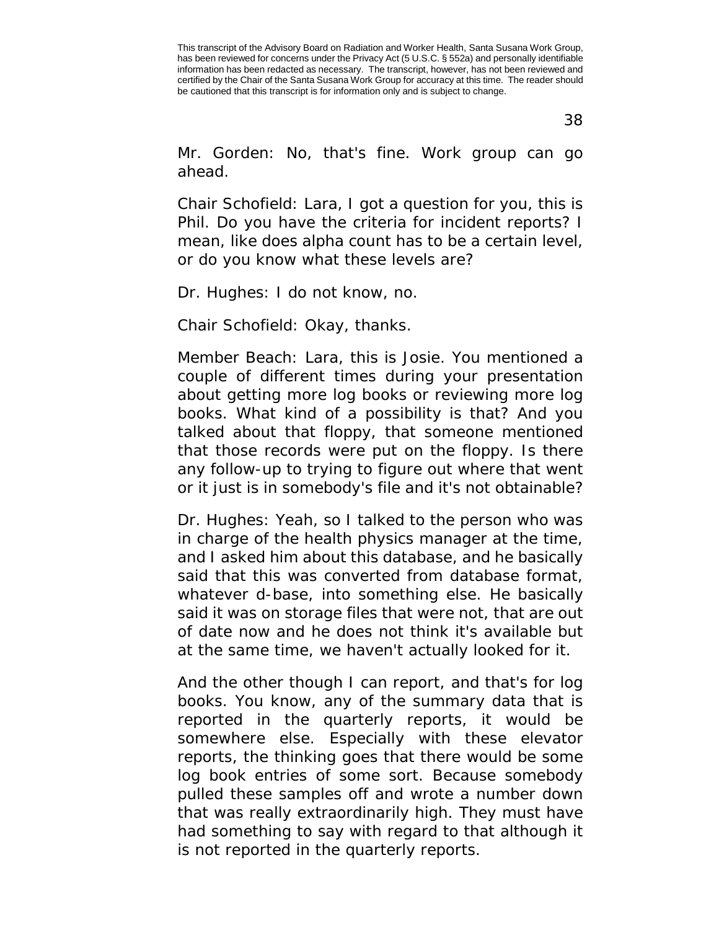38

Mr. Gorden: No, that's fine. Work group can go ahead.

Chair Schofield: Lara, I got a question for you, this is Phil. Do you have the criteria for incident reports? I mean, like does alpha count has to be a certain level, or do you know what these levels are?

Dr. Hughes: I do not know, no.

Chair Schofield: Okay, thanks.

Member Beach: Lara, this is Josie. You mentioned a couple of different times during your presentation about getting more log books or reviewing more log books. What kind of a possibility is that? And you talked about that floppy, that someone mentioned that those records were put on the floppy. Is there any follow-up to trying to figure out where that went or it just is in somebody's file and it's not obtainable?

Dr. Hughes: Yeah, so I talked to the person who was in charge of the health physics manager at the time, and I asked him about this database, and he basically said that this was converted from database format, whatever d-base, into something else. He basically said it was on storage files that were not, that are out of date now and he does not think it's available but at the same time, we haven't actually looked for it.

And the other though I can report, and that's for log books. You know, any of the summary data that is reported in the quarterly reports, it would be somewhere else. Especially with these elevator reports, the thinking goes that there would be some log book entries of some sort. Because somebody pulled these samples off and wrote a number down that was really extraordinarily high. They must have had something to say with regard to that although it is not reported in the quarterly reports.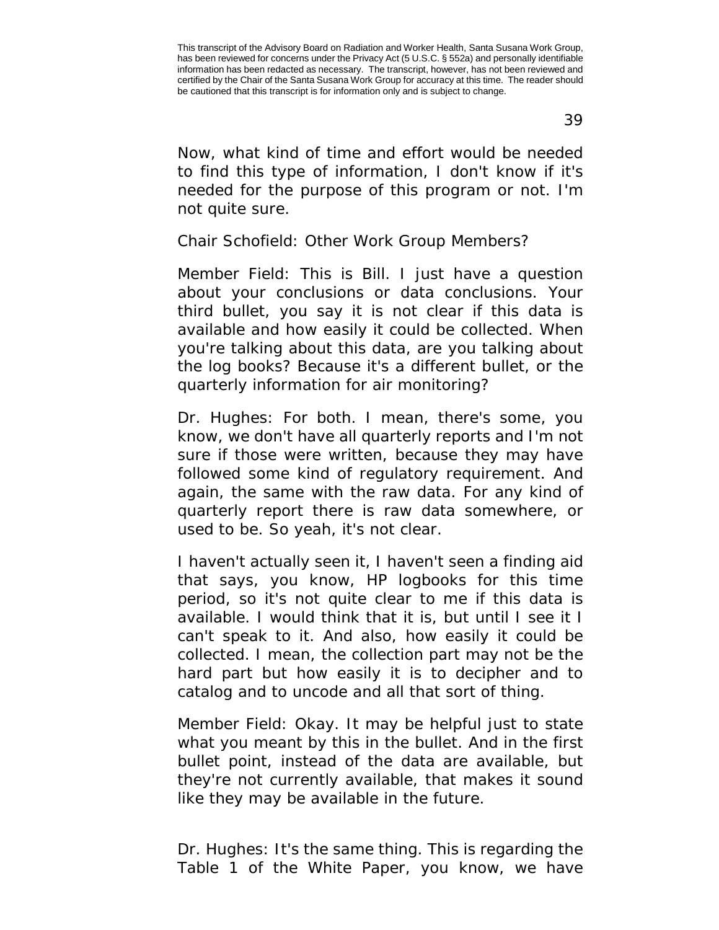Now, what kind of time and effort would be needed to find this type of information, I don't know if it's needed for the purpose of this program or not. I'm not quite sure.

Chair Schofield: Other Work Group Members?

Member Field: This is Bill. I just have a question about your conclusions or data conclusions. Your third bullet, you say it is not clear if this data is available and how easily it could be collected. When you're talking about this data, are you talking about the log books? Because it's a different bullet, or the quarterly information for air monitoring?

Dr. Hughes: For both. I mean, there's some, you know, we don't have all quarterly reports and I'm not sure if those were written, because they may have followed some kind of regulatory requirement. And again, the same with the raw data. For any kind of quarterly report there is raw data somewhere, or used to be. So yeah, it's not clear.

I haven't actually seen it, I haven't seen a finding aid that says, you know, HP logbooks for this time period, so it's not quite clear to me if this data is available. I would think that it is, but until I see it I can't speak to it. And also, how easily it could be collected. I mean, the collection part may not be the hard part but how easily it is to decipher and to catalog and to uncode and all that sort of thing.

Member Field: Okay. It may be helpful just to state what you meant by this in the bullet. And in the first bullet point, instead of the data are available, but they're not currently available, that makes it sound like they may be available in the future.

Dr. Hughes: It's the same thing. This is regarding the Table 1 of the White Paper, you know, we have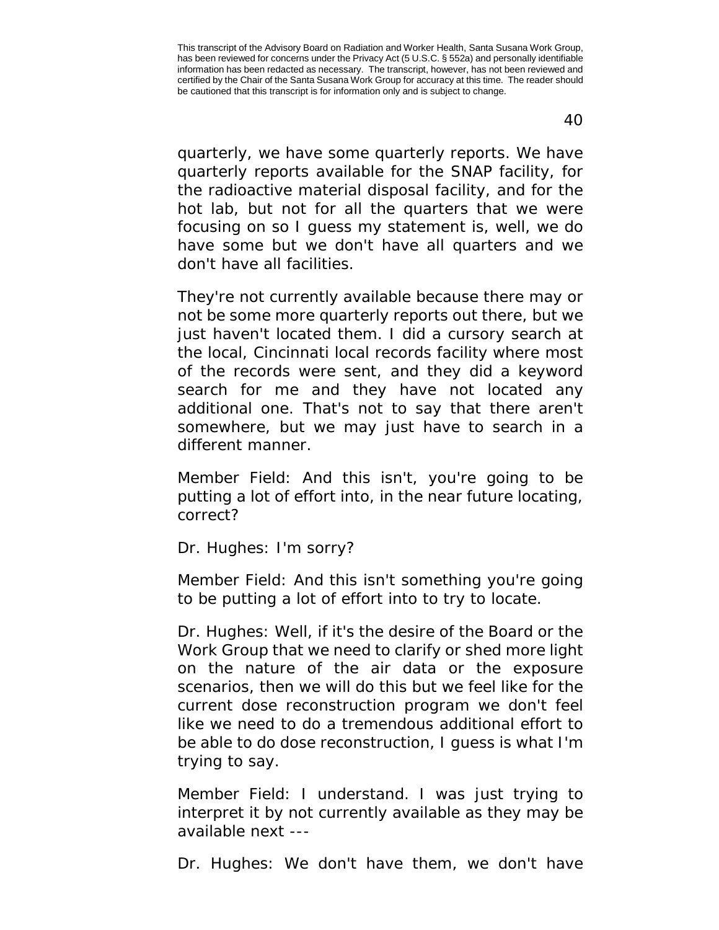40

quarterly, we have some quarterly reports. We have quarterly reports available for the SNAP facility, for the radioactive material disposal facility, and for the hot lab, but not for all the quarters that we were focusing on so I guess my statement is, well, we do have some but we don't have all quarters and we don't have all facilities.

They're not currently available because there may or not be some more quarterly reports out there, but we just haven't located them. I did a cursory search at the local, Cincinnati local records facility where most of the records were sent, and they did a keyword search for me and they have not located any additional one. That's not to say that there aren't somewhere, but we may just have to search in a different manner.

Member Field: And this isn't, you're going to be putting a lot of effort into, in the near future locating, correct?

Dr. Hughes: I'm sorry?

Member Field: And this isn't something you're going to be putting a lot of effort into to try to locate.

Dr. Hughes: Well, if it's the desire of the Board or the Work Group that we need to clarify or shed more light on the nature of the air data or the exposure scenarios, then we will do this but we feel like for the current dose reconstruction program we don't feel like we need to do a tremendous additional effort to be able to do dose reconstruction, I guess is what I'm trying to say.

Member Field: I understand. I was just trying to interpret it by not currently available as they may be available next ---

Dr. Hughes: We don't have them, we don't have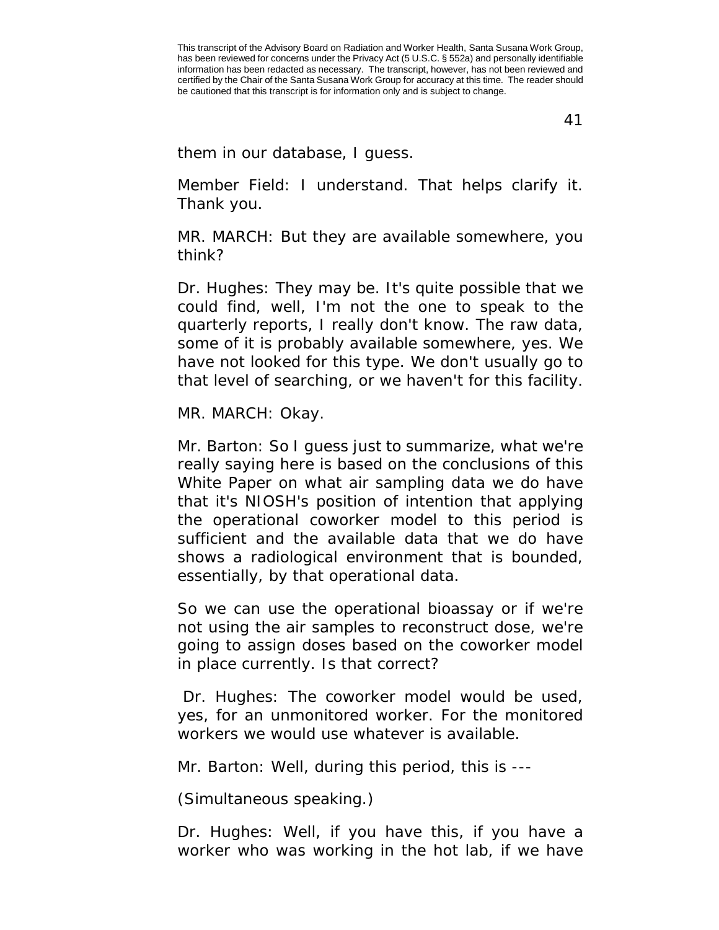41

them in our database, I guess.

Member Field: I understand. That helps clarify it. Thank you.

MR. MARCH: But they are available somewhere, you think?

Dr. Hughes: They may be. It's quite possible that we could find, well, I'm not the one to speak to the quarterly reports, I really don't know. The raw data, some of it is probably available somewhere, yes. We have not looked for this type. We don't usually go to that level of searching, or we haven't for this facility.

MR. MARCH: Okay.

Mr. Barton: So I guess just to summarize, what we're really saying here is based on the conclusions of this White Paper on what air sampling data we do have that it's NIOSH's position of intention that applying the operational coworker model to this period is sufficient and the available data that we do have shows a radiological environment that is bounded, essentially, by that operational data.

So we can use the operational bioassay or if we're not using the air samples to reconstruct dose, we're going to assign doses based on the coworker model in place currently. Is that correct?

Dr. Hughes: The coworker model would be used, yes, for an unmonitored worker. For the monitored workers we would use whatever is available.

Mr. Barton: Well, during this period, this is ---

(Simultaneous speaking.)

Dr. Hughes: Well, if you have this, if you have a worker who was working in the hot lab, if we have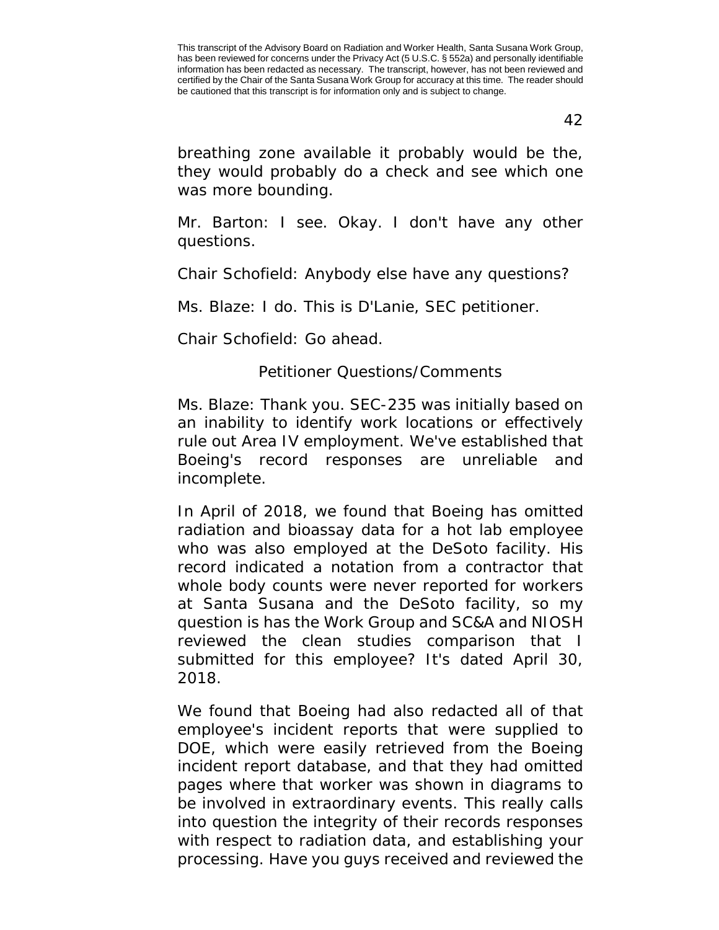42

breathing zone available it probably would be the, they would probably do a check and see which one was more bounding.

Mr. Barton: I see. Okay. I don't have any other questions.

Chair Schofield: Anybody else have any questions?

Ms. Blaze: I do. This is D'Lanie, SEC petitioner.

Chair Schofield: Go ahead.

Petitioner Questions/Comments

Ms. Blaze: Thank you. SEC-235 was initially based on an inability to identify work locations or effectively rule out Area IV employment. We've established that Boeing's record responses are unreliable and incomplete.

In April of 2018, we found that Boeing has omitted radiation and bioassay data for a hot lab employee who was also employed at the DeSoto facility. His record indicated a notation from a contractor that whole body counts were never reported for workers at Santa Susana and the DeSoto facility, so my question is has the Work Group and SC&A and NIOSH reviewed the clean studies comparison that I submitted for this employee? It's dated April 30, 2018.

We found that Boeing had also redacted all of that employee's incident reports that were supplied to DOE, which were easily retrieved from the Boeing incident report database, and that they had omitted pages where that worker was shown in diagrams to be involved in extraordinary events. This really calls into question the integrity of their records responses with respect to radiation data, and establishing your processing. Have you guys received and reviewed the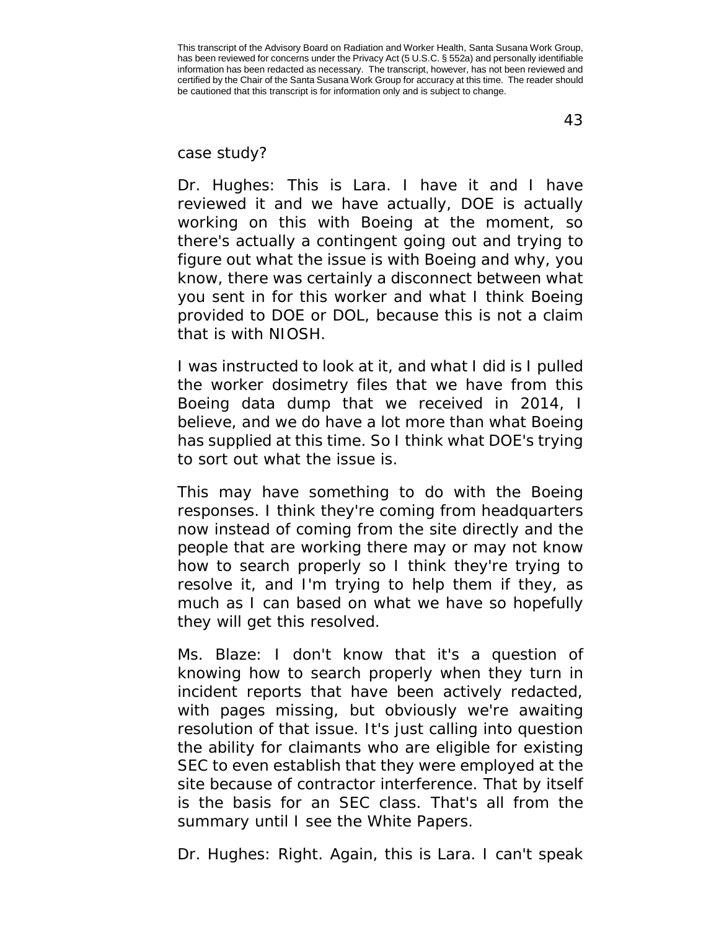case study?

Dr. Hughes: This is Lara. I have it and I have reviewed it and we have actually, DOE is actually working on this with Boeing at the moment, so there's actually a contingent going out and trying to figure out what the issue is with Boeing and why, you know, there was certainly a disconnect between what you sent in for this worker and what I think Boeing provided to DOE or DOL, because this is not a claim that is with NIOSH.

I was instructed to look at it, and what I did is I pulled the worker dosimetry files that we have from this Boeing data dump that we received in 2014, I believe, and we do have a lot more than what Boeing has supplied at this time. So I think what DOE's trying to sort out what the issue is.

This may have something to do with the Boeing responses. I think they're coming from headquarters now instead of coming from the site directly and the people that are working there may or may not know how to search properly so I think they're trying to resolve it, and I'm trying to help them if they, as much as I can based on what we have so hopefully they will get this resolved.

Ms. Blaze: I don't know that it's a question of knowing how to search properly when they turn in incident reports that have been actively redacted, with pages missing, but obviously we're awaiting resolution of that issue. It's just calling into question the ability for claimants who are eligible for existing SEC to even establish that they were employed at the site because of contractor interference. That by itself is the basis for an SEC class. That's all from the summary until I see the White Papers.

Dr. Hughes: Right. Again, this is Lara. I can't speak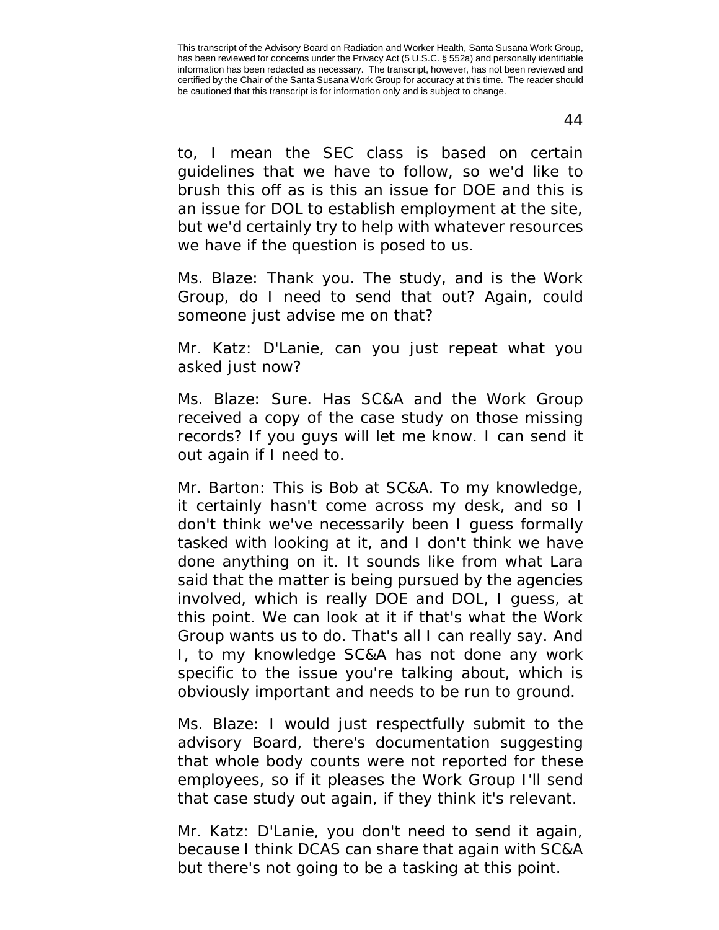to, I mean the SEC class is based on certain guidelines that we have to follow, so we'd like to brush this off as is this an issue for DOE and this is an issue for DOL to establish employment at the site, but we'd certainly try to help with whatever resources we have if the question is posed to us.

Ms. Blaze: Thank you. The study, and is the Work Group, do I need to send that out? Again, could someone just advise me on that?

Mr. Katz: D'Lanie, can you just repeat what you asked just now?

Ms. Blaze: Sure. Has SC&A and the Work Group received a copy of the case study on those missing records? If you guys will let me know. I can send it out again if I need to.

Mr. Barton: This is Bob at SC&A. To my knowledge, it certainly hasn't come across my desk, and so I don't think we've necessarily been I guess formally tasked with looking at it, and I don't think we have done anything on it. It sounds like from what Lara said that the matter is being pursued by the agencies involved, which is really DOE and DOL, I guess, at this point. We can look at it if that's what the Work Group wants us to do. That's all I can really say. And I, to my knowledge SC&A has not done any work specific to the issue you're talking about, which is obviously important and needs to be run to ground.

Ms. Blaze: I would just respectfully submit to the advisory Board, there's documentation suggesting that whole body counts were not reported for these employees, so if it pleases the Work Group I'll send that case study out again, if they think it's relevant.

Mr. Katz: D'Lanie, you don't need to send it again, because I think DCAS can share that again with SC&A but there's not going to be a tasking at this point.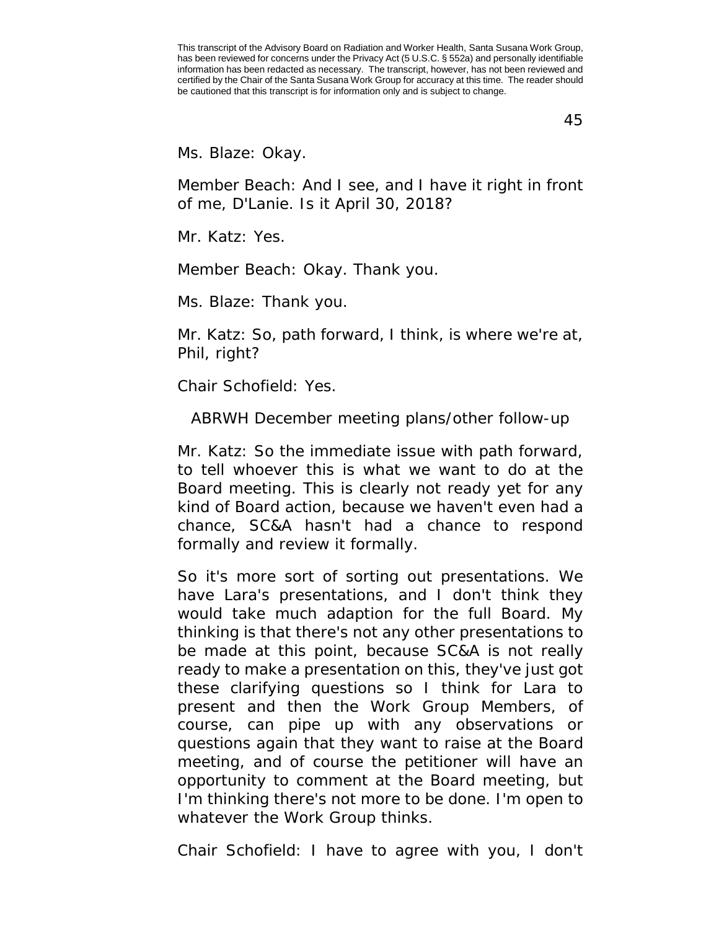45

Ms. Blaze: Okay.

Member Beach: And I see, and I have it right in front of me, D'Lanie. Is it April 30, 2018?

Mr. Katz: Yes.

Member Beach: Okay. Thank you.

Ms. Blaze: Thank you.

Mr. Katz: So, path forward, I think, is where we're at, Phil, right?

Chair Schofield: Yes.

ABRWH December meeting plans/other follow-up

Mr. Katz: So the immediate issue with path forward, to tell whoever this is what we want to do at the Board meeting. This is clearly not ready yet for any kind of Board action, because we haven't even had a chance, SC&A hasn't had a chance to respond formally and review it formally.

So it's more sort of sorting out presentations. We have Lara's presentations, and I don't think they would take much adaption for the full Board. My thinking is that there's not any other presentations to be made at this point, because SC&A is not really ready to make a presentation on this, they've just got these clarifying questions so I think for Lara to present and then the Work Group Members, of course, can pipe up with any observations or questions again that they want to raise at the Board meeting, and of course the petitioner will have an opportunity to comment at the Board meeting, but I'm thinking there's not more to be done. I'm open to whatever the Work Group thinks.

Chair Schofield: I have to agree with you, I don't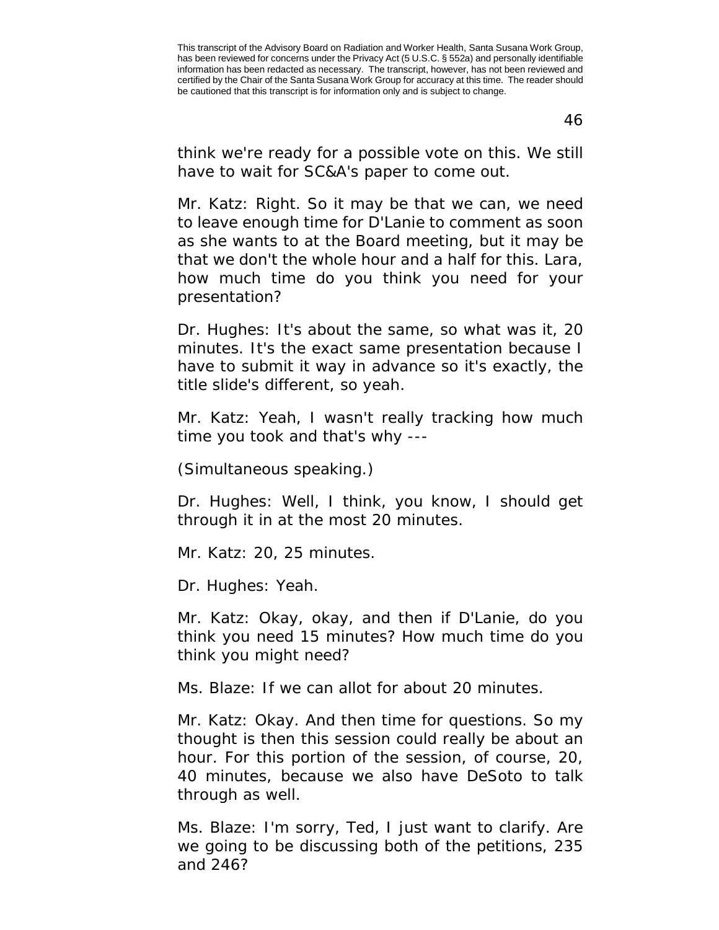think we're ready for a possible vote on this. We still have to wait for SC&A's paper to come out.

Mr. Katz: Right. So it may be that we can, we need to leave enough time for D'Lanie to comment as soon as she wants to at the Board meeting, but it may be that we don't the whole hour and a half for this. Lara, how much time do you think you need for your presentation?

Dr. Hughes: It's about the same, so what was it, 20 minutes. It's the exact same presentation because I have to submit it way in advance so it's exactly, the title slide's different, so yeah.

Mr. Katz: Yeah, I wasn't really tracking how much time you took and that's why ---

(Simultaneous speaking.)

Dr. Hughes: Well, I think, you know, I should get through it in at the most 20 minutes.

Mr. Katz: 20, 25 minutes.

Dr. Hughes: Yeah.

Mr. Katz: Okay, okay, and then if D'Lanie, do you think you need 15 minutes? How much time do you think you might need?

Ms. Blaze: If we can allot for about 20 minutes.

Mr. Katz: Okay. And then time for questions. So my thought is then this session could really be about an hour. For this portion of the session, of course, 20, 40 minutes, because we also have DeSoto to talk through as well.

Ms. Blaze: I'm sorry, Ted, I just want to clarify. Are we going to be discussing both of the petitions, 235 and 246?

This transcript of the Advisory Board on Radiation and Worker Health, Santa Susana Work Group, has been reviewed for concerns under the Privacy Act (5 U.S.C. § 552a) and personally identifiable information has been redacted as necessary. The transcript, however, has not been reviewed and certified by the Chair of the Santa Susana Work Group for accuracy at this time. The reader should be cautioned that this transcript is for information only and is subject to change.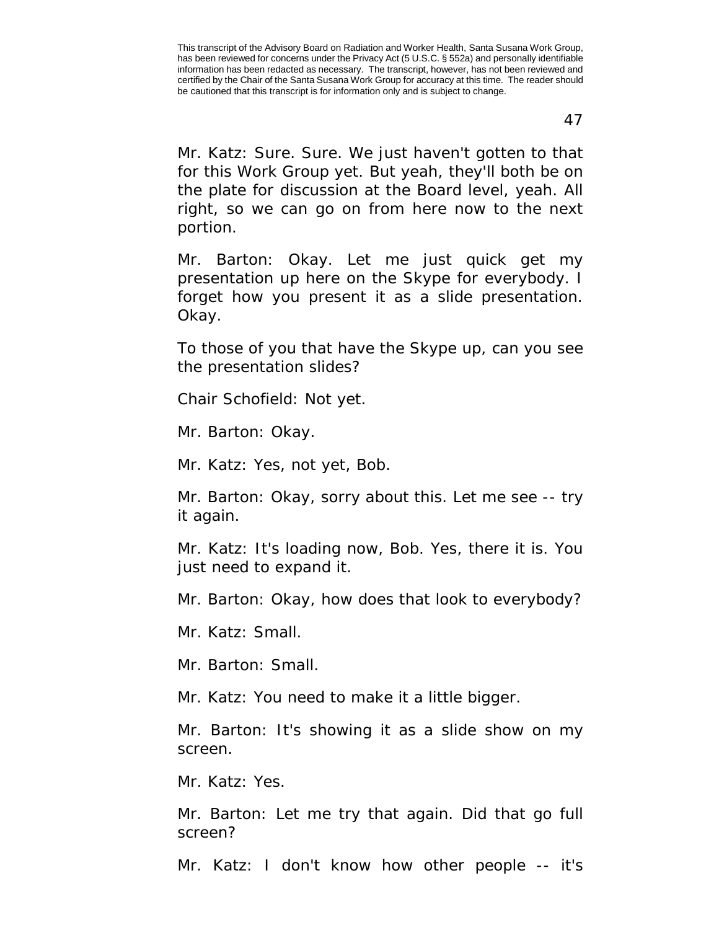Mr. Katz: Sure. Sure. We just haven't gotten to that for this Work Group yet. But yeah, they'll both be on the plate for discussion at the Board level, yeah. All right, so we can go on from here now to the next portion.

Mr. Barton: Okay. Let me just quick get my presentation up here on the Skype for everybody. I forget how you present it as a slide presentation. Okay.

To those of you that have the Skype up, can you see the presentation slides?

Chair Schofield: Not yet.

Mr. Barton: Okay.

Mr. Katz: Yes, not yet, Bob.

Mr. Barton: Okay, sorry about this. Let me see -- try it again.

Mr. Katz: It's loading now, Bob. Yes, there it is. You just need to expand it.

Mr. Barton: Okay, how does that look to everybody?

Mr. Katz: Small.

Mr. Barton: Small.

Mr. Katz: You need to make it a little bigger.

Mr. Barton: It's showing it as a slide show on my screen.

Mr. Katz: Yes.

Mr. Barton: Let me try that again. Did that go full screen?

Mr. Katz: I don't know how other people -- it's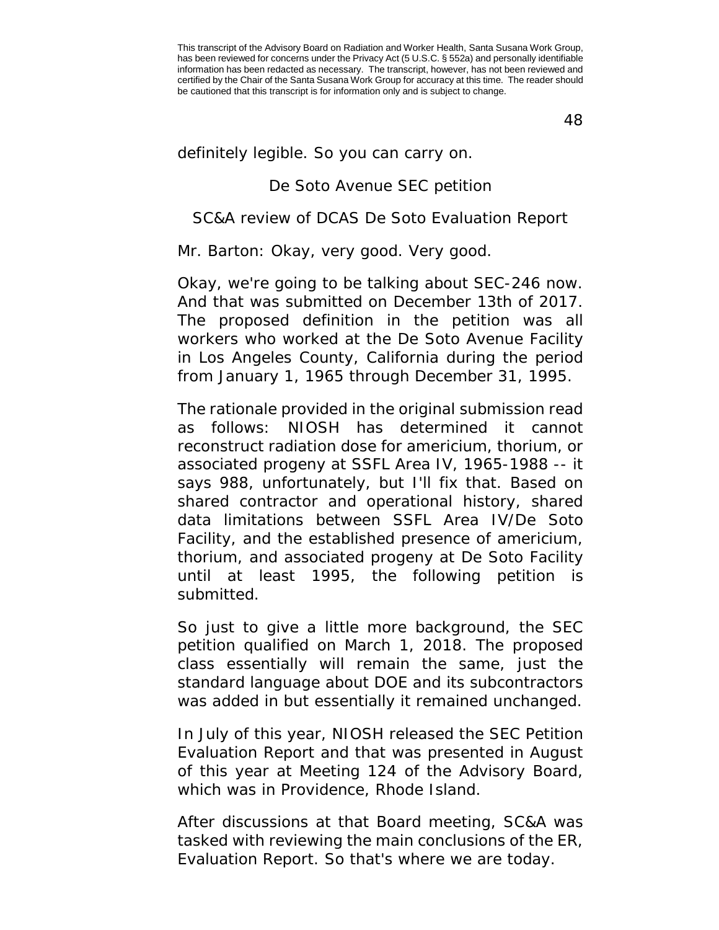48

definitely legible. So you can carry on.

## De Soto Avenue SEC petition

## SC&A review of DCAS De Soto Evaluation Report

Mr. Barton: Okay, very good. Very good.

Okay, we're going to be talking about SEC-246 now. And that was submitted on December 13th of 2017. The proposed definition in the petition was all workers who worked at the De Soto Avenue Facility in Los Angeles County, California during the period from January 1, 1965 through December 31, 1995.

The rationale provided in the original submission read as follows: NIOSH has determined it cannot reconstruct radiation dose for americium, thorium, or associated progeny at SSFL Area IV, 1965-1988 -- it says 988, unfortunately, but I'll fix that. Based on shared contractor and operational history, shared data limitations between SSFL Area IV/De Soto Facility, and the established presence of americium, thorium, and associated progeny at De Soto Facility until at least 1995, the following petition is submitted.

So just to give a little more background, the SEC petition qualified on March 1, 2018. The proposed class essentially will remain the same, just the standard language about DOE and its subcontractors was added in but essentially it remained unchanged.

In July of this year, NIOSH released the SEC Petition Evaluation Report and that was presented in August of this year at Meeting 124 of the Advisory Board, which was in Providence, Rhode Island.

After discussions at that Board meeting, SC&A was tasked with reviewing the main conclusions of the ER, Evaluation Report. So that's where we are today.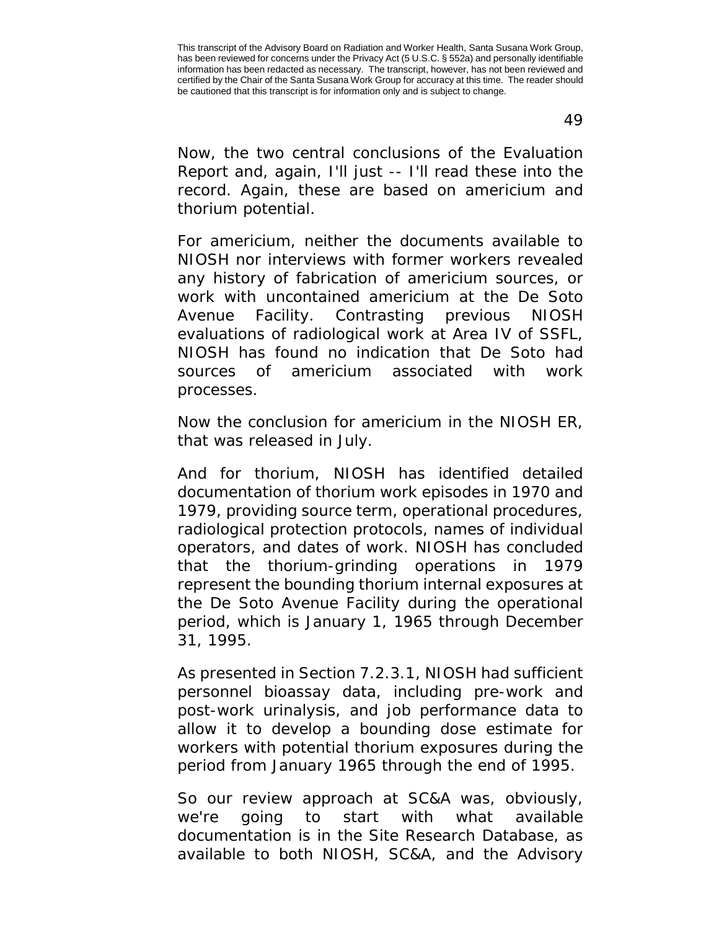49

Now, the two central conclusions of the Evaluation Report and, again, I'll just -- I'll read these into the record. Again, these are based on americium and thorium potential.

For americium, neither the documents available to NIOSH nor interviews with former workers revealed any history of fabrication of americium sources, or work with uncontained americium at the De Soto Avenue Facility. Contrasting previous NIOSH evaluations of radiological work at Area IV of SSFL, NIOSH has found no indication that De Soto had sources of americium associated with work processes.

Now the conclusion for americium in the NIOSH ER, that was released in July.

And for thorium, NIOSH has identified detailed documentation of thorium work episodes in 1970 and 1979, providing source term, operational procedures, radiological protection protocols, names of individual operators, and dates of work. NIOSH has concluded that the thorium-grinding operations in 1979 represent the bounding thorium internal exposures at the De Soto Avenue Facility during the operational period, which is January 1, 1965 through December 31, 1995.

As presented in Section 7.2.3.1, NIOSH had sufficient personnel bioassay data, including pre-work and post-work urinalysis, and job performance data to allow it to develop a bounding dose estimate for workers with potential thorium exposures during the period from January 1965 through the end of 1995.

So our review approach at SC&A was, obviously, we're going to start with what available documentation is in the Site Research Database, as available to both NIOSH, SC&A, and the Advisory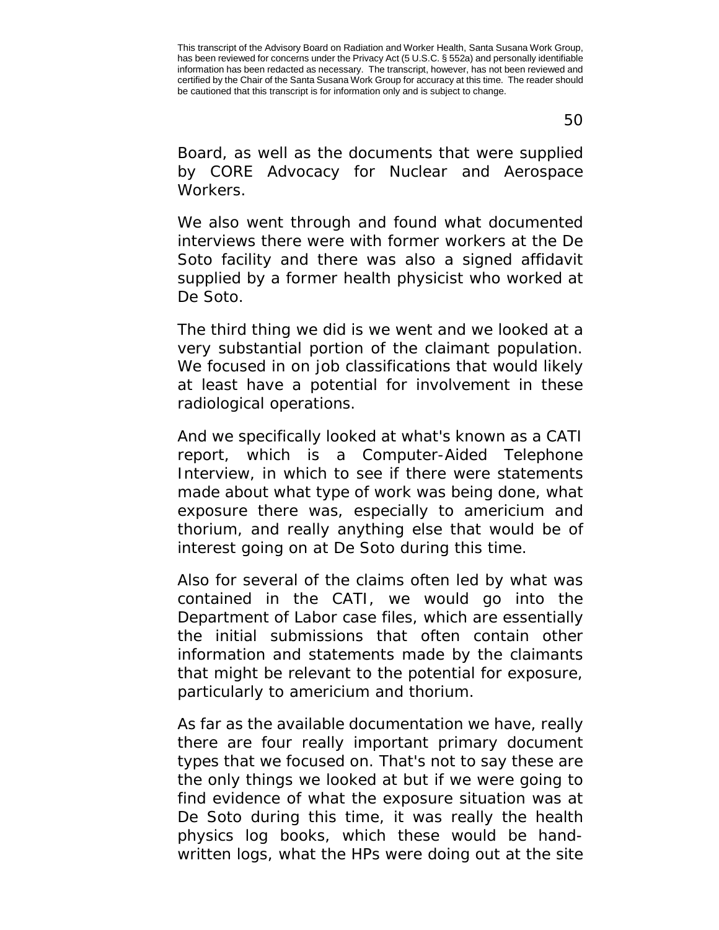50

Board, as well as the documents that were supplied by CORE Advocacy for Nuclear and Aerospace Workers.

We also went through and found what documented interviews there were with former workers at the De Soto facility and there was also a signed affidavit supplied by a former health physicist who worked at De Soto.

The third thing we did is we went and we looked at a very substantial portion of the claimant population. We focused in on job classifications that would likely at least have a potential for involvement in these radiological operations.

And we specifically looked at what's known as a CATI report, which is a Computer-Aided Telephone Interview, in which to see if there were statements made about what type of work was being done, what exposure there was, especially to americium and thorium, and really anything else that would be of interest going on at De Soto during this time.

Also for several of the claims often led by what was contained in the CATI, we would go into the Department of Labor case files, which are essentially the initial submissions that often contain other information and statements made by the claimants that might be relevant to the potential for exposure, particularly to americium and thorium.

As far as the available documentation we have, really there are four really important primary document types that we focused on. That's not to say these are the only things we looked at but if we were going to find evidence of what the exposure situation was at De Soto during this time, it was really the health physics log books, which these would be handwritten logs, what the HPs were doing out at the site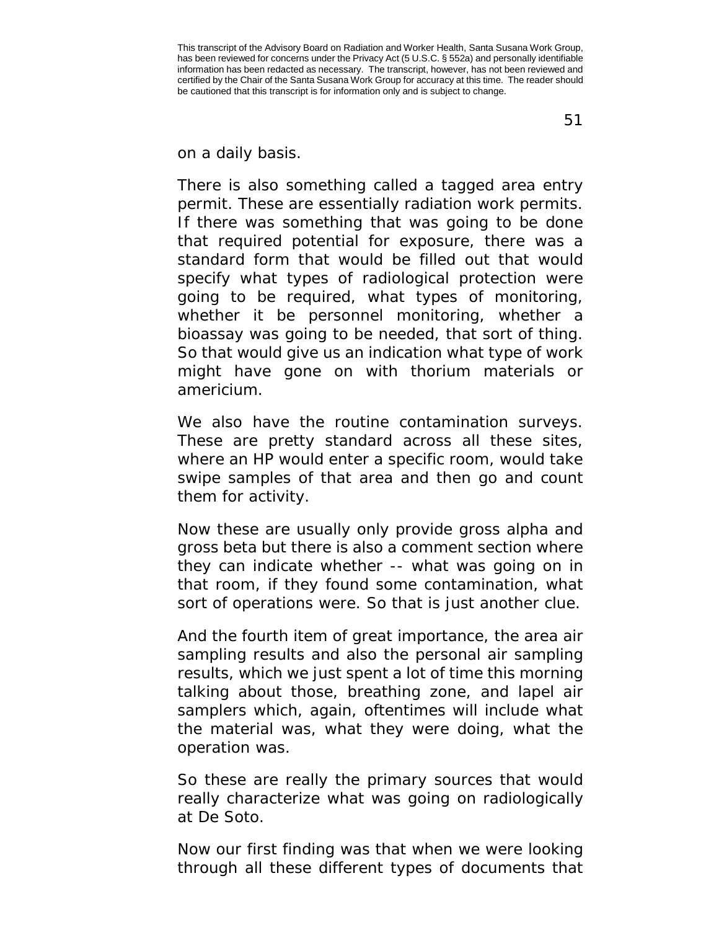on a daily basis.

There is also something called a tagged area entry permit. These are essentially radiation work permits. If there was something that was going to be done that required potential for exposure, there was a standard form that would be filled out that would specify what types of radiological protection were going to be required, what types of monitoring, whether it be personnel monitoring, whether a bioassay was going to be needed, that sort of thing. So that would give us an indication what type of work might have gone on with thorium materials or americium.

We also have the routine contamination surveys. These are pretty standard across all these sites, where an HP would enter a specific room, would take swipe samples of that area and then go and count them for activity.

Now these are usually only provide gross alpha and gross beta but there is also a comment section where they can indicate whether -- what was going on in that room, if they found some contamination, what sort of operations were. So that is just another clue.

And the fourth item of great importance, the area air sampling results and also the personal air sampling results, which we just spent a lot of time this morning talking about those, breathing zone, and lapel air samplers which, again, oftentimes will include what the material was, what they were doing, what the operation was.

So these are really the primary sources that would really characterize what was going on radiologically at De Soto.

Now our first finding was that when we were looking through all these different types of documents that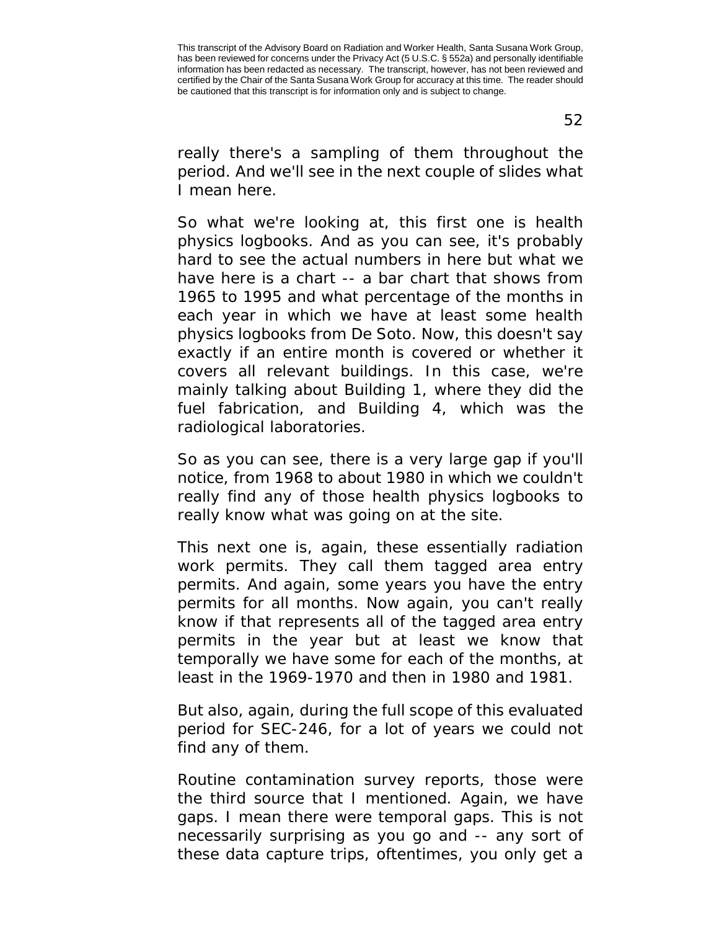52

really there's a sampling of them throughout the period. And we'll see in the next couple of slides what I mean here.

So what we're looking at, this first one is health physics logbooks. And as you can see, it's probably hard to see the actual numbers in here but what we have here is a chart -- a bar chart that shows from 1965 to 1995 and what percentage of the months in each year in which we have at least some health physics logbooks from De Soto. Now, this doesn't say exactly if an entire month is covered or whether it covers all relevant buildings. In this case, we're mainly talking about Building 1, where they did the fuel fabrication, and Building 4, which was the radiological laboratories.

So as you can see, there is a very large gap if you'll notice, from 1968 to about 1980 in which we couldn't really find any of those health physics logbooks to really know what was going on at the site.

This next one is, again, these essentially radiation work permits. They call them tagged area entry permits. And again, some years you have the entry permits for all months. Now again, you can't really know if that represents all of the tagged area entry permits in the year but at least we know that temporally we have some for each of the months, at least in the 1969-1970 and then in 1980 and 1981.

But also, again, during the full scope of this evaluated period for SEC-246, for a lot of years we could not find any of them.

Routine contamination survey reports, those were the third source that I mentioned. Again, we have gaps. I mean there were temporal gaps. This is not necessarily surprising as you go and -- any sort of these data capture trips, oftentimes, you only get a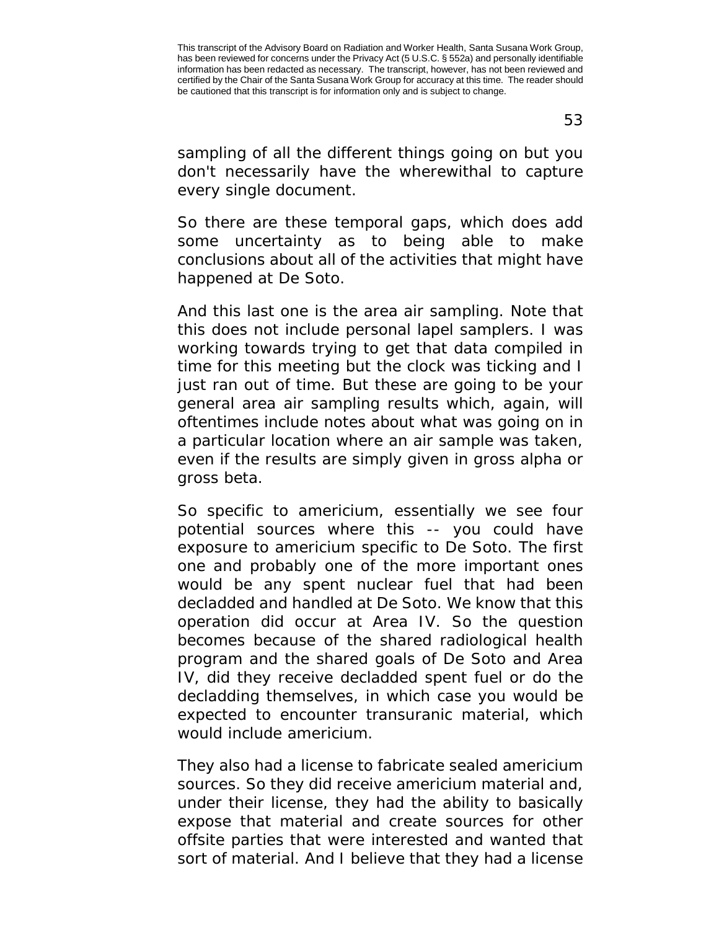sampling of all the different things going on but you don't necessarily have the wherewithal to capture

So there are these temporal gaps, which does add some uncertainty as to being able to make conclusions about all of the activities that might have happened at De Soto.

every single document.

And this last one is the area air sampling. Note that this does not include personal lapel samplers. I was working towards trying to get that data compiled in time for this meeting but the clock was ticking and I just ran out of time. But these are going to be your general area air sampling results which, again, will oftentimes include notes about what was going on in a particular location where an air sample was taken, even if the results are simply given in gross alpha or gross beta.

So specific to americium, essentially we see four potential sources where this -- you could have exposure to americium specific to De Soto. The first one and probably one of the more important ones would be any spent nuclear fuel that had been decladded and handled at De Soto. We know that this operation did occur at Area IV. So the question becomes because of the shared radiological health program and the shared goals of De Soto and Area IV, did they receive decladded spent fuel or do the decladding themselves, in which case you would be expected to encounter transuranic material, which would include americium.

They also had a license to fabricate sealed americium sources. So they did receive americium material and, under their license, they had the ability to basically expose that material and create sources for other offsite parties that were interested and wanted that sort of material. And I believe that they had a license

This transcript of the Advisory Board on Radiation and Worker Health, Santa Susana Work Group, has been reviewed for concerns under the Privacy Act (5 U.S.C. § 552a) and personally identifiable information has been redacted as necessary. The transcript, however, has not been reviewed and certified by the Chair of the Santa Susana Work Group for accuracy at this time. The reader should be cautioned that this transcript is for information only and is subject to change.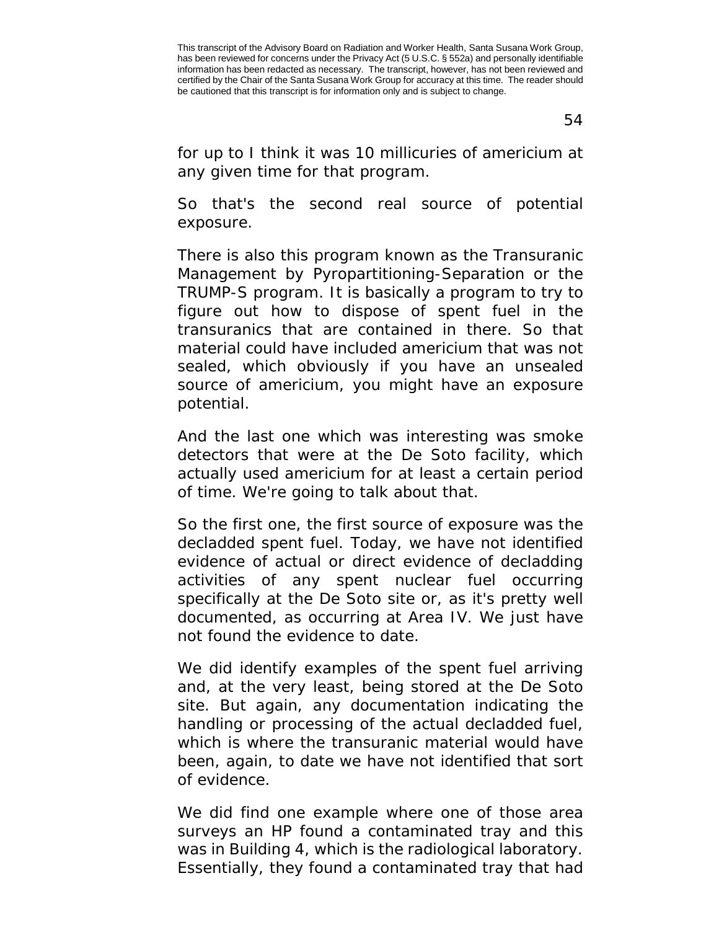54

for up to I think it was 10 millicuries of americium at any given time for that program.

So that's the second real source of potential exposure.

There is also this program known as the Transuranic Management by Pyropartitioning-Separation or the TRUMP-S program. It is basically a program to try to figure out how to dispose of spent fuel in the transuranics that are contained in there. So that material could have included americium that was not sealed, which obviously if you have an unsealed source of americium, you might have an exposure potential.

And the last one which was interesting was smoke detectors that were at the De Soto facility, which actually used americium for at least a certain period of time. We're going to talk about that.

So the first one, the first source of exposure was the decladded spent fuel. Today, we have not identified evidence of actual or direct evidence of decladding activities of any spent nuclear fuel occurring specifically at the De Soto site or, as it's pretty well documented, as occurring at Area IV. We just have not found the evidence to date.

We did identify examples of the spent fuel arriving and, at the very least, being stored at the De Soto site. But again, any documentation indicating the handling or processing of the actual decladded fuel, which is where the transuranic material would have been, again, to date we have not identified that sort of evidence.

We did find one example where one of those area surveys an HP found a contaminated tray and this was in Building 4, which is the radiological laboratory. Essentially, they found a contaminated tray that had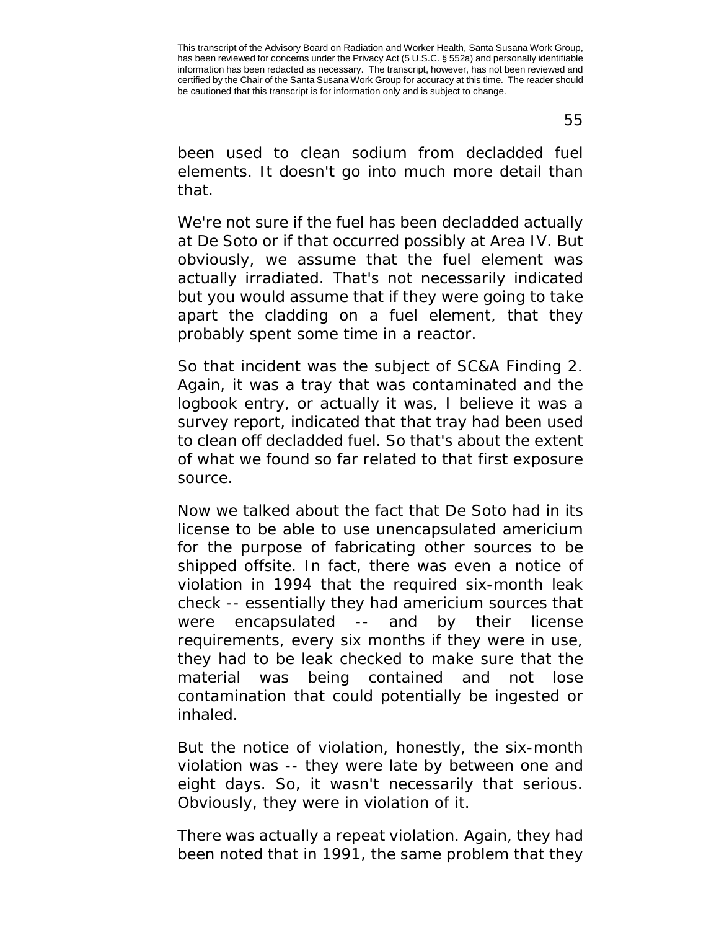55

been used to clean sodium from decladded fuel elements. It doesn't go into much more detail than that.

We're not sure if the fuel has been decladded actually at De Soto or if that occurred possibly at Area IV. But obviously, we assume that the fuel element was actually irradiated. That's not necessarily indicated but you would assume that if they were going to take apart the cladding on a fuel element, that they probably spent some time in a reactor.

So that incident was the subject of SC&A Finding 2. Again, it was a tray that was contaminated and the logbook entry, or actually it was, I believe it was a survey report, indicated that that tray had been used to clean off decladded fuel. So that's about the extent of what we found so far related to that first exposure source.

Now we talked about the fact that De Soto had in its license to be able to use unencapsulated americium for the purpose of fabricating other sources to be shipped offsite. In fact, there was even a notice of violation in 1994 that the required six-month leak check -- essentially they had americium sources that were encapsulated -- and by their license requirements, every six months if they were in use, they had to be leak checked to make sure that the material was being contained and not lose contamination that could potentially be ingested or inhaled.

But the notice of violation, honestly, the six-month violation was -- they were late by between one and eight days. So, it wasn't necessarily that serious. Obviously, they were in violation of it.

There was actually a repeat violation. Again, they had been noted that in 1991, the same problem that they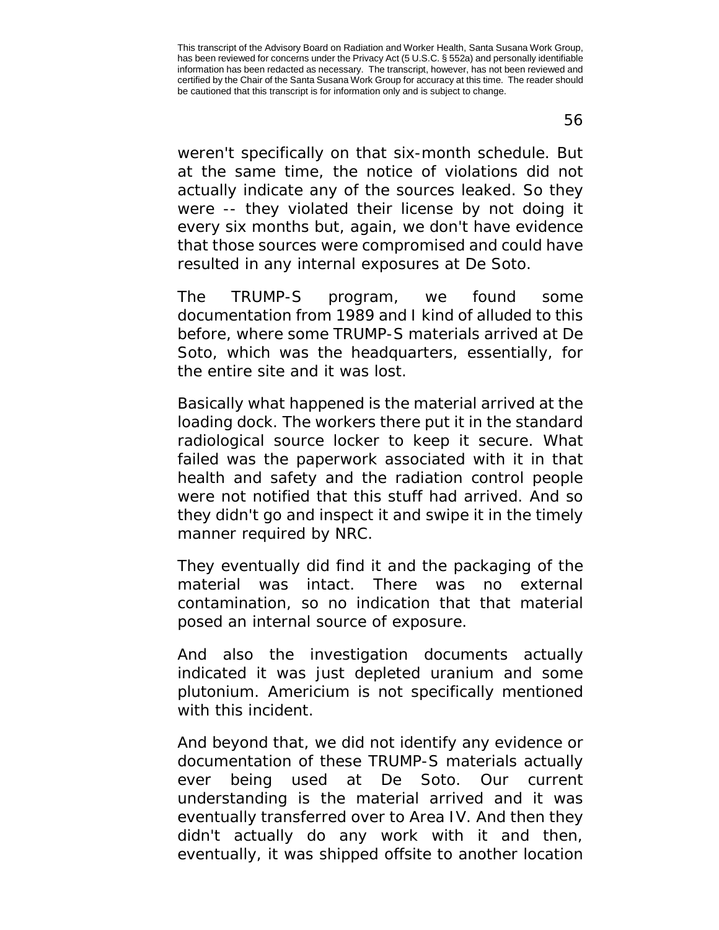56

weren't specifically on that six-month schedule. But at the same time, the notice of violations did not actually indicate any of the sources leaked. So they were -- they violated their license by not doing it every six months but, again, we don't have evidence that those sources were compromised and could have resulted in any internal exposures at De Soto.

The TRUMP-S program, we found some documentation from 1989 and I kind of alluded to this before, where some TRUMP-S materials arrived at De Soto, which was the headquarters, essentially, for the entire site and it was lost.

Basically what happened is the material arrived at the loading dock. The workers there put it in the standard radiological source locker to keep it secure. What failed was the paperwork associated with it in that health and safety and the radiation control people were not notified that this stuff had arrived. And so they didn't go and inspect it and swipe it in the timely manner required by NRC.

They eventually did find it and the packaging of the material was intact. There was no external contamination, so no indication that that material posed an internal source of exposure.

And also the investigation documents actually indicated it was just depleted uranium and some plutonium. Americium is not specifically mentioned with this incident.

And beyond that, we did not identify any evidence or documentation of these TRUMP-S materials actually ever being used at De Soto. Our current understanding is the material arrived and it was eventually transferred over to Area IV. And then they didn't actually do any work with it and then, eventually, it was shipped offsite to another location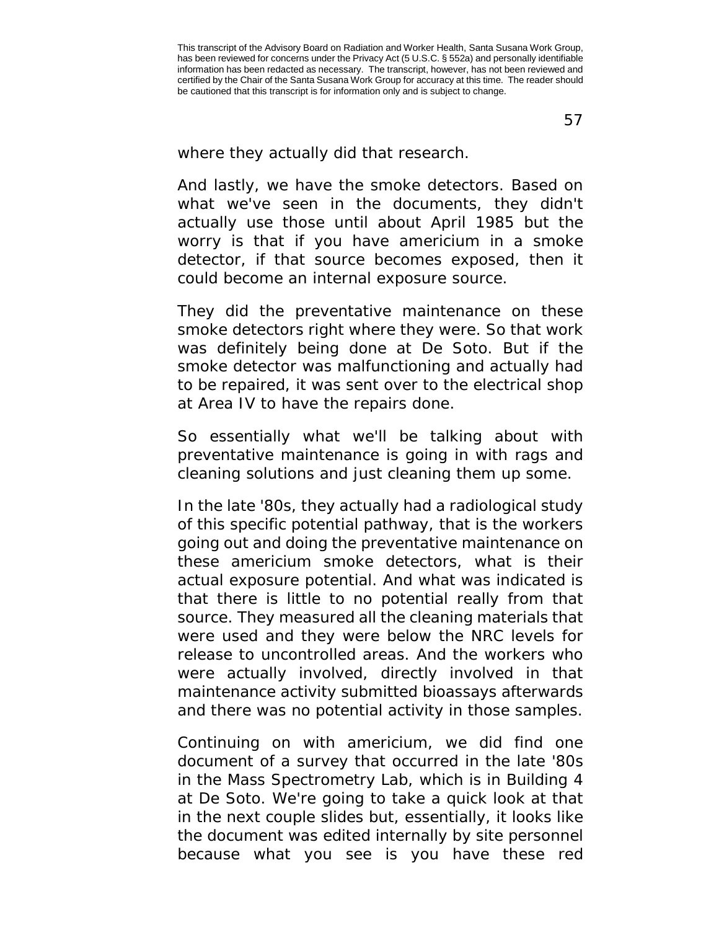57

where they actually did that research.

And lastly, we have the smoke detectors. Based on what we've seen in the documents, they didn't actually use those until about April 1985 but the worry is that if you have americium in a smoke detector, if that source becomes exposed, then it could become an internal exposure source.

They did the preventative maintenance on these smoke detectors right where they were. So that work was definitely being done at De Soto. But if the smoke detector was malfunctioning and actually had to be repaired, it was sent over to the electrical shop at Area IV to have the repairs done.

So essentially what we'll be talking about with preventative maintenance is going in with rags and cleaning solutions and just cleaning them up some.

In the late '80s, they actually had a radiological study of this specific potential pathway, that is the workers going out and doing the preventative maintenance on these americium smoke detectors, what is their actual exposure potential. And what was indicated is that there is little to no potential really from that source. They measured all the cleaning materials that were used and they were below the NRC levels for release to uncontrolled areas. And the workers who were actually involved, directly involved in that maintenance activity submitted bioassays afterwards and there was no potential activity in those samples.

Continuing on with americium, we did find one document of a survey that occurred in the late '80s in the Mass Spectrometry Lab, which is in Building 4 at De Soto. We're going to take a quick look at that in the next couple slides but, essentially, it looks like the document was edited internally by site personnel because what you see is you have these red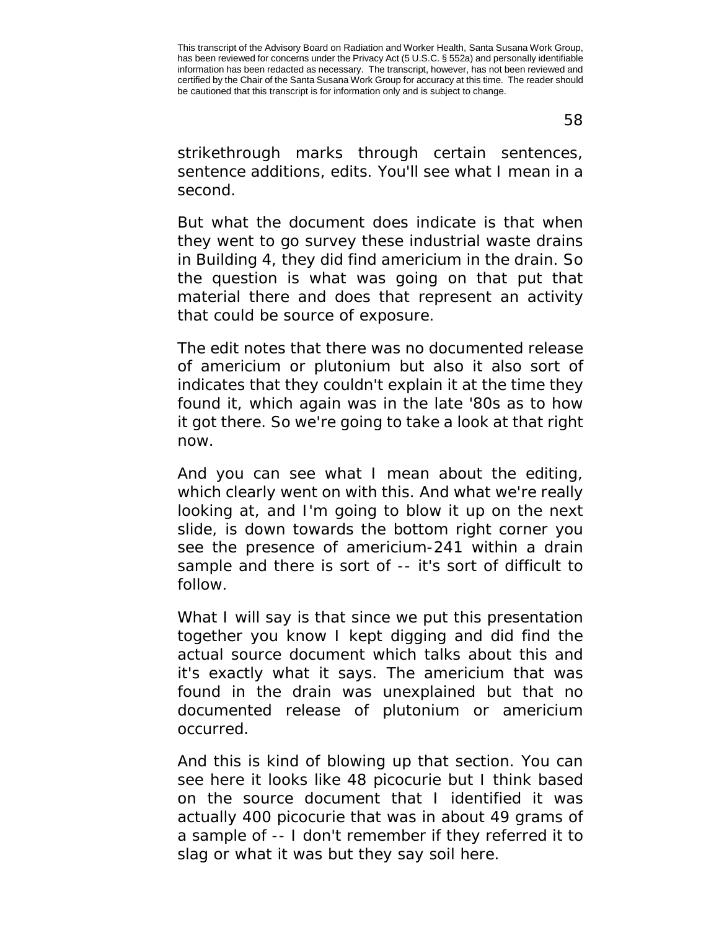58

strikethrough marks through certain sentences, sentence additions, edits. You'll see what I mean in a second.

But what the document does indicate is that when they went to go survey these industrial waste drains in Building 4, they did find americium in the drain. So the question is what was going on that put that material there and does that represent an activity that could be source of exposure.

The edit notes that there was no documented release of americium or plutonium but also it also sort of indicates that they couldn't explain it at the time they found it, which again was in the late '80s as to how it got there. So we're going to take a look at that right now.

And you can see what I mean about the editing, which clearly went on with this. And what we're really looking at, and I'm going to blow it up on the next slide, is down towards the bottom right corner you see the presence of americium-241 within a drain sample and there is sort of -- it's sort of difficult to follow.

What I will say is that since we put this presentation together you know I kept digging and did find the actual source document which talks about this and it's exactly what it says. The americium that was found in the drain was unexplained but that no documented release of plutonium or americium occurred.

And this is kind of blowing up that section. You can see here it looks like 48 picocurie but I think based on the source document that I identified it was actually 400 picocurie that was in about 49 grams of a sample of -- I don't remember if they referred it to slag or what it was but they say soil here.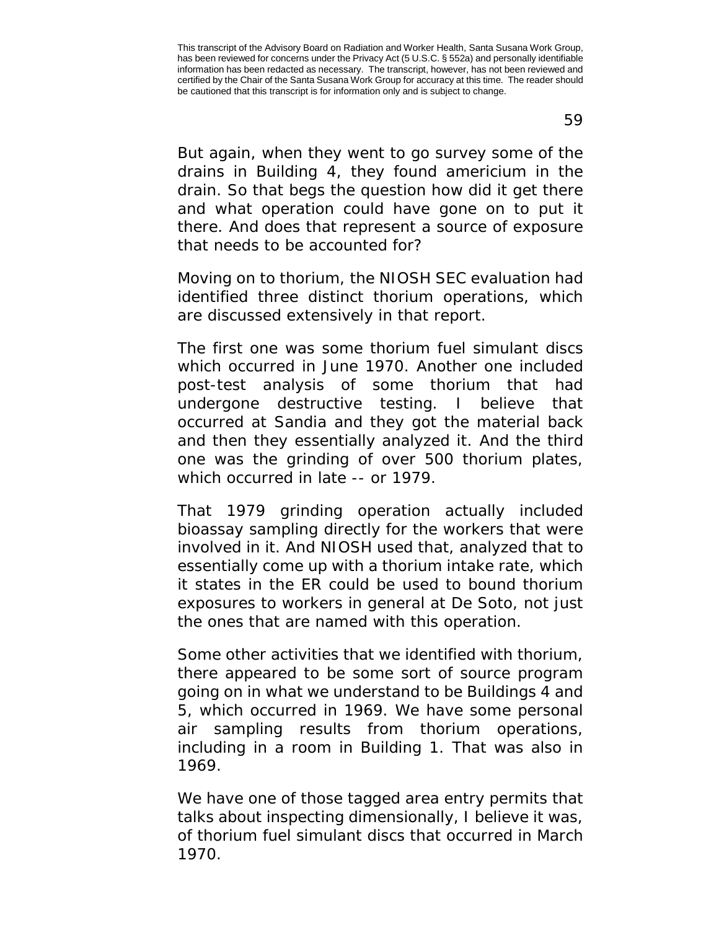59

But again, when they went to go survey some of the drains in Building 4, they found americium in the drain. So that begs the question how did it get there and what operation could have gone on to put it there. And does that represent a source of exposure that needs to be accounted for?

Moving on to thorium, the NIOSH SEC evaluation had identified three distinct thorium operations, which are discussed extensively in that report.

The first one was some thorium fuel simulant discs which occurred in June 1970. Another one included post-test analysis of some thorium that had undergone destructive testing. I believe that occurred at Sandia and they got the material back and then they essentially analyzed it. And the third one was the grinding of over 500 thorium plates, which occurred in late -- or 1979.

That 1979 grinding operation actually included bioassay sampling directly for the workers that were involved in it. And NIOSH used that, analyzed that to essentially come up with a thorium intake rate, which it states in the ER could be used to bound thorium exposures to workers in general at De Soto, not just the ones that are named with this operation.

Some other activities that we identified with thorium, there appeared to be some sort of source program going on in what we understand to be Buildings 4 and 5, which occurred in 1969. We have some personal air sampling results from thorium operations, including in a room in Building 1. That was also in 1969.

We have one of those tagged area entry permits that talks about inspecting dimensionally, I believe it was, of thorium fuel simulant discs that occurred in March 1970.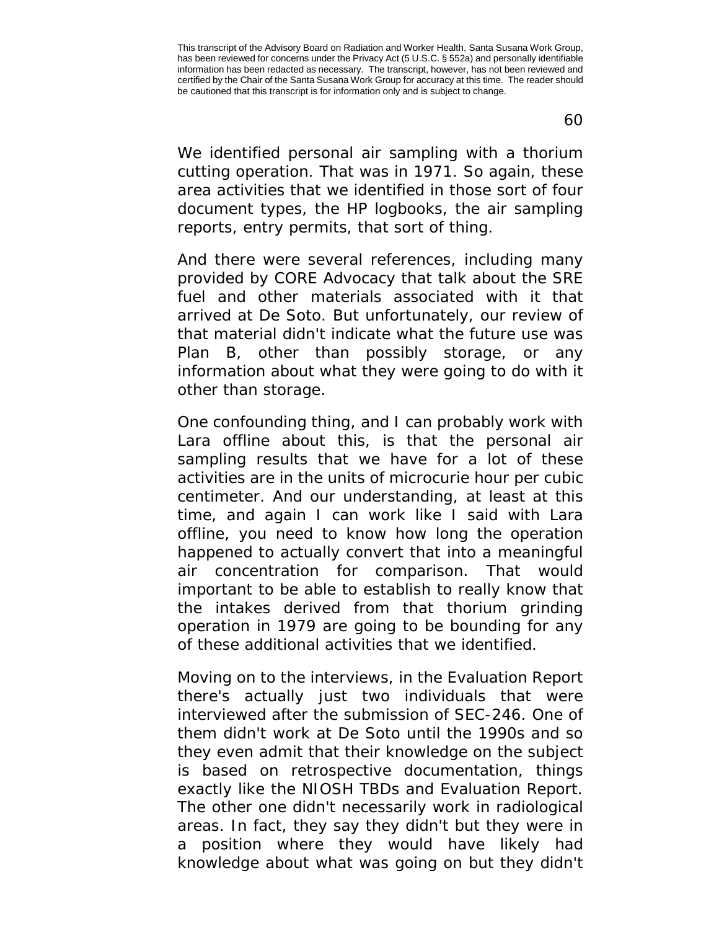We identified personal air sampling with a thorium cutting operation. That was in 1971. So again, these area activities that we identified in those sort of four document types, the HP logbooks, the air sampling reports, entry permits, that sort of thing.

And there were several references, including many provided by CORE Advocacy that talk about the SRE fuel and other materials associated with it that arrived at De Soto. But unfortunately, our review of that material didn't indicate what the future use was Plan B, other than possibly storage, or any information about what they were going to do with it other than storage.

One confounding thing, and I can probably work with Lara offline about this, is that the personal air sampling results that we have for a lot of these activities are in the units of microcurie hour per cubic centimeter. And our understanding, at least at this time, and again I can work like I said with Lara offline, you need to know how long the operation happened to actually convert that into a meaningful air concentration for comparison. That would important to be able to establish to really know that the intakes derived from that thorium grinding operation in 1979 are going to be bounding for any of these additional activities that we identified.

Moving on to the interviews, in the Evaluation Report there's actually just two individuals that were interviewed after the submission of SEC-246. One of them didn't work at De Soto until the 1990s and so they even admit that their knowledge on the subject is based on retrospective documentation, things exactly like the NIOSH TBDs and Evaluation Report. The other one didn't necessarily work in radiological areas. In fact, they say they didn't but they were in a position where they would have likely had knowledge about what was going on but they didn't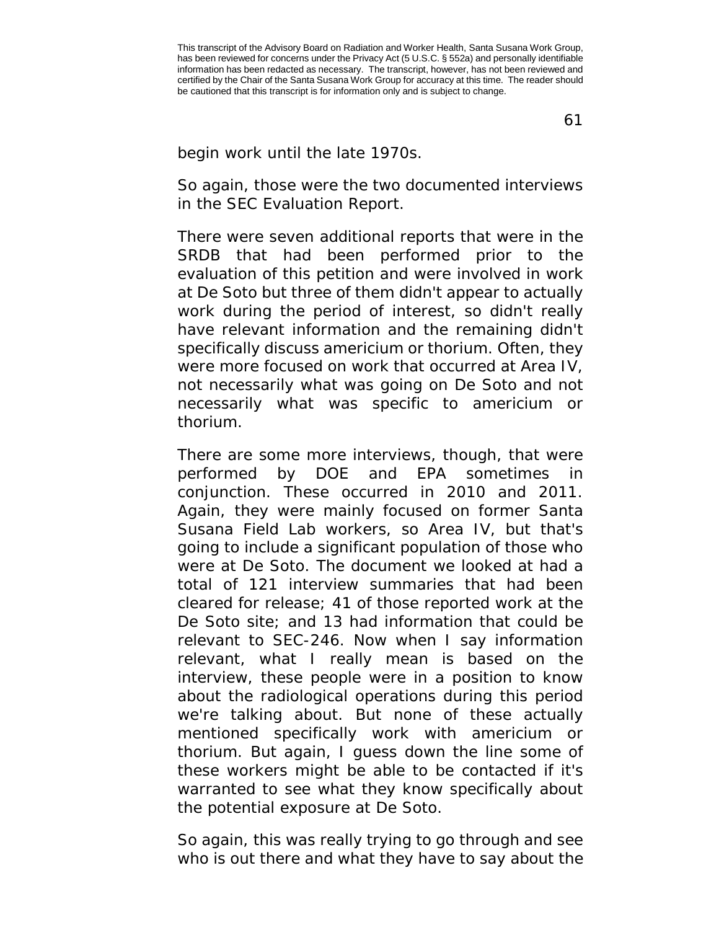61

## begin work until the late 1970s.

So again, those were the two documented interviews in the SEC Evaluation Report.

There were seven additional reports that were in the SRDB that had been performed prior to the evaluation of this petition and were involved in work at De Soto but three of them didn't appear to actually work during the period of interest, so didn't really have relevant information and the remaining didn't specifically discuss americium or thorium. Often, they were more focused on work that occurred at Area IV, not necessarily what was going on De Soto and not necessarily what was specific to americium or thorium.

There are some more interviews, though, that were performed by DOE and EPA sometimes in conjunction. These occurred in 2010 and 2011. Again, they were mainly focused on former Santa Susana Field Lab workers, so Area IV, but that's going to include a significant population of those who were at De Soto. The document we looked at had a total of 121 interview summaries that had been cleared for release; 41 of those reported work at the De Soto site; and 13 had information that could be relevant to SEC-246. Now when I say information relevant, what I really mean is based on the interview, these people were in a position to know about the radiological operations during this period we're talking about. But none of these actually mentioned specifically work with americium or thorium. But again, I guess down the line some of these workers might be able to be contacted if it's warranted to see what they know specifically about the potential exposure at De Soto.

So again, this was really trying to go through and see who is out there and what they have to say about the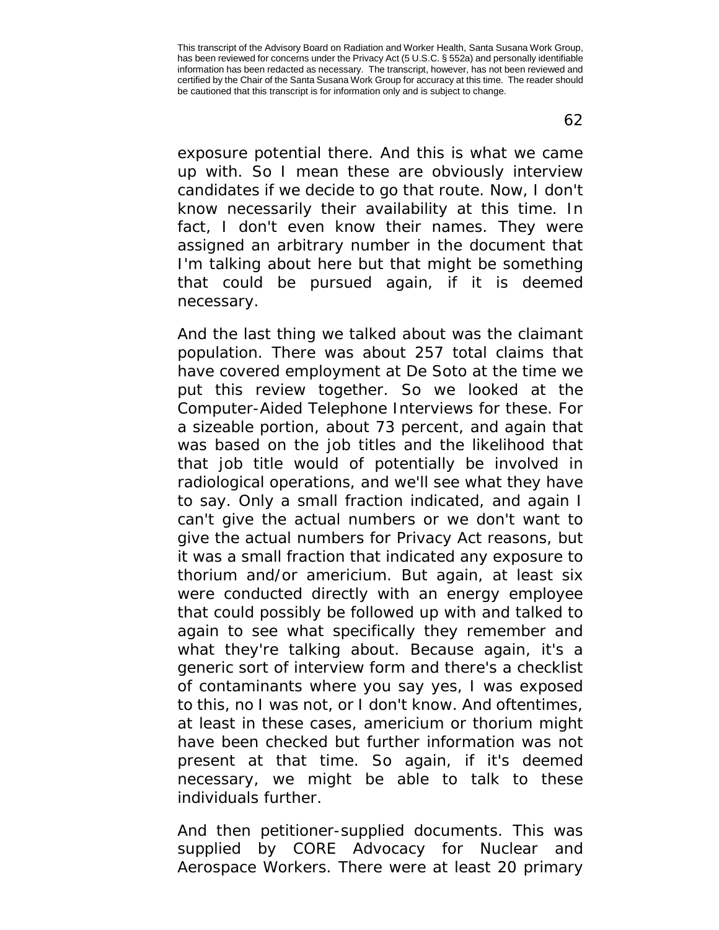exposure potential there. And this is what we came up with. So I mean these are obviously interview candidates if we decide to go that route. Now, I don't know necessarily their availability at this time. In fact, I don't even know their names. They were assigned an arbitrary number in the document that I'm talking about here but that might be something that could be pursued again, if it is deemed necessary.

And the last thing we talked about was the claimant population. There was about 257 total claims that have covered employment at De Soto at the time we put this review together. So we looked at the Computer-Aided Telephone Interviews for these. For a sizeable portion, about 73 percent, and again that was based on the job titles and the likelihood that that job title would of potentially be involved in radiological operations, and we'll see what they have to say. Only a small fraction indicated, and again I can't give the actual numbers or we don't want to give the actual numbers for Privacy Act reasons, but it was a small fraction that indicated any exposure to thorium and/or americium. But again, at least six were conducted directly with an energy employee that could possibly be followed up with and talked to again to see what specifically they remember and what they're talking about. Because again, it's a generic sort of interview form and there's a checklist of contaminants where you say yes, I was exposed to this, no I was not, or I don't know. And oftentimes, at least in these cases, americium or thorium might have been checked but further information was not present at that time. So again, if it's deemed necessary, we might be able to talk to these individuals further.

And then petitioner-supplied documents. This was supplied by CORE Advocacy for Nuclear and Aerospace Workers. There were at least 20 primary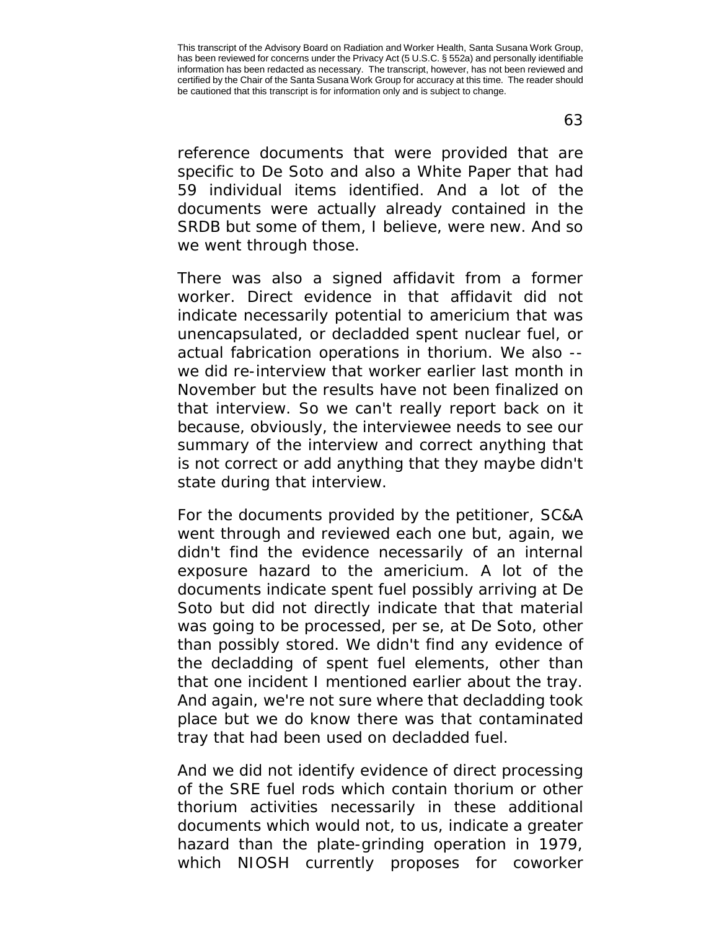reference documents that were provided that are specific to De Soto and also a White Paper that had 59 individual items identified. And a lot of the documents were actually already contained in the SRDB but some of them, I believe, were new. And so

There was also a signed affidavit from a former worker. Direct evidence in that affidavit did not indicate necessarily potential to americium that was unencapsulated, or decladded spent nuclear fuel, or actual fabrication operations in thorium. We also - we did re-interview that worker earlier last month in November but the results have not been finalized on that interview. So we can't really report back on it because, obviously, the interviewee needs to see our summary of the interview and correct anything that is not correct or add anything that they maybe didn't state during that interview.

we went through those.

For the documents provided by the petitioner, SC&A went through and reviewed each one but, again, we didn't find the evidence necessarily of an internal exposure hazard to the americium. A lot of the documents indicate spent fuel possibly arriving at De Soto but did not directly indicate that that material was going to be processed, per se, at De Soto, other than possibly stored. We didn't find any evidence of the decladding of spent fuel elements, other than that one incident I mentioned earlier about the tray. And again, we're not sure where that decladding took place but we do know there was that contaminated tray that had been used on decladded fuel.

And we did not identify evidence of direct processing of the SRE fuel rods which contain thorium or other thorium activities necessarily in these additional documents which would not, to us, indicate a greater hazard than the plate-grinding operation in 1979, which NIOSH currently proposes for coworker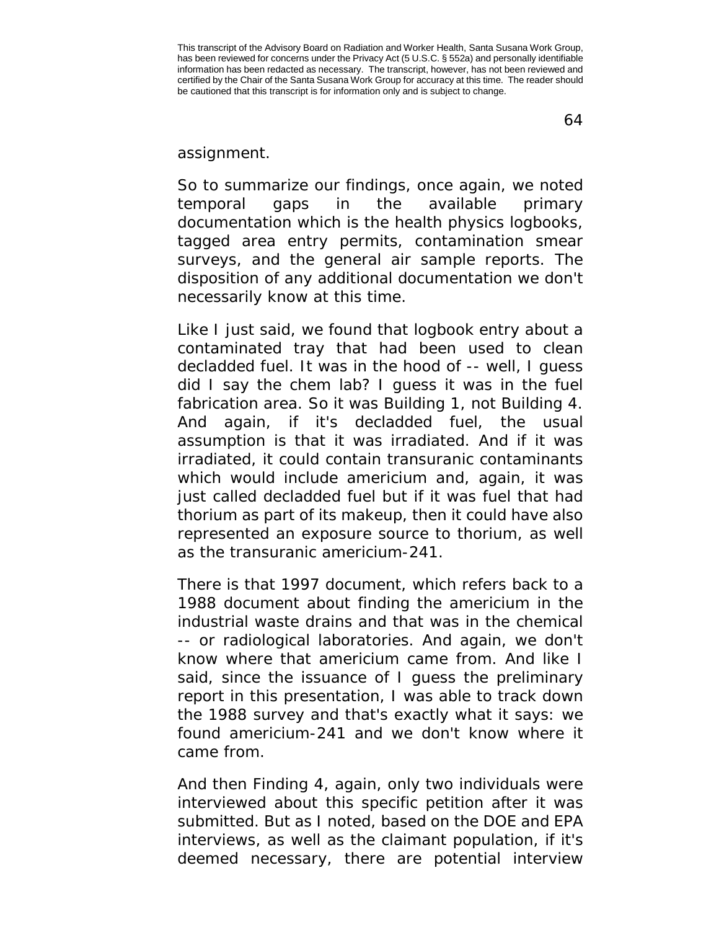64

assignment.

So to summarize our findings, once again, we noted temporal gaps in the available primary documentation which is the health physics logbooks, tagged area entry permits, contamination smear surveys, and the general air sample reports. The disposition of any additional documentation we don't necessarily know at this time.

Like I just said, we found that logbook entry about a contaminated tray that had been used to clean decladded fuel. It was in the hood of -- well, I guess did I say the chem lab? I guess it was in the fuel fabrication area. So it was Building 1, not Building 4. And again, if it's decladded fuel, the usual assumption is that it was irradiated. And if it was irradiated, it could contain transuranic contaminants which would include americium and, again, it was just called decladded fuel but if it was fuel that had thorium as part of its makeup, then it could have also represented an exposure source to thorium, as well as the transuranic americium-241.

There is that 1997 document, which refers back to a 1988 document about finding the americium in the industrial waste drains and that was in the chemical -- or radiological laboratories. And again, we don't know where that americium came from. And like I said, since the issuance of I guess the preliminary report in this presentation, I was able to track down the 1988 survey and that's exactly what it says: we found americium-241 and we don't know where it came from.

And then Finding 4, again, only two individuals were interviewed about this specific petition after it was submitted. But as I noted, based on the DOE and EPA interviews, as well as the claimant population, if it's deemed necessary, there are potential interview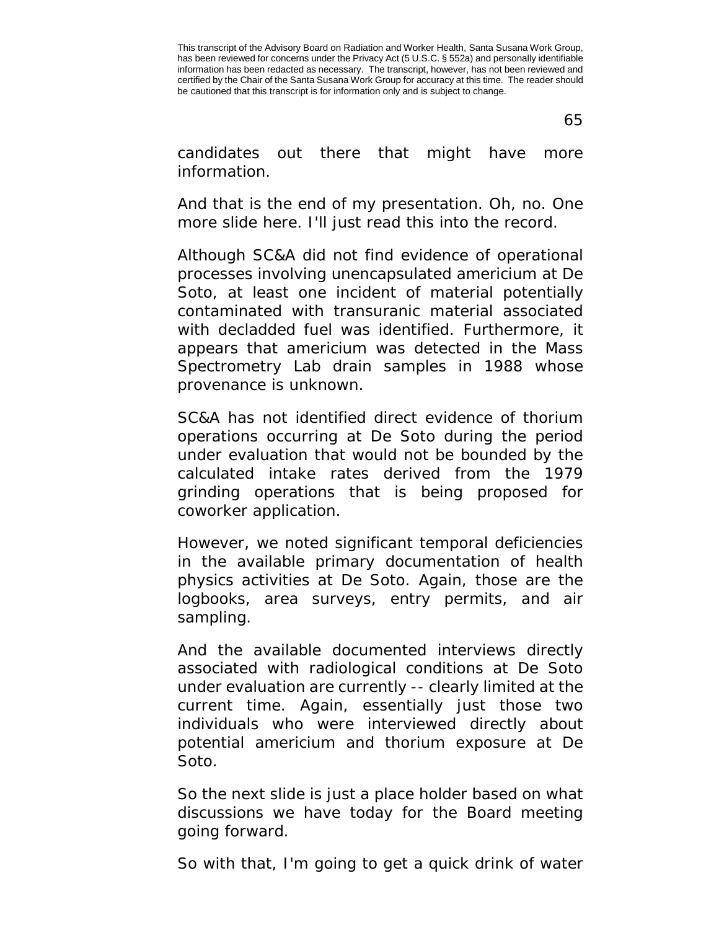65

candidates out there that might have more information.

And that is the end of my presentation. Oh, no. One more slide here. I'll just read this into the record.

Although SC&A did not find evidence of operational processes involving unencapsulated americium at De Soto, at least one incident of material potentially contaminated with transuranic material associated with decladded fuel was identified. Furthermore, it appears that americium was detected in the Mass Spectrometry Lab drain samples in 1988 whose provenance is unknown.

SC&A has not identified direct evidence of thorium operations occurring at De Soto during the period under evaluation that would not be bounded by the calculated intake rates derived from the 1979 grinding operations that is being proposed for coworker application.

However, we noted significant temporal deficiencies in the available primary documentation of health physics activities at De Soto. Again, those are the logbooks, area surveys, entry permits, and air sampling.

And the available documented interviews directly associated with radiological conditions at De Soto under evaluation are currently -- clearly limited at the current time. Again, essentially just those two individuals who were interviewed directly about potential americium and thorium exposure at De Soto.

So the next slide is just a place holder based on what discussions we have today for the Board meeting going forward.

So with that, I'm going to get a quick drink of water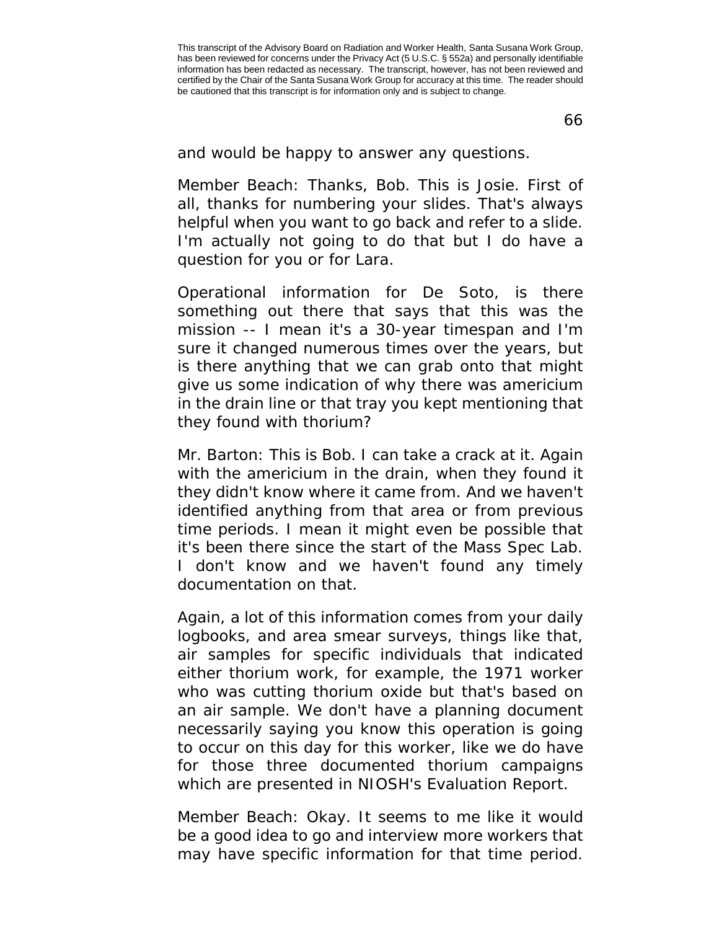66

and would be happy to answer any questions.

Member Beach: Thanks, Bob. This is Josie. First of all, thanks for numbering your slides. That's always helpful when you want to go back and refer to a slide. I'm actually not going to do that but I do have a question for you or for Lara.

Operational information for De Soto, is there something out there that says that this was the mission -- I mean it's a 30-year timespan and I'm sure it changed numerous times over the years, but is there anything that we can grab onto that might give us some indication of why there was americium in the drain line or that tray you kept mentioning that they found with thorium?

Mr. Barton: This is Bob. I can take a crack at it. Again with the americium in the drain, when they found it they didn't know where it came from. And we haven't identified anything from that area or from previous time periods. I mean it might even be possible that it's been there since the start of the Mass Spec Lab. I don't know and we haven't found any timely documentation on that.

Again, a lot of this information comes from your daily logbooks, and area smear surveys, things like that, air samples for specific individuals that indicated either thorium work, for example, the 1971 worker who was cutting thorium oxide but that's based on an air sample. We don't have a planning document necessarily saying you know this operation is going to occur on this day for this worker, like we do have for those three documented thorium campaigns which are presented in NIOSH's Evaluation Report.

Member Beach: Okay. It seems to me like it would be a good idea to go and interview more workers that may have specific information for that time period.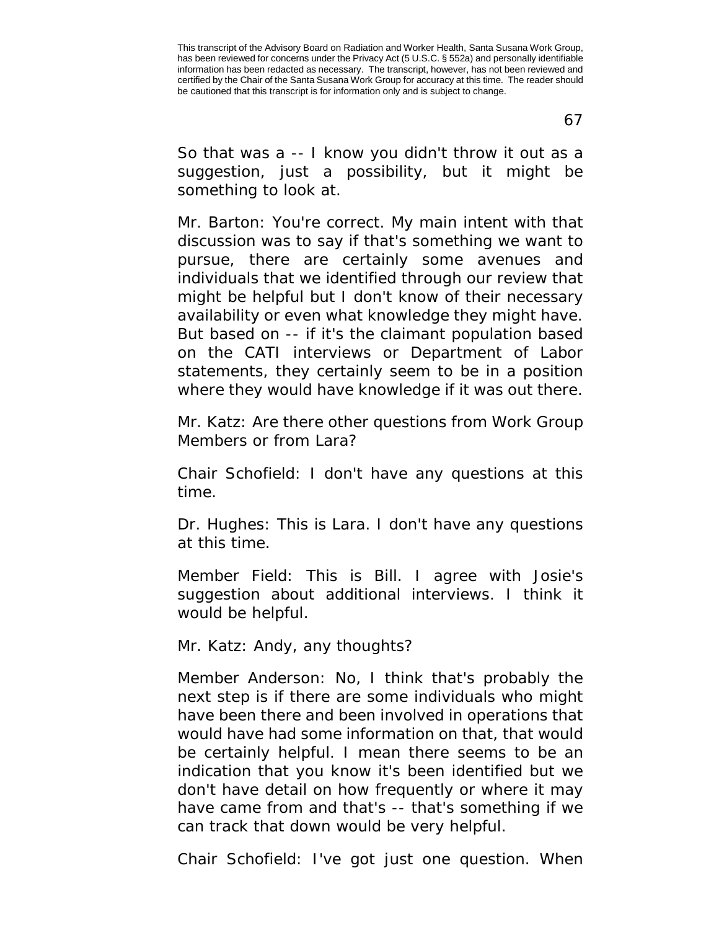67

So that was a -- I know you didn't throw it out as a suggestion, just a possibility, but it might be something to look at.

Mr. Barton: You're correct. My main intent with that discussion was to say if that's something we want to pursue, there are certainly some avenues and individuals that we identified through our review that might be helpful but I don't know of their necessary availability or even what knowledge they might have. But based on -- if it's the claimant population based on the CATI interviews or Department of Labor statements, they certainly seem to be in a position where they would have knowledge if it was out there.

Mr. Katz: Are there other questions from Work Group Members or from Lara?

Chair Schofield: I don't have any questions at this time.

Dr. Hughes: This is Lara. I don't have any questions at this time.

Member Field: This is Bill. I agree with Josie's suggestion about additional interviews. I think it would be helpful.

Mr. Katz: Andy, any thoughts?

Member Anderson: No, I think that's probably the next step is if there are some individuals who might have been there and been involved in operations that would have had some information on that, that would be certainly helpful. I mean there seems to be an indication that you know it's been identified but we don't have detail on how frequently or where it may have came from and that's -- that's something if we can track that down would be very helpful.

Chair Schofield: I've got just one question. When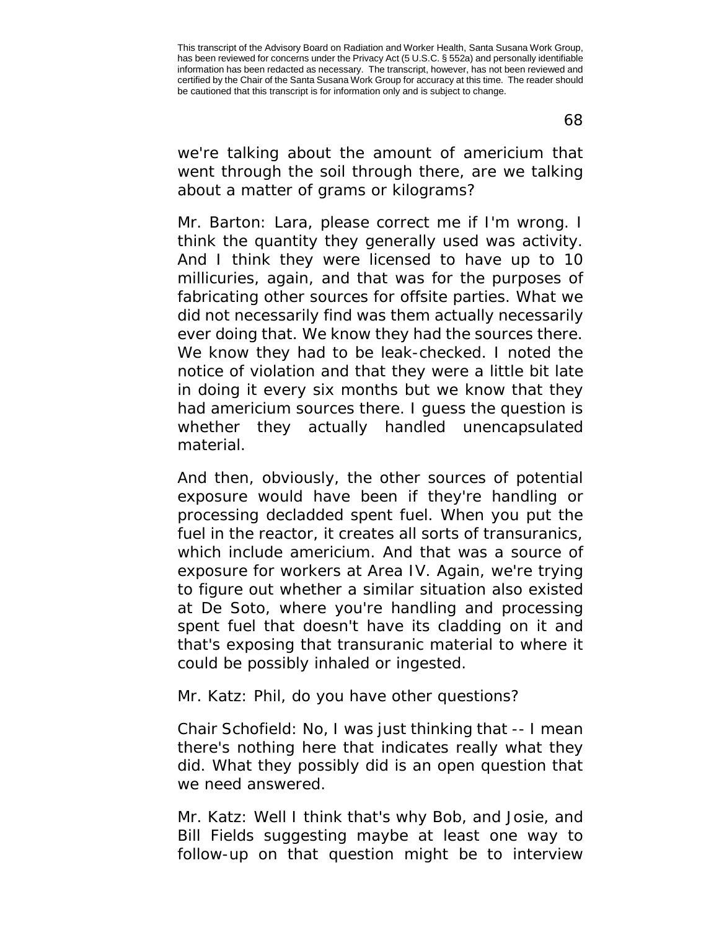we're talking about the amount of americium that went through the soil through there, are we talking about a matter of grams or kilograms?

Mr. Barton: Lara, please correct me if I'm wrong. I think the quantity they generally used was activity. And I think they were licensed to have up to 10 millicuries, again, and that was for the purposes of fabricating other sources for offsite parties. What we did not necessarily find was them actually necessarily ever doing that. We know they had the sources there. We know they had to be leak-checked. I noted the notice of violation and that they were a little bit late in doing it every six months but we know that they had americium sources there. I guess the question is whether they actually handled unencapsulated material.

And then, obviously, the other sources of potential exposure would have been if they're handling or processing decladded spent fuel. When you put the fuel in the reactor, it creates all sorts of transuranics, which include americium. And that was a source of exposure for workers at Area IV. Again, we're trying to figure out whether a similar situation also existed at De Soto, where you're handling and processing spent fuel that doesn't have its cladding on it and that's exposing that transuranic material to where it could be possibly inhaled or ingested.

Mr. Katz: Phil, do you have other questions?

Chair Schofield: No, I was just thinking that -- I mean there's nothing here that indicates really what they did. What they possibly did is an open question that we need answered.

Mr. Katz: Well I think that's why Bob, and Josie, and Bill Fields suggesting maybe at least one way to follow-up on that question might be to interview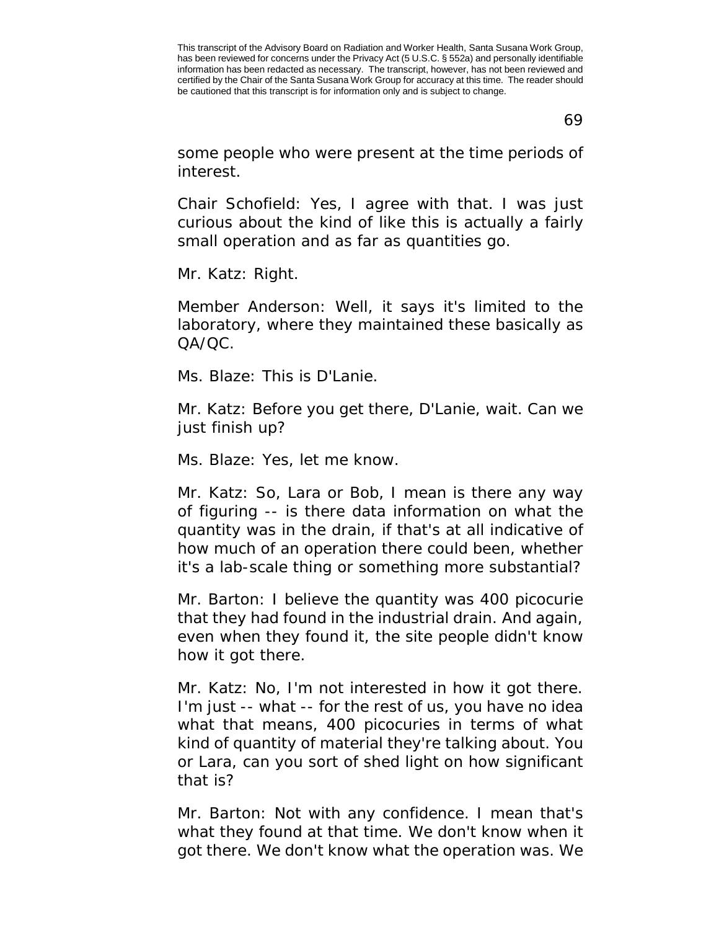69

some people who were present at the time periods of interest.

Chair Schofield: Yes, I agree with that. I was just curious about the kind of like this is actually a fairly small operation and as far as quantities go.

Mr. Katz: Right.

Member Anderson: Well, it says it's limited to the laboratory, where they maintained these basically as QA/QC.

Ms. Blaze: This is D'Lanie.

Mr. Katz: Before you get there, D'Lanie, wait. Can we just finish up?

Ms. Blaze: Yes, let me know.

Mr. Katz: So, Lara or Bob, I mean is there any way of figuring -- is there data information on what the quantity was in the drain, if that's at all indicative of how much of an operation there could been, whether it's a lab-scale thing or something more substantial?

Mr. Barton: I believe the quantity was 400 picocurie that they had found in the industrial drain. And again, even when they found it, the site people didn't know how it got there.

Mr. Katz: No, I'm not interested in how it got there. I'm just -- what -- for the rest of us, you have no idea what that means, 400 picocuries in terms of what kind of quantity of material they're talking about. You or Lara, can you sort of shed light on how significant that is?

Mr. Barton: Not with any confidence. I mean that's what they found at that time. We don't know when it got there. We don't know what the operation was. We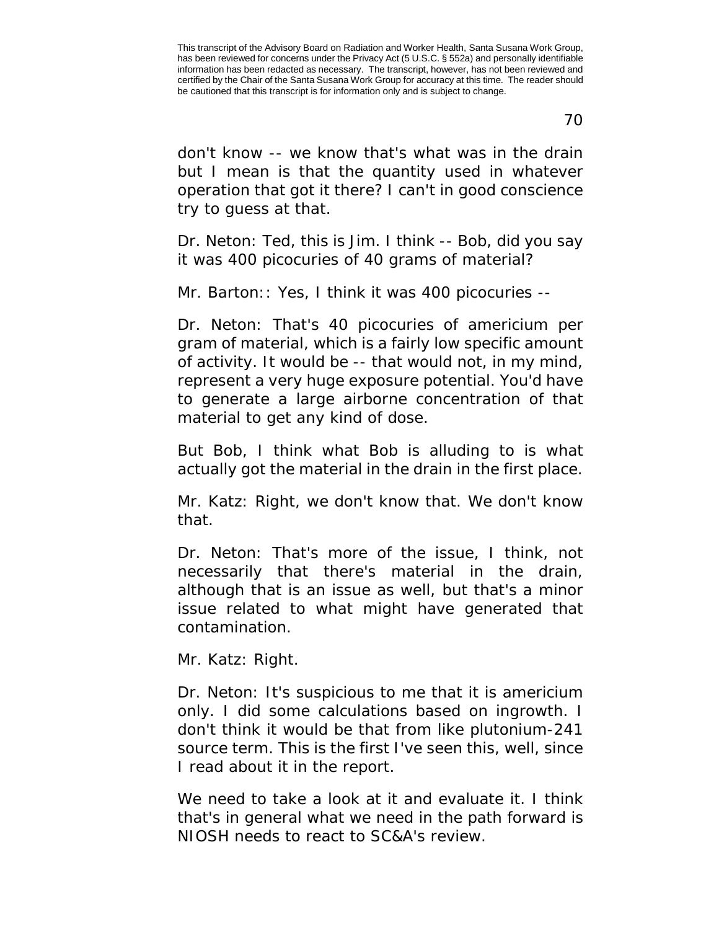70

don't know -- we know that's what was in the drain but I mean is that the quantity used in whatever operation that got it there? I can't in good conscience try to guess at that.

Dr. Neton: Ted, this is Jim. I think -- Bob, did you say it was 400 picocuries of 40 grams of material?

Mr. Barton:: Yes, I think it was 400 picocuries --

Dr. Neton: That's 40 picocuries of americium per gram of material, which is a fairly low specific amount of activity. It would be -- that would not, in my mind, represent a very huge exposure potential. You'd have to generate a large airborne concentration of that material to get any kind of dose.

But Bob, I think what Bob is alluding to is what actually got the material in the drain in the first place.

Mr. Katz: Right, we don't know that. We don't know that.

Dr. Neton: That's more of the issue, I think, not necessarily that there's material in the drain, although that is an issue as well, but that's a minor issue related to what might have generated that contamination.

Mr. Katz: Right.

Dr. Neton: It's suspicious to me that it is americium only. I did some calculations based on ingrowth. I don't think it would be that from like plutonium-241 source term. This is the first I've seen this, well, since I read about it in the report.

We need to take a look at it and evaluate it. I think that's in general what we need in the path forward is NIOSH needs to react to SC&A's review.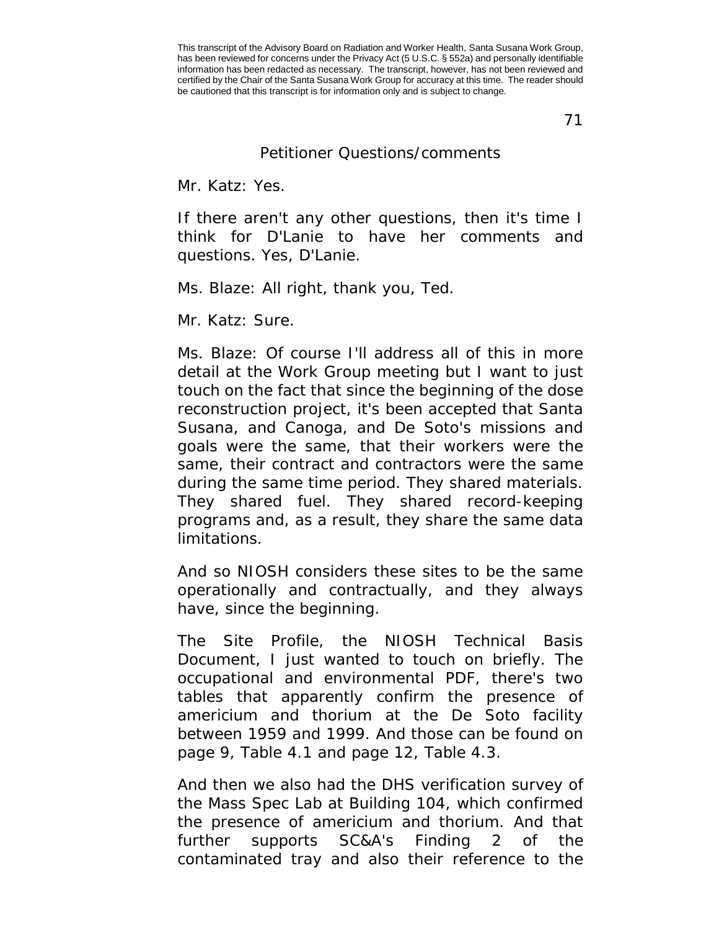71

## Petitioner Questions/comments

Mr. Katz: Yes.

If there aren't any other questions, then it's time I think for D'Lanie to have her comments and questions. Yes, D'Lanie.

Ms. Blaze: All right, thank you, Ted.

Mr. Katz: Sure.

Ms. Blaze: Of course I'll address all of this in more detail at the Work Group meeting but I want to just touch on the fact that since the beginning of the dose reconstruction project, it's been accepted that Santa Susana, and Canoga, and De Soto's missions and goals were the same, that their workers were the same, their contract and contractors were the same during the same time period. They shared materials. They shared fuel. They shared record-keeping programs and, as a result, they share the same data limitations.

And so NIOSH considers these sites to be the same operationally and contractually, and they always have, since the beginning.

The Site Profile, the NIOSH Technical Basis Document, I just wanted to touch on briefly. The occupational and environmental PDF, there's two tables that apparently confirm the presence of americium and thorium at the De Soto facility between 1959 and 1999. And those can be found on page 9, Table 4.1 and page 12, Table 4.3.

And then we also had the DHS verification survey of the Mass Spec Lab at Building 104, which confirmed the presence of americium and thorium. And that further supports SC&A's Finding 2 of the contaminated tray and also their reference to the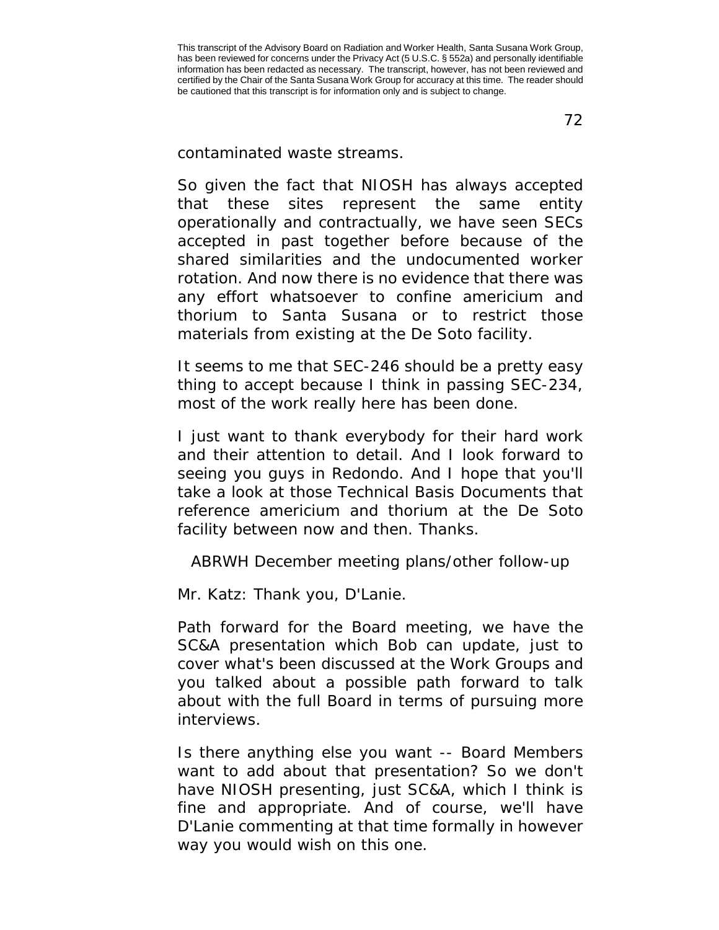contaminated waste streams.

So given the fact that NIOSH has always accepted that these sites represent the same entity operationally and contractually, we have seen SECs accepted in past together before because of the shared similarities and the undocumented worker rotation. And now there is no evidence that there was any effort whatsoever to confine americium and thorium to Santa Susana or to restrict those materials from existing at the De Soto facility.

It seems to me that SEC-246 should be a pretty easy thing to accept because I think in passing SEC-234, most of the work really here has been done.

I just want to thank everybody for their hard work and their attention to detail. And I look forward to seeing you guys in Redondo. And I hope that you'll take a look at those Technical Basis Documents that reference americium and thorium at the De Soto facility between now and then. Thanks.

ABRWH December meeting plans/other follow-up

Mr. Katz: Thank you, D'Lanie.

Path forward for the Board meeting, we have the SC&A presentation which Bob can update, just to cover what's been discussed at the Work Groups and you talked about a possible path forward to talk about with the full Board in terms of pursuing more interviews.

Is there anything else you want -- Board Members want to add about that presentation? So we don't have NIOSH presenting, just SC&A, which I think is fine and appropriate. And of course, we'll have D'Lanie commenting at that time formally in however way you would wish on this one.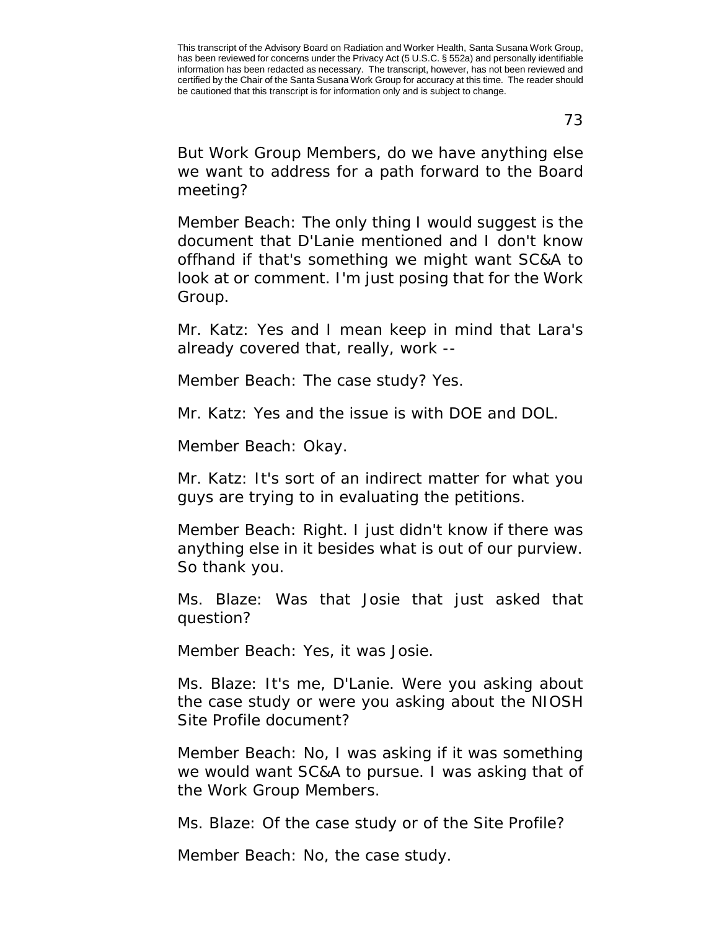This transcript of the Advisory Board on Radiation and Worker Health, Santa Susana Work Group, has been reviewed for concerns under the Privacy Act (5 U.S.C. § 552a) and personally identifiable information has been redacted as necessary. The transcript, however, has not been reviewed and certified by the Chair of the Santa Susana Work Group for accuracy at this time. The reader should be cautioned that this transcript is for information only and is subject to change.

73

But Work Group Members, do we have anything else we want to address for a path forward to the Board meeting?

Member Beach: The only thing I would suggest is the document that D'Lanie mentioned and I don't know offhand if that's something we might want SC&A to look at or comment. I'm just posing that for the Work Group.

Mr. Katz: Yes and I mean keep in mind that Lara's already covered that, really, work --

Member Beach: The case study? Yes.

Mr. Katz: Yes and the issue is with DOE and DOL.

Member Beach: Okay.

Mr. Katz: It's sort of an indirect matter for what you guys are trying to in evaluating the petitions.

Member Beach: Right. I just didn't know if there was anything else in it besides what is out of our purview. So thank you.

Ms. Blaze: Was that Josie that just asked that question?

Member Beach: Yes, it was Josie.

Ms. Blaze: It's me, D'Lanie. Were you asking about the case study or were you asking about the NIOSH Site Profile document?

Member Beach: No, I was asking if it was something we would want SC&A to pursue. I was asking that of the Work Group Members.

Ms. Blaze: Of the case study or of the Site Profile?

Member Beach: No, the case study.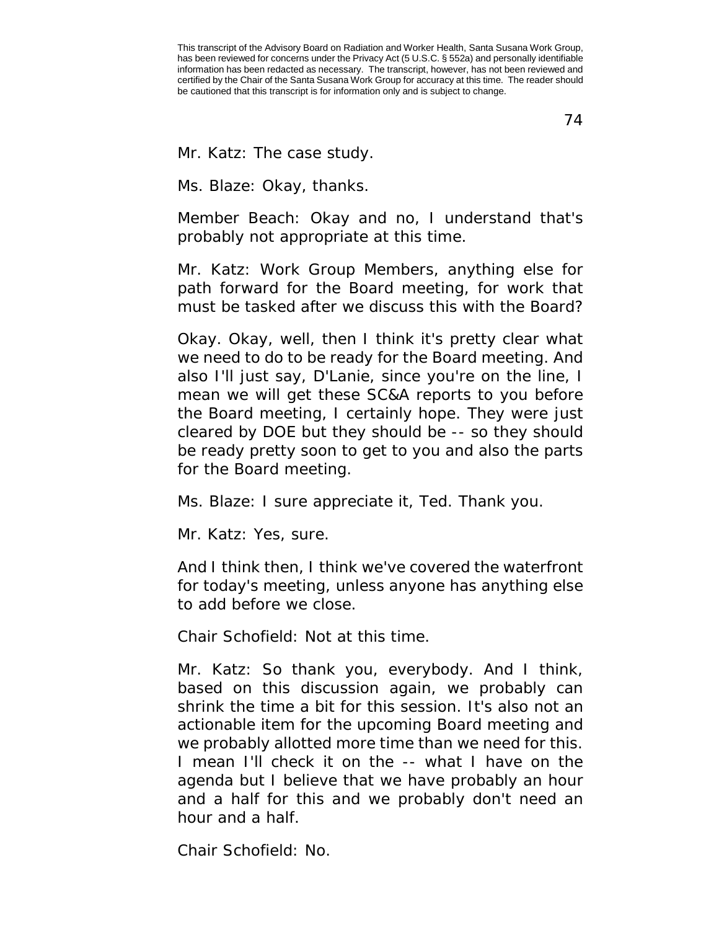This transcript of the Advisory Board on Radiation and Worker Health, Santa Susana Work Group, has been reviewed for concerns under the Privacy Act (5 U.S.C. § 552a) and personally identifiable information has been redacted as necessary. The transcript, however, has not been reviewed and certified by the Chair of the Santa Susana Work Group for accuracy at this time. The reader should be cautioned that this transcript is for information only and is subject to change.

74

Mr. Katz: The case study.

Ms. Blaze: Okay, thanks.

Member Beach: Okay and no, I understand that's probably not appropriate at this time.

Mr. Katz: Work Group Members, anything else for path forward for the Board meeting, for work that must be tasked after we discuss this with the Board?

Okay. Okay, well, then I think it's pretty clear what we need to do to be ready for the Board meeting. And also I'll just say, D'Lanie, since you're on the line, I mean we will get these SC&A reports to you before the Board meeting, I certainly hope. They were just cleared by DOE but they should be -- so they should be ready pretty soon to get to you and also the parts for the Board meeting.

Ms. Blaze: I sure appreciate it, Ted. Thank you.

Mr. Katz: Yes, sure.

And I think then, I think we've covered the waterfront for today's meeting, unless anyone has anything else to add before we close.

Chair Schofield: Not at this time.

Mr. Katz: So thank you, everybody. And I think, based on this discussion again, we probably can shrink the time a bit for this session. It's also not an actionable item for the upcoming Board meeting and we probably allotted more time than we need for this. I mean I'll check it on the -- what I have on the agenda but I believe that we have probably an hour and a half for this and we probably don't need an hour and a half.

Chair Schofield: No.